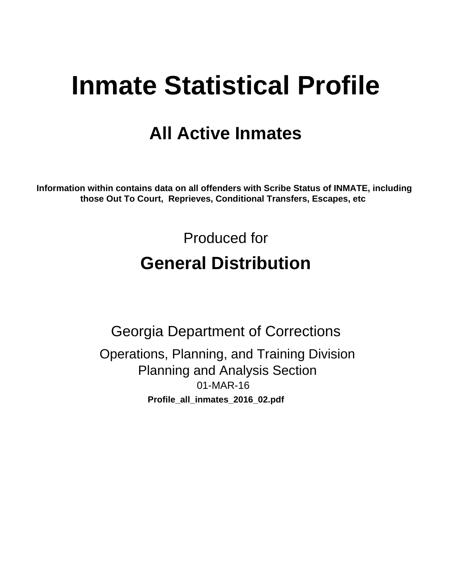# **Inmate Statistical Profile**

# **All Active Inmates**

Information within contains data on all offenders with Scribe Status of INMATE, including those Out To Court, Reprieves, Conditional Transfers, Escapes, etc

> Produced for **General Distribution**

**Georgia Department of Corrections** Operations, Planning, and Training Division **Planning and Analysis Section** 01-MAR-16 Profile\_all\_inmates\_2016\_02.pdf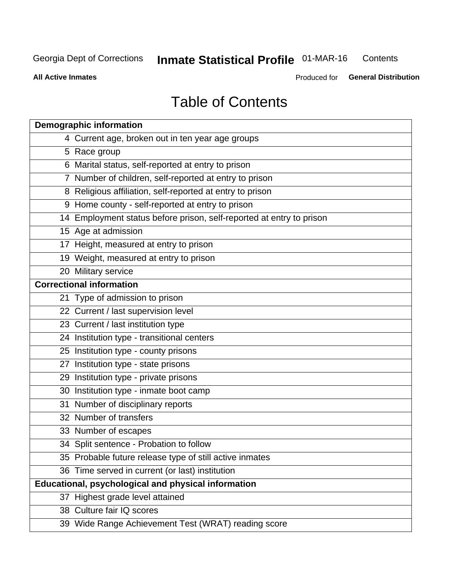#### **Inmate Statistical Profile 01-MAR-16** Contents

**All Active Inmates** 

Produced for General Distribution

# **Table of Contents**

| <b>Demographic information</b>                                       |
|----------------------------------------------------------------------|
| 4 Current age, broken out in ten year age groups                     |
| 5 Race group                                                         |
| 6 Marital status, self-reported at entry to prison                   |
| 7 Number of children, self-reported at entry to prison               |
| 8 Religious affiliation, self-reported at entry to prison            |
| 9 Home county - self-reported at entry to prison                     |
| 14 Employment status before prison, self-reported at entry to prison |
| 15 Age at admission                                                  |
| 17 Height, measured at entry to prison                               |
| 19 Weight, measured at entry to prison                               |
| 20 Military service                                                  |
| <b>Correctional information</b>                                      |
| 21 Type of admission to prison                                       |
| 22 Current / last supervision level                                  |
| 23 Current / last institution type                                   |
| 24 Institution type - transitional centers                           |
| 25 Institution type - county prisons                                 |
| 27 Institution type - state prisons                                  |
| 29 Institution type - private prisons                                |
| 30 Institution type - inmate boot camp                               |
| 31 Number of disciplinary reports                                    |
| 32 Number of transfers                                               |
| 33 Number of escapes                                                 |
| 34 Split sentence - Probation to follow                              |
| 35 Probable future release type of still active inmates              |
| 36 Time served in current (or last) institution                      |
| <b>Educational, psychological and physical information</b>           |
| 37 Highest grade level attained                                      |
| 38 Culture fair IQ scores                                            |
| 39 Wide Range Achievement Test (WRAT) reading score                  |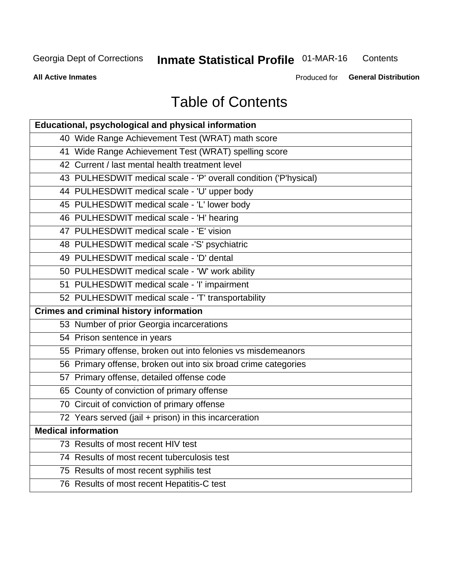#### **Inmate Statistical Profile 01-MAR-16** Contents

**All Active Inmates** 

Produced for General Distribution

# **Table of Contents**

| Educational, psychological and physical information              |
|------------------------------------------------------------------|
| 40 Wide Range Achievement Test (WRAT) math score                 |
| 41 Wide Range Achievement Test (WRAT) spelling score             |
| 42 Current / last mental health treatment level                  |
| 43 PULHESDWIT medical scale - 'P' overall condition ('P'hysical) |
| 44 PULHESDWIT medical scale - 'U' upper body                     |
| 45 PULHESDWIT medical scale - 'L' lower body                     |
| 46 PULHESDWIT medical scale - 'H' hearing                        |
| 47 PULHESDWIT medical scale - 'E' vision                         |
| 48 PULHESDWIT medical scale -'S' psychiatric                     |
| 49 PULHESDWIT medical scale - 'D' dental                         |
| 50 PULHESDWIT medical scale - 'W' work ability                   |
| 51 PULHESDWIT medical scale - 'I' impairment                     |
| 52 PULHESDWIT medical scale - 'T' transportability               |
|                                                                  |
| <b>Crimes and criminal history information</b>                   |
| 53 Number of prior Georgia incarcerations                        |
| 54 Prison sentence in years                                      |
| 55 Primary offense, broken out into felonies vs misdemeanors     |
| 56 Primary offense, broken out into six broad crime categories   |
| 57 Primary offense, detailed offense code                        |
| 65 County of conviction of primary offense                       |
| 70 Circuit of conviction of primary offense                      |
| 72 Years served (jail + prison) in this incarceration            |
| <b>Medical information</b>                                       |
| 73 Results of most recent HIV test                               |
| 74 Results of most recent tuberculosis test                      |
| 75 Results of most recent syphilis test                          |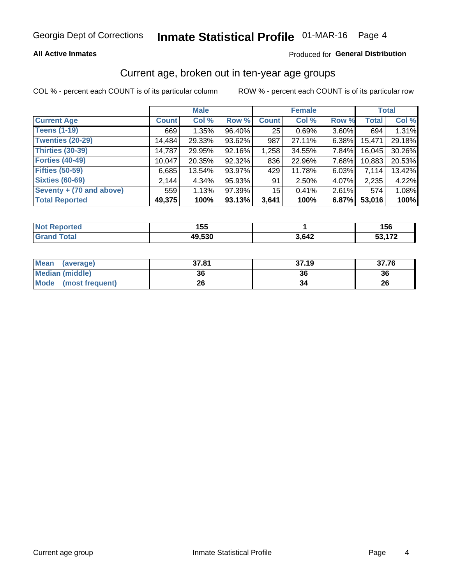#### **All Active Inmates**

#### Produced for General Distribution

### Current age, broken out in ten-year age groups

COL % - percent each COUNT is of its particular column

|                          | <b>Male</b>  |        |        | <b>Female</b>   |        |       | <b>Total</b> |        |
|--------------------------|--------------|--------|--------|-----------------|--------|-------|--------------|--------|
| <b>Current Age</b>       | <b>Count</b> | Col %  | Row %  | <b>Count</b>    | Col %  | Row % | <b>Total</b> | Col %  |
| <b>Teens (1-19)</b>      | 669          | 1.35%  | 96.40% | 25              | 0.69%  | 3.60% | 694          | 1.31%  |
| <b>Twenties (20-29)</b>  | 14,484       | 29.33% | 93.62% | 987             | 27.11% | 6.38% | 15,471       | 29.18% |
| <b>Thirties (30-39)</b>  | 14,787       | 29.95% | 92.16% | 1,258           | 34.55% | 7.84% | 16,045       | 30.26% |
| <b>Forties (40-49)</b>   | 10,047       | 20.35% | 92.32% | 836             | 22.96% | 7.68% | 10,883       | 20.53% |
| <b>Fifties (50-59)</b>   | 6,685        | 13.54% | 93.97% | 429             | 11.78% | 6.03% | 7,114        | 13.42% |
| <b>Sixties (60-69)</b>   | 2,144        | 4.34%  | 95.93% | 91              | 2.50%  | 4.07% | 2,235        | 4.22%  |
| Seventy + (70 and above) | 559          | 1.13%  | 97.39% | 15 <sup>1</sup> | 0.41%  | 2.61% | 574          | 1.08%  |
| <b>Total Reported</b>    | 49,375       | 100%   | 93.13% | 3,641           | 100%   | 6.87% | 53,016       | 100%   |

| Not <b>R</b> | 1 E E  |       | - -        |
|--------------|--------|-------|------------|
| теа          | roa    |       | 156        |
|              | 49,530 | 3,642 | 170<br>- - |

| <b>Mean</b><br>(average)       | 37.81 | 37.19 | 37.76 |
|--------------------------------|-------|-------|-------|
| Median (middle)                | 36    | 36    | 36    |
| <b>Mode</b><br>(most frequent) | 26    |       | 26    |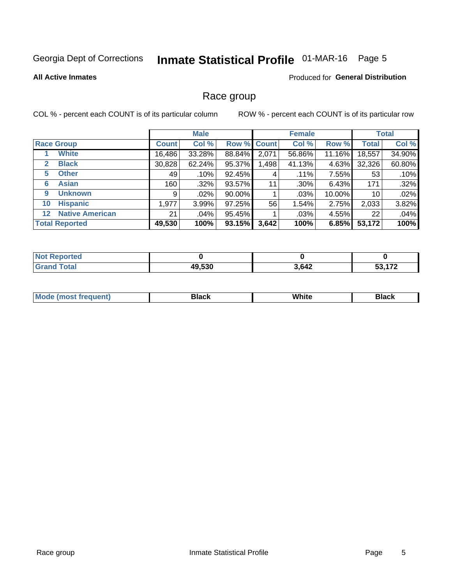# Inmate Statistical Profile 01-MAR-16 Page 5

#### **All Active Inmates**

#### **Produced for General Distribution**

### Race group

COL % - percent each COUNT is of its particular column

|                                   |              | <b>Male</b> |        |             | <b>Female</b> |        |                 | <b>Total</b> |  |
|-----------------------------------|--------------|-------------|--------|-------------|---------------|--------|-----------------|--------------|--|
| <b>Race Group</b>                 | <b>Count</b> | Col %       |        | Row % Count | Col %         | Row %  | <b>Total</b>    | Col %        |  |
| <b>White</b>                      | 16,486       | 33.28%      | 88.84% | 2,071       | 56.86%        | 11.16% | 18,557          | 34.90%       |  |
| <b>Black</b><br>2                 | 30,828       | 62.24%      | 95.37% | 1,498       | 41.13%        | 4.63%  | 32,326          | 60.80%       |  |
| <b>Other</b><br>5.                | 49           | .10%        | 92.45% | 4           | $.11\%$       | 7.55%  | 53              | .10%         |  |
| <b>Asian</b><br>6                 | 160          | $.32\%$     | 93.57% | 11          | $.30\%$       | 6.43%  | 171             | .32%         |  |
| <b>Unknown</b><br>9               | 9            | $.02\%$     | 90.00% |             | .03%          | 10.00% | 10 <sup>°</sup> | .02%         |  |
| <b>Hispanic</b><br>10             | 1,977        | 3.99%       | 97.25% | 56          | 1.54%         | 2.75%  | 2,033           | 3.82%        |  |
| <b>Native American</b><br>$12 \,$ | 21           | .04%        | 95.45% |             | .03%          | 4.55%  | 22              | .04%         |  |
| <b>Total Reported</b>             | 49,530       | 100%        | 93.15% | 3,642       | 100%          | 6.85%  | 53,172          | 100%         |  |

| ported<br>'NO.  |        |       |                                                 |
|-----------------|--------|-------|-------------------------------------------------|
| `otal<br>'Grand | 49,530 | 3,642 | $F^{\wedge}$ $F^{\wedge}$<br>I <i>I L</i><br>JJ |

| m | <br>w |  |
|---|-------|--|
|   |       |  |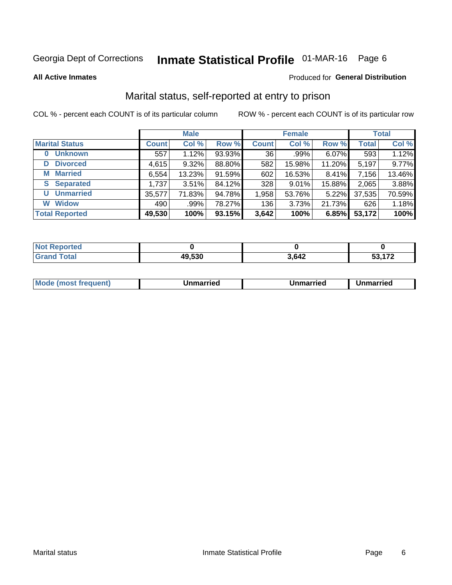# Inmate Statistical Profile 01-MAR-16 Page 6

**All Active Inmates** 

#### Produced for General Distribution

### Marital status, self-reported at entry to prison

COL % - percent each COUNT is of its particular column

|                            | <b>Male</b>  |        |        | <b>Female</b> |        |          | <b>Total</b> |        |
|----------------------------|--------------|--------|--------|---------------|--------|----------|--------------|--------|
| <b>Marital Status</b>      | <b>Count</b> | Col %  | Row %  | <b>Count</b>  | Col %  | Row %    | <b>Total</b> | Col %  |
| <b>Unknown</b><br>$\bf{0}$ | 557          | 1.12%  | 93.93% | 36            | .99%   | 6.07%    | 593          | 1.12%  |
| <b>Divorced</b><br>D       | 4,615        | 9.32%  | 88.80% | 582           | 15.98% | 11.20%   | 5,197        | 9.77%  |
| <b>Married</b><br>М        | 6,554        | 13.23% | 91.59% | 602           | 16.53% | 8.41%    | 7,156        | 13.46% |
| <b>Separated</b><br>S.     | 1,737        | 3.51%  | 84.12% | 328           | 9.01%  | 15.88%   | 2,065        | 3.88%  |
| <b>Unmarried</b><br>U      | 35,577       | 71.83% | 94.78% | 1,958         | 53.76% | $5.22\%$ | 37,535       | 70.59% |
| <b>Widow</b><br>W          | 490          | .99%   | 78.27% | 136           | 3.73%  | 21.73%   | 626          | 1.18%  |
| <b>Total Reported</b>      | 49,530       | 100%   | 93.15% | 3,642         | 100%   | 6.85%    | 53,172       | 100%   |

| NOT<br>тес   |        |       |               |
|--------------|--------|-------|---------------|
| <b>Total</b> | 49,530 | 3,642 | $\sim$ $\sim$ |

|--|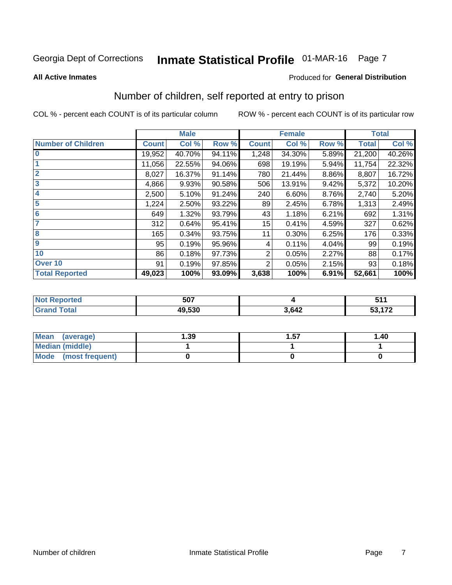# Inmate Statistical Profile 01-MAR-16 Page 7

#### **All Active Inmates**

#### **Produced for General Distribution**

## Number of children, self reported at entry to prison

COL % - percent each COUNT is of its particular column

|                           |              | <b>Male</b> |        |              | <b>Female</b> |       | <b>Total</b> |        |
|---------------------------|--------------|-------------|--------|--------------|---------------|-------|--------------|--------|
| <b>Number of Children</b> | <b>Count</b> | Col %       | Row %  | <b>Count</b> | Col %         | Row % | <b>Total</b> | Col %  |
| $\bf{0}$                  | 19,952       | 40.70%      | 94.11% | 1,248        | 34.30%        | 5.89% | 21,200       | 40.26% |
|                           | 11,056       | 22.55%      | 94.06% | 698          | 19.19%        | 5.94% | 11,754       | 22.32% |
| $\overline{2}$            | 8,027        | 16.37%      | 91.14% | 780          | 21.44%        | 8.86% | 8,807        | 16.72% |
| 3                         | 4,866        | 9.93%       | 90.58% | 506          | 13.91%        | 9.42% | 5,372        | 10.20% |
| 4                         | 2,500        | 5.10%       | 91.24% | 240          | 6.60%         | 8.76% | 2,740        | 5.20%  |
| 5                         | 1,224        | 2.50%       | 93.22% | 89           | 2.45%         | 6.78% | 1,313        | 2.49%  |
| 6                         | 649          | 1.32%       | 93.79% | 43           | 1.18%         | 6.21% | 692          | 1.31%  |
| 7                         | 312          | 0.64%       | 95.41% | 15           | 0.41%         | 4.59% | 327          | 0.62%  |
| 8                         | 165          | 0.34%       | 93.75% | 11           | 0.30%         | 6.25% | 176          | 0.33%  |
| $\boldsymbol{9}$          | 95           | 0.19%       | 95.96% | 4            | 0.11%         | 4.04% | 99           | 0.19%  |
| 10                        | 86           | 0.18%       | 97.73% | 2            | 0.05%         | 2.27% | 88           | 0.17%  |
| Over 10                   | 91           | 0.19%       | 97.85% | 2            | 0.05%         | 2.15% | 93           | 0.18%  |
| <b>Total Reported</b>     | 49,023       | 100%        | 93.09% | 3,638        | 100%          | 6.91% | 52,661       | 100%   |

| 507    |            | E44            |
|--------|------------|----------------|
| 49.530 | 642<br>בדי | 470<br>"<br>v. |

| Mean<br>(average)       | 1.39 | 1.57 | 1.40 |
|-------------------------|------|------|------|
| <b>Median (middle)</b>  |      |      |      |
| Mode<br>(most frequent) |      |      |      |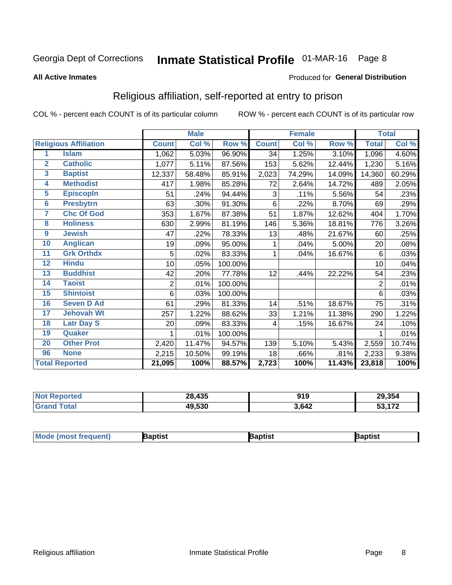# Inmate Statistical Profile 01-MAR-16 Page 8

#### **All Active Inmates**

#### Produced for General Distribution

### Religious affiliation, self-reported at entry to prison

COL % - percent each COUNT is of its particular column

|                |                              |              | <b>Male</b> |         |              | <b>Female</b> |        |              | <b>Total</b> |
|----------------|------------------------------|--------------|-------------|---------|--------------|---------------|--------|--------------|--------------|
|                | <b>Religious Affiliation</b> | <b>Count</b> | Col %       | Row %   | <b>Count</b> | Col %         | Row %  | <b>Total</b> | Col %        |
| 1              | <b>Islam</b>                 | 1,062        | 5.03%       | 96.90%  | 34           | 1.25%         | 3.10%  | 1,096        | 4.60%        |
| $\overline{2}$ | <b>Catholic</b>              | 1,077        | 5.11%       | 87.56%  | 153          | 5.62%         | 12.44% | 1,230        | 5.16%        |
| 3              | <b>Baptist</b>               | 12,337       | 58.48%      | 85.91%  | 2,023        | 74.29%        | 14.09% | 14,360       | 60.29%       |
| 4              | <b>Methodist</b>             | 417          | 1.98%       | 85.28%  | 72           | 2.64%         | 14.72% | 489          | 2.05%        |
| 5              | <b>EpiscopIn</b>             | 51           | .24%        | 94.44%  | 3            | .11%          | 5.56%  | 54           | .23%         |
| $6\phantom{a}$ | <b>Presbytrn</b>             | 63           | .30%        | 91.30%  | 6            | .22%          | 8.70%  | 69           | .29%         |
| 7              | <b>Chc Of God</b>            | 353          | 1.67%       | 87.38%  | 51           | 1.87%         | 12.62% | 404          | 1.70%        |
| 8              | <b>Holiness</b>              | 630          | 2.99%       | 81.19%  | 146          | 5.36%         | 18.81% | 776          | 3.26%        |
| 9              | <b>Jewish</b>                | 47           | .22%        | 78.33%  | 13           | .48%          | 21.67% | 60           | .25%         |
| 10             | <b>Anglican</b>              | 19           | .09%        | 95.00%  | 1            | .04%          | 5.00%  | 20           | .08%         |
| 11             | <b>Grk Orthdx</b>            | 5            | .02%        | 83.33%  | 1            | .04%          | 16.67% | 6            | .03%         |
| 12             | <b>Hindu</b>                 | 10           | .05%        | 100.00% |              |               |        | 10           | .04%         |
| 13             | <b>Buddhist</b>              | 42           | .20%        | 77.78%  | 12           | .44%          | 22.22% | 54           | .23%         |
| 14             | <b>Taoist</b>                | 2            | .01%        | 100.00% |              |               |        | 2            | .01%         |
| 15             | <b>Shintoist</b>             | 6            | .03%        | 100.00% |              |               |        | 6            | .03%         |
| 16             | <b>Seven D Ad</b>            | 61           | .29%        | 81.33%  | 14           | .51%          | 18.67% | 75           | .31%         |
| 17             | <b>Jehovah Wt</b>            | 257          | 1.22%       | 88.62%  | 33           | 1.21%         | 11.38% | 290          | 1.22%        |
| 18             | <b>Latr Day S</b>            | 20           | .09%        | 83.33%  | 4            | .15%          | 16.67% | 24           | .10%         |
| 19             | Quaker                       |              | .01%        | 100.00% |              |               |        |              | .01%         |
| 20             | <b>Other Prot</b>            | 2,420        | 11.47%      | 94.57%  | 139          | 5.10%         | 5.43%  | 2,559        | 10.74%       |
| 96             | <b>None</b>                  | 2,215        | 10.50%      | 99.19%  | 18           | .66%          | .81%   | 2,233        | 9.38%        |
|                | <b>Total Reported</b>        | 21,095       | 100%        | 88.57%  | 2,723        | 100%          | 11.43% | 23,818       | 100%         |

| Reported<br>NO   | 28,435 | <u>ດ4ດ</u><br>J I J | 29,354            |
|------------------|--------|---------------------|-------------------|
| `otal<br>' Grand | 49,530 | 3,642               | 472<br>הי<br>IJJ. |

|  | <b>Mode (most frequent)</b> | าptist | <b>3aptist</b> | 3aptist |
|--|-----------------------------|--------|----------------|---------|
|--|-----------------------------|--------|----------------|---------|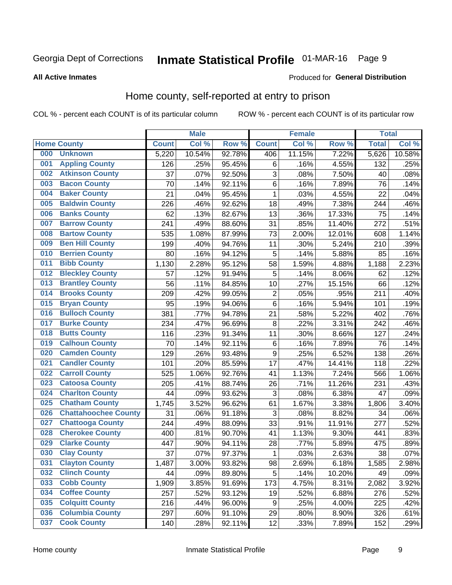# Inmate Statistical Profile 01-MAR-16 Page 9

#### **All Active Inmates**

#### Produced for General Distribution

### Home county, self-reported at entry to prison

COL % - percent each COUNT is of its particular column

|     |                             |                    | <b>Male</b> |        |                  | <b>Female</b> |        | <b>Total</b> |        |
|-----|-----------------------------|--------------------|-------------|--------|------------------|---------------|--------|--------------|--------|
|     | <b>Home County</b>          | <b>Count</b>       | Col %       | Row %  | <b>Count</b>     | Col %         | Row %  | <b>Total</b> | Col %  |
| 000 | <b>Unknown</b>              | $\overline{5,220}$ | 10.54%      | 92.78% | 406              | 11.15%        | 7.22%  | 5,626        | 10.58% |
| 001 | <b>Appling County</b>       | 126                | .25%        | 95.45% | $\,6$            | .16%          | 4.55%  | 132          | .25%   |
| 002 | <b>Atkinson County</b>      | 37                 | .07%        | 92.50% | 3                | .08%          | 7.50%  | 40           | .08%   |
| 003 | <b>Bacon County</b>         | 70                 | .14%        | 92.11% | $\,6$            | .16%          | 7.89%  | 76           | .14%   |
| 004 | <b>Baker County</b>         | 21                 | .04%        | 95.45% | $\mathbf{1}$     | .03%          | 4.55%  | 22           | .04%   |
| 005 | <b>Baldwin County</b>       | 226                | .46%        | 92.62% | 18               | .49%          | 7.38%  | 244          | .46%   |
| 006 | <b>Banks County</b>         | 62                 | .13%        | 82.67% | 13               | .36%          | 17.33% | 75           | .14%   |
| 007 | <b>Barrow County</b>        | 241                | .49%        | 88.60% | 31               | .85%          | 11.40% | 272          | .51%   |
| 008 | <b>Bartow County</b>        | 535                | 1.08%       | 87.99% | 73               | 2.00%         | 12.01% | 608          | 1.14%  |
| 009 | <b>Ben Hill County</b>      | 199                | .40%        | 94.76% | 11               | .30%          | 5.24%  | 210          | .39%   |
| 010 | <b>Berrien County</b>       | 80                 | .16%        | 94.12% | 5                | .14%          | 5.88%  | 85           | .16%   |
| 011 | <b>Bibb County</b>          | 1,130              | 2.28%       | 95.12% | 58               | 1.59%         | 4.88%  | 1,188        | 2.23%  |
| 012 | <b>Bleckley County</b>      | 57                 | .12%        | 91.94% | 5                | .14%          | 8.06%  | 62           | .12%   |
| 013 | <b>Brantley County</b>      | 56                 | .11%        | 84.85% | 10               | .27%          | 15.15% | 66           | .12%   |
| 014 | <b>Brooks County</b>        | 209                | .42%        | 99.05% | 2                | .05%          | .95%   | 211          | .40%   |
| 015 | <b>Bryan County</b>         | 95                 | .19%        | 94.06% | $\,6$            | .16%          | 5.94%  | 101          | .19%   |
| 016 | <b>Bulloch County</b>       | 381                | .77%        | 94.78% | 21               | .58%          | 5.22%  | 402          | .76%   |
| 017 | <b>Burke County</b>         | 234                | .47%        | 96.69% | 8                | .22%          | 3.31%  | 242          | .46%   |
| 018 | <b>Butts County</b>         | 116                | .23%        | 91.34% | 11               | .30%          | 8.66%  | 127          | .24%   |
| 019 | <b>Calhoun County</b>       | 70                 | .14%        | 92.11% | $\,6$            | .16%          | 7.89%  | 76           | .14%   |
| 020 | <b>Camden County</b>        | 129                | .26%        | 93.48% | $\boldsymbol{9}$ | .25%          | 6.52%  | 138          | .26%   |
| 021 | <b>Candler County</b>       | 101                | .20%        | 85.59% | 17               | .47%          | 14.41% | 118          | .22%   |
| 022 | <b>Carroll County</b>       | 525                | 1.06%       | 92.76% | 41               | 1.13%         | 7.24%  | 566          | 1.06%  |
| 023 | <b>Catoosa County</b>       | 205                | .41%        | 88.74% | 26               | .71%          | 11.26% | 231          | .43%   |
| 024 | <b>Charlton County</b>      | 44                 | .09%        | 93.62% | 3                | .08%          | 6.38%  | 47           | .09%   |
| 025 | <b>Chatham County</b>       | 1,745              | 3.52%       | 96.62% | 61               | 1.67%         | 3.38%  | 1,806        | 3.40%  |
| 026 | <b>Chattahoochee County</b> | 31                 | .06%        | 91.18% | 3                | .08%          | 8.82%  | 34           | .06%   |
| 027 | <b>Chattooga County</b>     | 244                | .49%        | 88.09% | 33               | .91%          | 11.91% | 277          | .52%   |
| 028 | <b>Cherokee County</b>      | 400                | .81%        | 90.70% | 41               | 1.13%         | 9.30%  | 441          | .83%   |
| 029 | <b>Clarke County</b>        | 447                | .90%        | 94.11% | 28               | .77%          | 5.89%  | 475          | .89%   |
| 030 | <b>Clay County</b>          | 37                 | .07%        | 97.37% | 1                | .03%          | 2.63%  | 38           | .07%   |
| 031 | <b>Clayton County</b>       | 1,487              | 3.00%       | 93.82% | 98               | 2.69%         | 6.18%  | 1,585        | 2.98%  |
| 032 | <b>Clinch County</b>        | 44                 | .09%        | 89.80% | 5                | .14%          | 10.20% | 49           | .09%   |
| 033 | <b>Cobb County</b>          | 1,909              | 3.85%       | 91.69% | 173              | 4.75%         | 8.31%  | 2,082        | 3.92%  |
| 034 | <b>Coffee County</b>        | 257                | .52%        | 93.12% | 19               | .52%          | 6.88%  | 276          | .52%   |
| 035 | <b>Colquitt County</b>      | 216                | .44%        | 96.00% | 9                | .25%          | 4.00%  | 225          | .42%   |
| 036 | <b>Columbia County</b>      | 297                | .60%        | 91.10% | 29               | .80%          | 8.90%  | 326          | .61%   |
| 037 | <b>Cook County</b>          | 140                | .28%        | 92.11% | 12               | .33%          | 7.89%  | 152          | .29%   |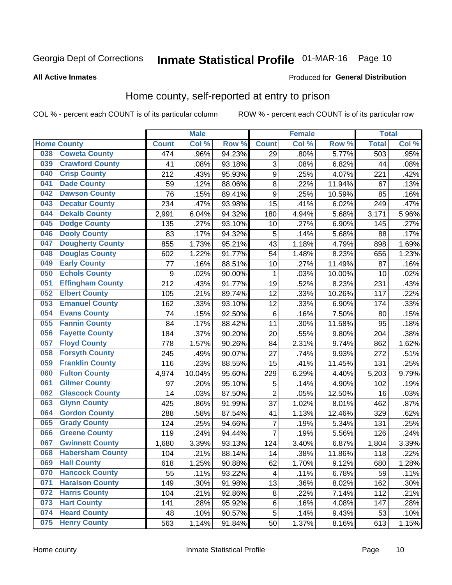# Inmate Statistical Profile 01-MAR-16 Page 10

#### **All Active Inmates**

#### Produced for General Distribution

### Home county, self-reported at entry to prison

COL % - percent each COUNT is of its particular column

|     |                         |                  | <b>Male</b> |        |                  | <b>Female</b> |        | <b>Total</b>     |       |
|-----|-------------------------|------------------|-------------|--------|------------------|---------------|--------|------------------|-------|
|     | <b>Home County</b>      | <b>Count</b>     | Col%        | Row %  | <b>Count</b>     | Col %         | Row %  | <b>Total</b>     | Col % |
| 038 | <b>Coweta County</b>    | 474              | .96%        | 94.23% | 29               | .80%          | 5.77%  | $\overline{503}$ | .95%  |
| 039 | <b>Crawford County</b>  | 41               | .08%        | 93.18% | 3                | .08%          | 6.82%  | 44               | .08%  |
| 040 | <b>Crisp County</b>     | 212              | .43%        | 95.93% | $\boldsymbol{9}$ | .25%          | 4.07%  | 221              | .42%  |
| 041 | <b>Dade County</b>      | 59               | .12%        | 88.06% | 8                | .22%          | 11.94% | 67               | .13%  |
| 042 | <b>Dawson County</b>    | 76               | .15%        | 89.41% | $\boldsymbol{9}$ | .25%          | 10.59% | 85               | .16%  |
| 043 | <b>Decatur County</b>   | 234              | .47%        | 93.98% | 15               | .41%          | 6.02%  | 249              | .47%  |
| 044 | <b>Dekalb County</b>    | 2,991            | 6.04%       | 94.32% | 180              | 4.94%         | 5.68%  | 3,171            | 5.96% |
| 045 | <b>Dodge County</b>     | 135              | .27%        | 93.10% | 10               | .27%          | 6.90%  | 145              | .27%  |
| 046 | <b>Dooly County</b>     | 83               | .17%        | 94.32% | 5                | .14%          | 5.68%  | 88               | .17%  |
| 047 | <b>Dougherty County</b> | 855              | 1.73%       | 95.21% | 43               | 1.18%         | 4.79%  | 898              | 1.69% |
| 048 | <b>Douglas County</b>   | 602              | 1.22%       | 91.77% | 54               | 1.48%         | 8.23%  | 656              | 1.23% |
| 049 | <b>Early County</b>     | 77               | .16%        | 88.51% | 10               | .27%          | 11.49% | 87               | .16%  |
| 050 | <b>Echols County</b>    | $\boldsymbol{9}$ | .02%        | 90.00% | 1                | .03%          | 10.00% | 10               | .02%  |
| 051 | <b>Effingham County</b> | 212              | .43%        | 91.77% | 19               | .52%          | 8.23%  | 231              | .43%  |
| 052 | <b>Elbert County</b>    | 105              | .21%        | 89.74% | 12               | .33%          | 10.26% | 117              | .22%  |
| 053 | <b>Emanuel County</b>   | 162              | .33%        | 93.10% | 12               | .33%          | 6.90%  | 174              | .33%  |
| 054 | <b>Evans County</b>     | 74               | .15%        | 92.50% | $\,6$            | .16%          | 7.50%  | 80               | .15%  |
| 055 | <b>Fannin County</b>    | 84               | .17%        | 88.42% | 11               | .30%          | 11.58% | 95               | .18%  |
| 056 | <b>Fayette County</b>   | 184              | .37%        | 90.20% | 20               | .55%          | 9.80%  | 204              | .38%  |
| 057 | <b>Floyd County</b>     | 778              | 1.57%       | 90.26% | 84               | 2.31%         | 9.74%  | 862              | 1.62% |
| 058 | <b>Forsyth County</b>   | 245              | .49%        | 90.07% | 27               | .74%          | 9.93%  | 272              | .51%  |
| 059 | <b>Franklin County</b>  | 116              | .23%        | 88.55% | 15               | .41%          | 11.45% | 131              | .25%  |
| 060 | <b>Fulton County</b>    | 4,974            | 10.04%      | 95.60% | 229              | 6.29%         | 4.40%  | 5,203            | 9.79% |
| 061 | <b>Gilmer County</b>    | 97               | .20%        | 95.10% | 5                | .14%          | 4.90%  | 102              | .19%  |
| 062 | <b>Glascock County</b>  | 14               | .03%        | 87.50% | $\overline{2}$   | .05%          | 12.50% | 16               | .03%  |
| 063 | <b>Glynn County</b>     | 425              | .86%        | 91.99% | 37               | 1.02%         | 8.01%  | 462              | .87%  |
| 064 | <b>Gordon County</b>    | 288              | .58%        | 87.54% | 41               | 1.13%         | 12.46% | 329              | .62%  |
| 065 | <b>Grady County</b>     | 124              | .25%        | 94.66% | $\overline{7}$   | .19%          | 5.34%  | 131              | .25%  |
| 066 | <b>Greene County</b>    | 119              | .24%        | 94.44% | $\overline{7}$   | .19%          | 5.56%  | 126              | .24%  |
| 067 | <b>Gwinnett County</b>  | 1,680            | 3.39%       | 93.13% | 124              | 3.40%         | 6.87%  | 1,804            | 3.39% |
| 068 | <b>Habersham County</b> | 104              | .21%        | 88.14% | 14               | .38%          | 11.86% | 118              | .22%  |
| 069 | <b>Hall County</b>      | 618              | 1.25%       | 90.88% | 62               | 1.70%         | 9.12%  | 680              | 1.28% |
| 070 | <b>Hancock County</b>   | 55               | .11%        | 93.22% | 4                | .11%          | 6.78%  | 59               | .11%  |
| 071 | <b>Haralson County</b>  | 149              | .30%        | 91.98% | 13               | .36%          | 8.02%  | 162              | .30%  |
| 072 | <b>Harris County</b>    | 104              | .21%        | 92.86% | 8                | .22%          | 7.14%  | 112              | .21%  |
| 073 | <b>Hart County</b>      | 141              | .28%        | 95.92% | $\,6$            | .16%          | 4.08%  | 147              | .28%  |
| 074 | <b>Heard County</b>     | 48               | .10%        | 90.57% | 5                | .14%          | 9.43%  | 53               | .10%  |
| 075 | <b>Henry County</b>     | 563              | 1.14%       | 91.84% | 50               | 1.37%         | 8.16%  | 613              | 1.15% |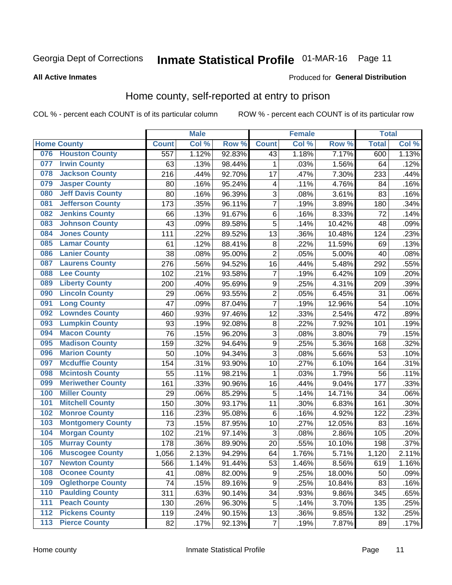# Inmate Statistical Profile 01-MAR-16 Page 11

#### **All Active Inmates**

#### Produced for General Distribution

### Home county, self-reported at entry to prison

COL % - percent each COUNT is of its particular column

|     |                          |              | <b>Male</b> |                  |                  | <b>Female</b> |        | <b>Total</b> |       |
|-----|--------------------------|--------------|-------------|------------------|------------------|---------------|--------|--------------|-------|
|     | <b>Home County</b>       | <b>Count</b> | Col %       | Row <sup>%</sup> | <b>Count</b>     | Col %         | Row %  | <b>Total</b> | Col % |
|     | 076 Houston County       | 557          | 1.12%       | 92.83%           | 43               | 1.18%         | 7.17%  | 600          | 1.13% |
| 077 | <b>Irwin County</b>      | 63           | .13%        | 98.44%           | 1                | .03%          | 1.56%  | 64           | .12%  |
| 078 | <b>Jackson County</b>    | 216          | .44%        | 92.70%           | 17               | .47%          | 7.30%  | 233          | .44%  |
| 079 | <b>Jasper County</b>     | 80           | .16%        | 95.24%           | 4                | .11%          | 4.76%  | 84           | .16%  |
| 080 | <b>Jeff Davis County</b> | 80           | .16%        | 96.39%           | 3                | .08%          | 3.61%  | 83           | .16%  |
| 081 | <b>Jefferson County</b>  | 173          | .35%        | 96.11%           | $\overline{7}$   | .19%          | 3.89%  | 180          | .34%  |
| 082 | <b>Jenkins County</b>    | 66           | .13%        | 91.67%           | $\,6$            | .16%          | 8.33%  | 72           | .14%  |
| 083 | <b>Johnson County</b>    | 43           | .09%        | 89.58%           | 5                | .14%          | 10.42% | 48           | .09%  |
| 084 | <b>Jones County</b>      | 111          | .22%        | 89.52%           | 13               | .36%          | 10.48% | 124          | .23%  |
| 085 | <b>Lamar County</b>      | 61           | .12%        | 88.41%           | $\bf 8$          | .22%          | 11.59% | 69           | .13%  |
| 086 | <b>Lanier County</b>     | 38           | .08%        | 95.00%           | $\overline{2}$   | .05%          | 5.00%  | 40           | .08%  |
| 087 | <b>Laurens County</b>    | 276          | .56%        | 94.52%           | 16               | .44%          | 5.48%  | 292          | .55%  |
| 088 | <b>Lee County</b>        | 102          | .21%        | 93.58%           | $\overline{7}$   | .19%          | 6.42%  | 109          | .20%  |
| 089 | <b>Liberty County</b>    | 200          | .40%        | 95.69%           | $\boldsymbol{9}$ | .25%          | 4.31%  | 209          | .39%  |
| 090 | <b>Lincoln County</b>    | 29           | .06%        | 93.55%           | $\overline{2}$   | .05%          | 6.45%  | 31           | .06%  |
| 091 | <b>Long County</b>       | 47           | .09%        | 87.04%           | $\overline{7}$   | .19%          | 12.96% | 54           | .10%  |
| 092 | <b>Lowndes County</b>    | 460          | .93%        | 97.46%           | 12               | .33%          | 2.54%  | 472          | .89%  |
| 093 | <b>Lumpkin County</b>    | 93           | .19%        | 92.08%           | $\bf 8$          | .22%          | 7.92%  | 101          | .19%  |
| 094 | <b>Macon County</b>      | 76           | .15%        | 96.20%           | 3                | .08%          | 3.80%  | 79           | .15%  |
| 095 | <b>Madison County</b>    | 159          | .32%        | 94.64%           | $\boldsymbol{9}$ | .25%          | 5.36%  | 168          | .32%  |
| 096 | <b>Marion County</b>     | 50           | .10%        | 94.34%           | 3                | .08%          | 5.66%  | 53           | .10%  |
| 097 | <b>Mcduffie County</b>   | 154          | .31%        | 93.90%           | 10               | .27%          | 6.10%  | 164          | .31%  |
| 098 | <b>Mcintosh County</b>   | 55           | .11%        | 98.21%           | 1                | .03%          | 1.79%  | 56           | .11%  |
| 099 | <b>Meriwether County</b> | 161          | .33%        | 90.96%           | 16               | .44%          | 9.04%  | 177          | .33%  |
| 100 | <b>Miller County</b>     | 29           | .06%        | 85.29%           | 5                | .14%          | 14.71% | 34           | .06%  |
| 101 | <b>Mitchell County</b>   | 150          | .30%        | 93.17%           | 11               | .30%          | 6.83%  | 161          | .30%  |
| 102 | <b>Monroe County</b>     | 116          | .23%        | 95.08%           | $\,6$            | .16%          | 4.92%  | 122          | .23%  |
| 103 | <b>Montgomery County</b> | 73           | .15%        | 87.95%           | 10               | .27%          | 12.05% | 83           | .16%  |
| 104 | <b>Morgan County</b>     | 102          | .21%        | 97.14%           | 3                | .08%          | 2.86%  | 105          | .20%  |
| 105 | <b>Murray County</b>     | 178          | .36%        | 89.90%           | 20               | .55%          | 10.10% | 198          | .37%  |
| 106 | <b>Muscogee County</b>   | 1,056        | 2.13%       | 94.29%           | 64               | 1.76%         | 5.71%  | 1,120        | 2.11% |
| 107 | <b>Newton County</b>     | 566          | 1.14%       | 91.44%           | 53               | 1.46%         | 8.56%  | 619          | 1.16% |
| 108 | <b>Oconee County</b>     | 41           | .08%        | 82.00%           | 9                | .25%          | 18.00% | 50           | .09%  |
| 109 | <b>Oglethorpe County</b> | 74           | .15%        | 89.16%           | $\boldsymbol{9}$ | .25%          | 10.84% | 83           | .16%  |
| 110 | <b>Paulding County</b>   | 311          | .63%        | 90.14%           | 34               | .93%          | 9.86%  | 345          | .65%  |
| 111 | <b>Peach County</b>      | 130          | .26%        | 96.30%           | 5                | .14%          | 3.70%  | 135          | .25%  |
| 112 | <b>Pickens County</b>    | 119          | .24%        | 90.15%           | 13               | .36%          | 9.85%  | 132          | .25%  |
| 113 | <b>Pierce County</b>     | 82           | .17%        | 92.13%           | $\overline{7}$   | .19%          | 7.87%  | 89           | .17%  |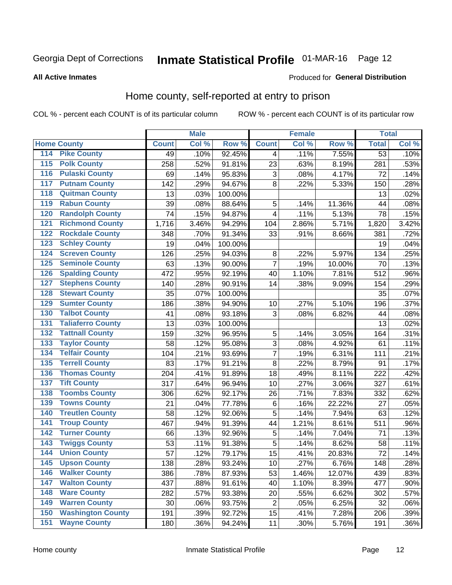# Inmate Statistical Profile 01-MAR-16 Page 12

#### **All Active Inmates**

#### Produced for General Distribution

### Home county, self-reported at entry to prison

COL % - percent each COUNT is of its particular column

|                  |                          |              | <b>Male</b> |                  |                | <b>Female</b> |                    | <b>Total</b> |         |
|------------------|--------------------------|--------------|-------------|------------------|----------------|---------------|--------------------|--------------|---------|
|                  | <b>Home County</b>       | <b>Count</b> | Col %       | Row <sup>%</sup> | <b>Count</b>   | Col %         | Row %              | <b>Total</b> | Col %   |
| 114              | <b>Pike County</b>       | 49           | .10%        | 92.45%           | 4              | .11%          | 7.55%              | 53           | .10%    |
| 115              | <b>Polk County</b>       | 258          | .52%        | 91.81%           | 23             | .63%          | 8.19%              | 281          | .53%    |
| 116              | <b>Pulaski County</b>    | 69           | .14%        | 95.83%           | 3              | .08%          | 4.17%              | 72           | .14%    |
| 117              | <b>Putnam County</b>     | 142          | .29%        | 94.67%           | 8              | .22%          | 5.33%              | 150          | .28%    |
| 118              | <b>Quitman County</b>    | 13           | .03%        | 100.00%          |                |               |                    | 13           | .02%    |
| 119              | <b>Rabun County</b>      | 39           | .08%        | 88.64%           | 5              | .14%          | 11.36%             | 44           | .08%    |
| 120              | <b>Randolph County</b>   | 74           | .15%        | 94.87%           | 4              | .11%          | 5.13%              | 78           | .15%    |
| $\overline{121}$ | <b>Richmond County</b>   | 1,716        | 3.46%       | 94.29%           | 104            | 2.86%         | $\frac{1}{5.71\%}$ | 1,820        | 3.42%   |
| 122              | <b>Rockdale County</b>   | 348          | .70%        | 91.34%           | 33             | .91%          | 8.66%              | 381          | .72%    |
| 123              | <b>Schley County</b>     | 19           | .04%        | 100.00%          |                |               |                    | 19           | .04%    |
| 124              | <b>Screven County</b>    | 126          | .25%        | 94.03%           | 8              | .22%          | 5.97%              | 134          | .25%    |
| 125              | <b>Seminole County</b>   | 63           | .13%        | 90.00%           | $\overline{7}$ | .19%          | 10.00%             | 70           | .13%    |
| 126              | <b>Spalding County</b>   | 472          | .95%        | 92.19%           | 40             | 1.10%         | 7.81%              | 512          | .96%    |
| 127              | <b>Stephens County</b>   | 140          | .28%        | 90.91%           | 14             | .38%          | 9.09%              | 154          | .29%    |
| 128              | <b>Stewart County</b>    | 35           | .07%        | 100.00%          |                |               |                    | 35           | .07%    |
| 129              | <b>Sumter County</b>     | 186          | .38%        | 94.90%           | 10             | .27%          | 5.10%              | 196          | .37%    |
| 130              | <b>Talbot County</b>     | 41           | .08%        | 93.18%           | 3              | .08%          | 6.82%              | 44           | .08%    |
| 131              | <b>Taliaferro County</b> | 13           | .03%        | 100.00%          |                |               |                    | 13           | .02%    |
| 132              | <b>Tattnall County</b>   | 159          | .32%        | 96.95%           | 5              | .14%          | 3.05%              | 164          | .31%    |
| 133              | <b>Taylor County</b>     | 58           | .12%        | 95.08%           | 3              | .08%          | 4.92%              | 61           | .11%    |
| 134              | <b>Telfair County</b>    | 104          | .21%        | 93.69%           | 7              | .19%          | 6.31%              | 111          | .21%    |
| 135              | <b>Terrell County</b>    | 83           | .17%        | 91.21%           | 8              | .22%          | 8.79%              | 91           | .17%    |
| 136              | <b>Thomas County</b>     | 204          | .41%        | 91.89%           | 18             | .49%          | 8.11%              | 222          | .42%    |
| 137              | <b>Tift County</b>       | 317          | .64%        | 96.94%           | 10             | .27%          | 3.06%              | 327          | .61%    |
| 138              | <b>Toombs County</b>     | 306          | .62%        | 92.17%           | 26             | .71%          | 7.83%              | 332          | .62%    |
| 139              | <b>Towns County</b>      | 21           | .04%        | 77.78%           | $\,6$          | .16%          | 22.22%             | 27           | .05%    |
| 140              | <b>Treutlen County</b>   | 58           | .12%        | 92.06%           | 5              | .14%          | 7.94%              | 63           | .12%    |
| 141              | <b>Troup County</b>      | 467          | .94%        | 91.39%           | 44             | 1.21%         | 8.61%              | 511          | .96%    |
| $\overline{142}$ | <b>Turner County</b>     | 66           | .13%        | 92.96%           | 5              | .14%          | 7.04%              | 71           | .13%    |
| 143              | <b>Twiggs County</b>     | 53           | .11%        | 91.38%           | 5              | .14%          | 8.62%              | 58           | .11%    |
| 144              | <b>Union County</b>      | 57           | .12%        | 79.17%           | 15             | .41%          | 20.83%             | 72           | .14%    |
| 145              | <b>Upson County</b>      | 138          | .28%        | 93.24%           | 10             | .27%          | 6.76%              | 148          | .28%    |
| 146              | <b>Walker County</b>     | 386          | .78%        | 87.93%           | 53             | 1.46%         | 12.07%             | 439          | .83%    |
| 147              | <b>Walton County</b>     | 437          | .88%        | 91.61%           | 40             | 1.10%         | 8.39%              | 477          | .90%    |
| 148              | <b>Ware County</b>       | 282          | .57%        | 93.38%           | 20             | .55%          | 6.62%              | 302          | .57%    |
| 149              | <b>Warren County</b>     | 30           | .06%        | 93.75%           | $\mathbf 2$    | .05%          | 6.25%              | 32           | .06%    |
| 150              | <b>Washington County</b> | 191          | .39%        | 92.72%           | 15             | .41%          | 7.28%              | 206          | .39%    |
| 151              | <b>Wayne County</b>      | 180          | .36%        | 94.24%           | 11             | .30%          | 5.76%              | 191          | $.36\%$ |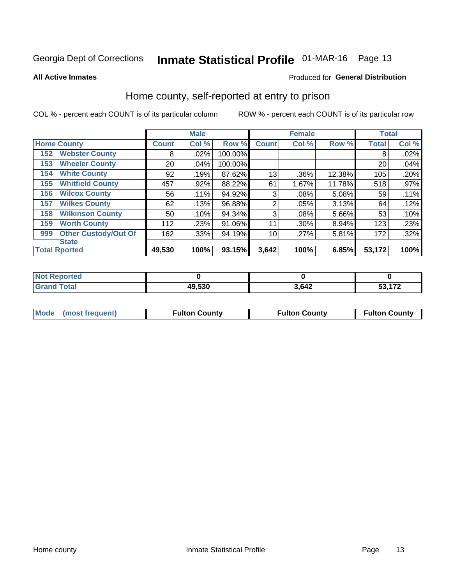# Inmate Statistical Profile 01-MAR-16 Page 13

**All Active Inmates** 

#### Produced for General Distribution

### Home county, self-reported at entry to prison

COL % - percent each COUNT is of its particular column

|     |                             |              | <b>Male</b> |         |                | <b>Female</b> |        | <b>Total</b> |       |
|-----|-----------------------------|--------------|-------------|---------|----------------|---------------|--------|--------------|-------|
|     | <b>Home County</b>          | <b>Count</b> | Col %       | Row %   | <b>Count</b>   | Col %         | Row %  | <b>Total</b> | Col % |
| 152 | <b>Webster County</b>       | 8            | .02%        | 100.00% |                |               |        | 8            | .02%  |
| 153 | <b>Wheeler County</b>       | 20           | .04%        | 100.00% |                |               |        | 20           | .04%  |
| 154 | <b>White County</b>         | 92           | .19%        | 87.62%  | 13             | .36%          | 12.38% | 105          | .20%  |
| 155 | <b>Whitfield County</b>     | 457          | .92%        | 88.22%  | 61             | 1.67%         | 11.78% | 518          | .97%  |
| 156 | <b>Wilcox County</b>        | 56           | .11%        | 94.92%  | 3              | .08%          | 5.08%  | 59           | .11%  |
| 157 | <b>Wilkes County</b>        | 62           | .13%        | 96.88%  | $\overline{2}$ | .05%          | 3.13%  | 64           | .12%  |
| 158 | <b>Wilkinson County</b>     | 50           | .10%        | 94.34%  | 3              | .08%          | 5.66%  | 53           | .10%  |
| 159 | <b>Worth County</b>         | 112          | .23%        | 91.06%  | 11             | .30%          | 8.94%  | 123          | .23%  |
| 999 | <b>Other Custody/Out Of</b> | 162          | .33%        | 94.19%  | 10             | .27%          | 5.81%  | 172          | .32%  |
|     | <b>State</b>                |              |             |         |                |               |        |              |       |
|     | <b>Total Rported</b>        | 49,530       | 100%        | 93.15%  | 3,642          | 100%          | 6.85%  | 53,172       | 100%  |

| 'Not<br>Reported |        |       |                     |
|------------------|--------|-------|---------------------|
| <b>Total</b>     | 49,530 | 3,642 | <b>EQ 470</b><br>-- |

| Mode (most frequent) | <b>Fulton County</b> | <b>Fulton County</b> | <b>Fulton County</b> |
|----------------------|----------------------|----------------------|----------------------|
|                      |                      |                      |                      |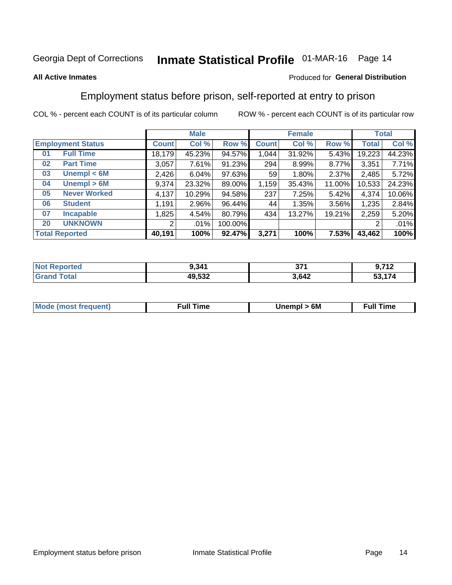# Inmate Statistical Profile 01-MAR-16 Page 14

#### **All Active Inmates**

#### Produced for General Distribution

### Employment status before prison, self-reported at entry to prison

COL % - percent each COUNT is of its particular column

|                           |              | <b>Male</b> |         |              | <b>Female</b> |        |              | <b>Total</b> |
|---------------------------|--------------|-------------|---------|--------------|---------------|--------|--------------|--------------|
| <b>Employment Status</b>  | <b>Count</b> | Col %       | Row %   | <b>Count</b> | Col %         | Row %  | <b>Total</b> | Col %        |
| <b>Full Time</b><br>01    | 18,179       | 45.23%      | 94.57%  | 1,044        | 31.92%        | 5.43%  | 19,223       | 44.23%       |
| <b>Part Time</b><br>02    | 3,057        | 7.61%       | 91.23%  | 294          | 8.99%         | 8.77%  | 3,351        | 7.71%        |
| Unempl $<$ 6M<br>03       | 2,426        | 6.04%       | 97.63%  | 59           | $1.80\%$      | 2.37%  | 2,485        | 5.72%        |
| Unempl > 6M<br>04         | 9,374        | 23.32%      | 89.00%  | 1,159        | 35.43%        | 11.00% | 10,533       | 24.23%       |
| <b>Never Worked</b><br>05 | 4,137        | 10.29%      | 94.58%  | 237          | 7.25%         | 5.42%  | 4,374        | 10.06%       |
| 06<br><b>Student</b>      | 1,191        | $2.96\%$    | 96.44%  | 44           | 1.35%         | 3.56%  | 1,235        | 2.84%        |
| 07<br><b>Incapable</b>    | 1,825        | 4.54%       | 80.79%  | 434          | 13.27%        | 19.21% | 2,259        | 5.20%        |
| <b>UNKNOWN</b><br>20      | 2            | $.01\%$     | 100.00% |              |               |        | 2            | .01%         |
| <b>Total Reported</b>     | 40,191       | 100%        | 92.47%  | 3,271        | 100%          | 7.53%  | 43,462       | 100%         |

| <b>Not Reported</b> | 9,341  | 274<br>v, | n 710<br>. IZ<br>J.I |
|---------------------|--------|-----------|----------------------|
| <b>Grand Total</b>  | 49,532 | 3,642     | 53,174               |

| <b>Mode (most frequent)</b> | 6M<br><b>Jnempl</b> | <b>Full Time</b> |
|-----------------------------|---------------------|------------------|
|                             |                     |                  |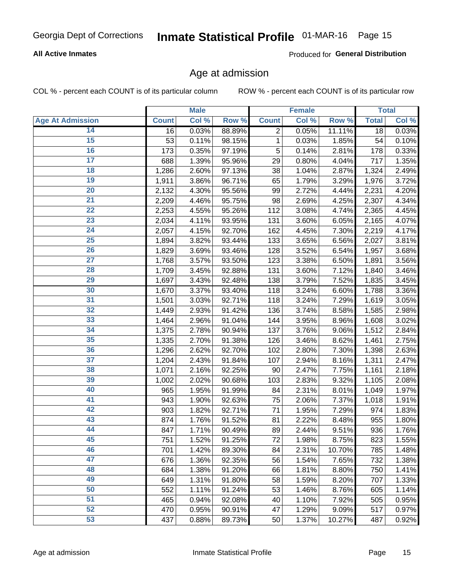#### **All Active Inmates**

Produced for General Distribution

### Age at admission

COL % - percent each COUNT is of its particular column

|                         |              | <b>Male</b> |        |              | <b>Female</b> |        |              | <b>Total</b> |
|-------------------------|--------------|-------------|--------|--------------|---------------|--------|--------------|--------------|
| <b>Age At Admission</b> | <b>Count</b> | Col %       | Row %  | <b>Count</b> | Col %         | Row %  | <b>Total</b> | Col %        |
| 14                      | 16           | 0.03%       | 88.89% | 2            | 0.05%         | 11.11% | 18           | 0.03%        |
| $\overline{15}$         | 53           | 0.11%       | 98.15% | $\mathbf{1}$ | 0.03%         | 1.85%  | 54           | 0.10%        |
| 16                      | 173          | 0.35%       | 97.19% | 5            | 0.14%         | 2.81%  | 178          | 0.33%        |
| $\overline{17}$         | 688          | 1.39%       | 95.96% | 29           | 0.80%         | 4.04%  | 717          | 1.35%        |
| $\overline{18}$         | 1,286        | 2.60%       | 97.13% | 38           | 1.04%         | 2.87%  | 1,324        | 2.49%        |
| 19                      | 1,911        | 3.86%       | 96.71% | 65           | 1.79%         | 3.29%  | 1,976        | 3.72%        |
| $\overline{20}$         | 2,132        | 4.30%       | 95.56% | 99           | 2.72%         | 4.44%  | 2,231        | 4.20%        |
| $\overline{21}$         | 2,209        | 4.46%       | 95.75% | 98           | 2.69%         | 4.25%  | 2,307        | 4.34%        |
| $\overline{22}$         | 2,253        | 4.55%       | 95.26% | 112          | 3.08%         | 4.74%  | 2,365        | 4.45%        |
| $\overline{23}$         | 2,034        | 4.11%       | 93.95% | 131          | 3.60%         | 6.05%  | 2,165        | 4.07%        |
| $\overline{24}$         | 2,057        | 4.15%       | 92.70% | 162          | 4.45%         | 7.30%  | 2,219        | 4.17%        |
| 25                      | 1,894        | 3.82%       | 93.44% | 133          | 3.65%         | 6.56%  | 2,027        | 3.81%        |
| $\overline{26}$         | 1,829        | 3.69%       | 93.46% | 128          | 3.52%         | 6.54%  | 1,957        | 3.68%        |
| $\overline{27}$         | 1,768        | 3.57%       | 93.50% | 123          | 3.38%         | 6.50%  | 1,891        | 3.56%        |
| 28                      | 1,709        | 3.45%       | 92.88% | 131          | 3.60%         | 7.12%  | 1,840        | 3.46%        |
| 29                      | 1,697        | 3.43%       | 92.48% | 138          | 3.79%         | 7.52%  | 1,835        | 3.45%        |
| 30                      | 1,670        | 3.37%       | 93.40% | 118          | 3.24%         | 6.60%  | 1,788        | 3.36%        |
| $\overline{31}$         | 1,501        | 3.03%       | 92.71% | 118          | 3.24%         | 7.29%  | 1,619        | 3.05%        |
| 32                      | 1,449        | 2.93%       | 91.42% | 136          | 3.74%         | 8.58%  | 1,585        | 2.98%        |
| 33                      | 1,464        | 2.96%       | 91.04% | 144          | 3.95%         | 8.96%  | 1,608        | 3.02%        |
| 34                      | 1,375        | 2.78%       | 90.94% | 137          | 3.76%         | 9.06%  | 1,512        | 2.84%        |
| 35                      | 1,335        | 2.70%       | 91.38% | 126          | 3.46%         | 8.62%  | 1,461        | 2.75%        |
| 36                      | 1,296        | 2.62%       | 92.70% | 102          | 2.80%         | 7.30%  | 1,398        | 2.63%        |
| $\overline{37}$         | 1,204        | 2.43%       | 91.84% | 107          | 2.94%         | 8.16%  | 1,311        | 2.47%        |
| 38                      | 1,071        | 2.16%       | 92.25% | 90           | 2.47%         | 7.75%  | 1,161        | 2.18%        |
| 39                      | 1,002        | 2.02%       | 90.68% | 103          | 2.83%         | 9.32%  | 1,105        | 2.08%        |
| 40                      | 965          | 1.95%       | 91.99% | 84           | 2.31%         | 8.01%  | 1,049        | 1.97%        |
| 41                      | 943          | 1.90%       | 92.63% | 75           | 2.06%         | 7.37%  | 1,018        | 1.91%        |
| 42                      | 903          | 1.82%       | 92.71% | 71           | 1.95%         | 7.29%  | 974          | 1.83%        |
| 43                      | 874          | 1.76%       | 91.52% | 81           | 2.22%         | 8.48%  | 955          | 1.80%        |
| 44                      | 847          | 1.71%       | 90.49% | 89           | 2.44%         | 9.51%  | 936          | 1.76%        |
| 45                      | 751          | 1.52%       | 91.25% | 72           | 1.98%         | 8.75%  | 823          | 1.55%        |
| 46                      | 701          | 1.42%       | 89.30% | 84           | 2.31%         | 10.70% | 785          | 1.48%        |
| 47                      | 676          | 1.36%       | 92.35% | 56           | 1.54%         | 7.65%  | 732          | 1.38%        |
| 48                      | 684          | 1.38%       | 91.20% | 66           | 1.81%         | 8.80%  | 750          | 1.41%        |
| 49                      | 649          | 1.31%       | 91.80% | 58           | 1.59%         | 8.20%  | 707          | 1.33%        |
| 50                      | 552          | 1.11%       | 91.24% | 53           | 1.46%         | 8.76%  | 605          | 1.14%        |
| 51                      | 465          | 0.94%       | 92.08% | 40           | 1.10%         | 7.92%  | 505          | 0.95%        |
| 52                      | 470          | 0.95%       | 90.91% | 47           | 1.29%         | 9.09%  | 517          | 0.97%        |
| 53                      | 437          | 0.88%       | 89.73% | 50           | 1.37%         | 10.27% | 487          | 0.92%        |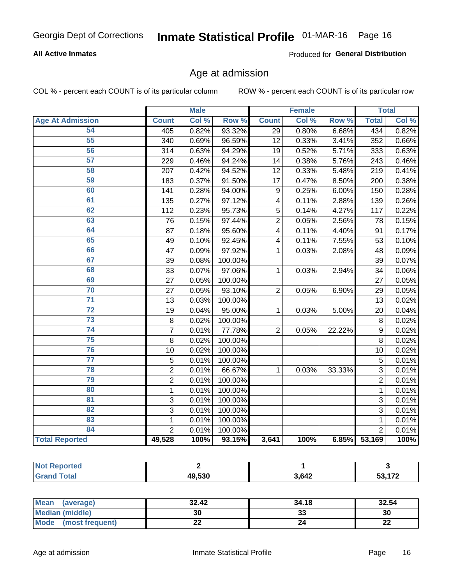#### **All Active Inmates**

Produced for General Distribution

## Age at admission

COL % - percent each COUNT is of its particular column

|                         |                | <b>Male</b> |         |                | <b>Female</b> |        |                 | <b>Total</b> |
|-------------------------|----------------|-------------|---------|----------------|---------------|--------|-----------------|--------------|
| <b>Age At Admission</b> | <b>Count</b>   | Col %       | Row %   | <b>Count</b>   | Col %         | Row %  | <b>Total</b>    | Col %        |
| 54                      | 405            | 0.82%       | 93.32%  | 29             | 0.80%         | 6.68%  | 434             | 0.82%        |
| 55                      | 340            | 0.69%       | 96.59%  | 12             | 0.33%         | 3.41%  | 352             | 0.66%        |
| 56                      | 314            | 0.63%       | 94.29%  | 19             | 0.52%         | 5.71%  | 333             | 0.63%        |
| 57                      | 229            | 0.46%       | 94.24%  | 14             | 0.38%         | 5.76%  | 243             | 0.46%        |
| 58                      | 207            | 0.42%       | 94.52%  | 12             | 0.33%         | 5.48%  | 219             | 0.41%        |
| 59                      | 183            | 0.37%       | 91.50%  | 17             | 0.47%         | 8.50%  | 200             | 0.38%        |
| 60                      | 141            | 0.28%       | 94.00%  | 9              | 0.25%         | 6.00%  | 150             | 0.28%        |
| 61                      | 135            | 0.27%       | 97.12%  | 4              | 0.11%         | 2.88%  | 139             | 0.26%        |
| 62                      | 112            | 0.23%       | 95.73%  | 5              | 0.14%         | 4.27%  | 117             | 0.22%        |
| 63                      | 76             | 0.15%       | 97.44%  | $\overline{2}$ | 0.05%         | 2.56%  | 78              | 0.15%        |
| 64                      | 87             | 0.18%       | 95.60%  | 4              | 0.11%         | 4.40%  | 91              | 0.17%        |
| 65                      | 49             | 0.10%       | 92.45%  | 4              | 0.11%         | 7.55%  | 53              | 0.10%        |
| 66                      | 47             | 0.09%       | 97.92%  | 1              | 0.03%         | 2.08%  | 48              | 0.09%        |
| 67                      | 39             | 0.08%       | 100.00% |                |               |        | 39              | 0.07%        |
| 68                      | 33             | 0.07%       | 97.06%  | 1              | 0.03%         | 2.94%  | 34              | 0.06%        |
| 69                      | 27             | 0.05%       | 100.00% |                |               |        | 27              | 0.05%        |
| 70                      | 27             | 0.05%       | 93.10%  | $\overline{2}$ | 0.05%         | 6.90%  | 29              | 0.05%        |
| $\overline{71}$         | 13             | 0.03%       | 100.00% |                |               |        | $\overline{13}$ | 0.02%        |
| $\overline{72}$         | 19             | 0.04%       | 95.00%  | 1              | 0.03%         | 5.00%  | 20              | 0.04%        |
| $\overline{73}$         | 8              | 0.02%       | 100.00% |                |               |        | 8               | 0.02%        |
| 74                      | $\overline{7}$ | 0.01%       | 77.78%  | $\overline{2}$ | 0.05%         | 22.22% | 9               | 0.02%        |
| 75                      | 8              | 0.02%       | 100.00% |                |               |        | 8               | 0.02%        |
| 76                      | 10             | 0.02%       | 100.00% |                |               |        | 10              | 0.02%        |
| $\overline{77}$         | 5              | 0.01%       | 100.00% |                |               |        | 5               | 0.01%        |
| 78                      | $\overline{2}$ | 0.01%       | 66.67%  | 1              | 0.03%         | 33.33% | 3               | 0.01%        |
| 79                      | $\overline{2}$ | 0.01%       | 100.00% |                |               |        | $\overline{2}$  | 0.01%        |
| 80                      | $\mathbf{1}$   | 0.01%       | 100.00% |                |               |        | $\mathbf{1}$    | 0.01%        |
| 81                      | $\overline{3}$ | 0.01%       | 100.00% |                |               |        | 3               | 0.01%        |
| $\overline{82}$         | 3              | 0.01%       | 100.00% |                |               |        | 3               | 0.01%        |
| 83                      | $\mathbf{1}$   | 0.01%       | 100.00% |                |               |        | 1               | 0.01%        |
| 84                      | $\overline{2}$ | 0.01%       | 100.00% |                |               |        | $\overline{2}$  | 0.01%        |
| <b>Total Reported</b>   | 49,528         | 100%        | 93.15%  | 3,641          | 100%          | 6.85%  | 53,169          | 100%         |

| keported<br><b>NOT</b> |        |       |     |
|------------------------|--------|-------|-----|
| ™ota⊾                  | 49,530 | 3,642 | 470 |

| Mean<br>(average)              | 32.42 | 34.18 | 32.54    |
|--------------------------------|-------|-------|----------|
| <b>Median (middle)</b>         | 30    | აა    | 30       |
| <b>Mode</b><br>(most frequent) | ∸∸    |       | n,<br>LL |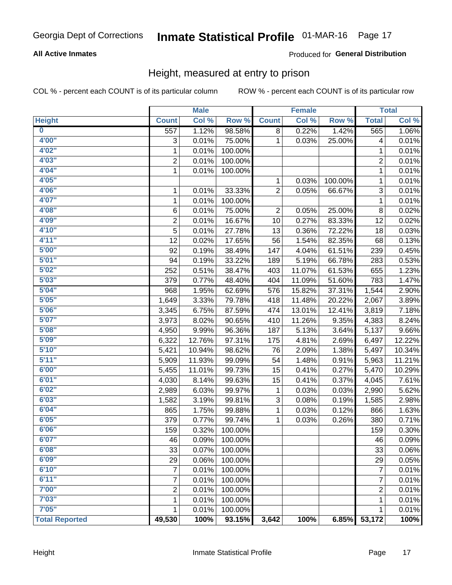#### **All Active Inmates**

#### Produced for General Distribution

### Height, measured at entry to prison

COL % - percent each COUNT is of its particular column

|                         |                  | <b>Male</b> |         |                | <b>Female</b> |         |                         | <b>Total</b> |
|-------------------------|------------------|-------------|---------|----------------|---------------|---------|-------------------------|--------------|
| <b>Height</b>           | <b>Count</b>     | Col %       | Row %   | <b>Count</b>   | Col %         | Row %   | <b>Total</b>            | Col %        |
| $\overline{\mathbf{0}}$ | $\overline{557}$ | 1.12%       | 98.58%  | 8              | 0.22%         | 1.42%   | 565                     | 1.06%        |
| 4'00"                   | 3                | 0.01%       | 75.00%  | 1              | 0.03%         | 25.00%  | 4                       | 0.01%        |
| 4'02''                  | $\mathbf{1}$     | 0.01%       | 100.00% |                |               |         | 1                       | 0.01%        |
| 4'03''                  | $\overline{c}$   | 0.01%       | 100.00% |                |               |         | $\overline{\mathbf{c}}$ | 0.01%        |
| 4'04"                   | $\mathbf{1}$     | 0.01%       | 100.00% |                |               |         | 1                       | 0.01%        |
| 4'05"                   |                  |             |         | 1              | 0.03%         | 100.00% | 1                       | 0.01%        |
| 4'06"                   | 1                | 0.01%       | 33.33%  | $\overline{2}$ | 0.05%         | 66.67%  | 3                       | 0.01%        |
| 4'07"                   | 1                | 0.01%       | 100.00% |                |               |         | 1                       | 0.01%        |
| 4'08"                   | 6                | 0.01%       | 75.00%  | 2              | 0.05%         | 25.00%  | 8                       | 0.02%        |
| 4'09"                   | $\overline{c}$   | 0.01%       | 16.67%  | 10             | 0.27%         | 83.33%  | 12                      | 0.02%        |
| 4'10"                   | 5                | 0.01%       | 27.78%  | 13             | 0.36%         | 72.22%  | 18                      | 0.03%        |
| 4'11''                  | 12               | 0.02%       | 17.65%  | 56             | 1.54%         | 82.35%  | 68                      | 0.13%        |
| 5'00''                  | 92               | 0.19%       | 38.49%  | 147            | 4.04%         | 61.51%  | 239                     | 0.45%        |
| 5'01"                   | 94               | 0.19%       | 33.22%  | 189            | 5.19%         | 66.78%  | 283                     | 0.53%        |
| 5'02"                   | 252              | 0.51%       | 38.47%  | 403            | 11.07%        | 61.53%  | 655                     | 1.23%        |
| 5'03''                  | 379              | 0.77%       | 48.40%  | 404            | 11.09%        | 51.60%  | 783                     | 1.47%        |
| 5'04"                   | 968              | 1.95%       | 62.69%  | 576            | 15.82%        | 37.31%  | 1,544                   | 2.90%        |
| 5'05"                   | 1,649            | 3.33%       | 79.78%  | 418            | 11.48%        | 20.22%  | 2,067                   | 3.89%        |
| 5'06''                  | 3,345            | 6.75%       | 87.59%  | 474            | 13.01%        | 12.41%  | 3,819                   | 7.18%        |
| 5'07''                  | 3,973            | 8.02%       | 90.65%  | 410            | 11.26%        | 9.35%   | 4,383                   | 8.24%        |
| 5'08''                  | 4,950            | 9.99%       | 96.36%  | 187            | 5.13%         | 3.64%   | 5,137                   | 9.66%        |
| 5'09''                  | 6,322            | 12.76%      | 97.31%  | 175            | 4.81%         | 2.69%   | 6,497                   | 12.22%       |
| 5'10''                  | 5,421            | 10.94%      | 98.62%  | 76             | 2.09%         | 1.38%   | 5,497                   | 10.34%       |
| 5'11"                   | 5,909            | 11.93%      | 99.09%  | 54             | 1.48%         | 0.91%   | 5,963                   | 11.21%       |
| 6'00''                  | 5,455            | 11.01%      | 99.73%  | 15             | 0.41%         | 0.27%   | 5,470                   | 10.29%       |
| 6'01''                  | 4,030            | 8.14%       | 99.63%  | 15             | 0.41%         | 0.37%   | 4,045                   | 7.61%        |
| 6'02"                   | 2,989            | 6.03%       | 99.97%  | 1              | 0.03%         | 0.03%   | 2,990                   | 5.62%        |
| 6'03''                  | 1,582            | 3.19%       | 99.81%  | 3              | 0.08%         | 0.19%   | 1,585                   | 2.98%        |
| 6'04"                   | 865              | 1.75%       | 99.88%  | 1              | 0.03%         | 0.12%   | 866                     | 1.63%        |
| 6'05"                   | 379              | 0.77%       | 99.74%  | 1              | 0.03%         | 0.26%   | 380                     | 0.71%        |
| 6'06"                   | 159              | 0.32%       | 100.00% |                |               |         | 159                     | 0.30%        |
| 6'07"                   | 46               | 0.09%       | 100.00% |                |               |         | 46                      | 0.09%        |
| 6'08''                  | 33               | 0.07%       | 100.00% |                |               |         | 33                      | 0.06%        |
| 6'09''                  | 29               | 0.06%       | 100.00% |                |               |         | 29                      | 0.05%        |
| 6'10''                  | 7                | 0.01%       | 100.00% |                |               |         | $\overline{7}$          | 0.01%        |
| 6'11''                  | 7                | 0.01%       | 100.00% |                |               |         | $\overline{7}$          | 0.01%        |
| 7'00"                   | 2                | 0.01%       | 100.00% |                |               |         | $\overline{2}$          | 0.01%        |
| 7'03''                  | 1                | 0.01%       | 100.00% |                |               |         | 1                       | 0.01%        |
| 7'05''                  | 1                | 0.01%       | 100.00% |                |               |         | 1                       | 0.01%        |
| <b>Total Reported</b>   | 49,530           | 100%        | 93.15%  | 3,642          | 100%          | 6.85%   | 53,172                  | 100%         |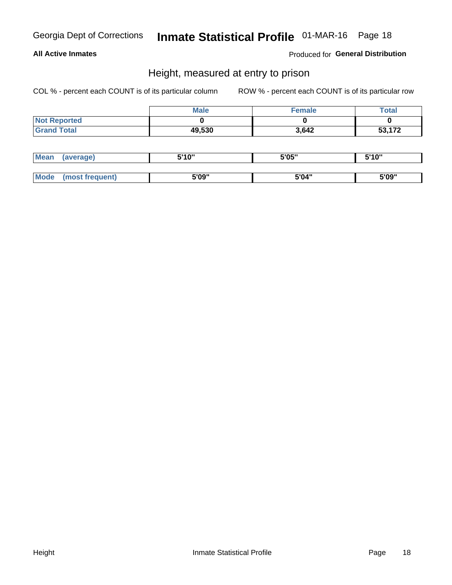#### **All Active Inmates**

Produced for General Distribution

### Height, measured at entry to prison

COL % - percent each COUNT is of its particular column

|                     | <b>Male</b> | Female | Total  |
|---------------------|-------------|--------|--------|
| <b>Not Reported</b> |             |        |        |
| <b>Grand Total</b>  | 49,530      | 3,642  | 53,172 |

| <b>Mean</b> | erage) | 5'10" | 5'05" | <b>CIA AIL</b><br>. . |
|-------------|--------|-------|-------|-----------------------|
|             |        |       |       |                       |
| <b>Mode</b> |        | 5'09" | 5'04" | 5'09"                 |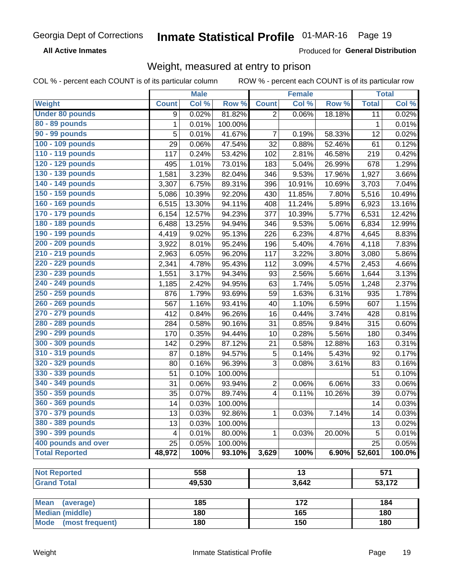**All Active Inmates** 

Produced for General Distribution

## Weight, measured at entry to prison

COL % - percent each COUNT is of its particular column

|                                                    |              | <b>Male</b> |         |                         | <b>Female</b>    |        |              | <b>Total</b>        |
|----------------------------------------------------|--------------|-------------|---------|-------------------------|------------------|--------|--------------|---------------------|
| Weight                                             | <b>Count</b> | Col %       | Row %   | <b>Count</b>            | Col %            | Row %  | <b>Total</b> | Col %               |
| <b>Under 80 pounds</b>                             | 9            | 0.02%       | 81.82%  | $\overline{2}$          | 0.06%            | 18.18% | 11           | 0.02%               |
| 80 - 89 pounds                                     | 1            | 0.01%       | 100.00% |                         |                  |        | 1            | 0.01%               |
| 90 - 99 pounds                                     | 5            | 0.01%       | 41.67%  | 7                       | 0.19%            | 58.33% | 12           | 0.02%               |
| 100 - 109 pounds                                   | 29           | 0.06%       | 47.54%  | 32                      | 0.88%            | 52.46% | 61           | 0.12%               |
| 110 - 119 pounds                                   | 117          | 0.24%       | 53.42%  | 102                     | 2.81%            | 46.58% | 219          | 0.42%               |
| 120 - 129 pounds                                   | 495          | 1.01%       | 73.01%  | 183                     | 5.04%            | 26.99% | 678          | 1.29%               |
| 130 - 139 pounds                                   | 1,581        | 3.23%       | 82.04%  | 346                     | 9.53%            | 17.96% | 1,927        | 3.66%               |
| 140 - 149 pounds                                   | 3,307        | 6.75%       | 89.31%  | 396                     | 10.91%           | 10.69% | 3,703        | 7.04%               |
| 150 - 159 pounds                                   | 5,086        | 10.39%      | 92.20%  | 430                     | 11.85%           | 7.80%  | 5,516        | 10.49%              |
| 160 - 169 pounds                                   | 6,515        | 13.30%      | 94.11%  | 408                     | 11.24%           | 5.89%  | 6,923        | 13.16%              |
| 170 - 179 pounds                                   | 6,154        | 12.57%      | 94.23%  | 377                     | 10.39%           | 5.77%  | 6,531        | 12.42%              |
| 180 - 189 pounds                                   | 6,488        | 13.25%      | 94.94%  | 346                     | 9.53%            | 5.06%  | 6,834        | 12.99%              |
| 190 - 199 pounds                                   | 4,419        | 9.02%       | 95.13%  | 226                     | 6.23%            | 4.87%  | 4,645        | 8.83%               |
| 200 - 209 pounds                                   | 3,922        | 8.01%       | 95.24%  | 196                     | 5.40%            | 4.76%  | 4,118        | 7.83%               |
| 210 - 219 pounds                                   | 2,963        | 6.05%       | 96.20%  | 117                     | 3.22%            | 3.80%  | 3,080        | 5.86%               |
| 220 - 229 pounds                                   | 2,341        | 4.78%       | 95.43%  | 112                     | 3.09%            | 4.57%  | 2,453        | 4.66%               |
| 230 - 239 pounds                                   | 1,551        | 3.17%       | 94.34%  | 93                      | 2.56%            | 5.66%  | 1,644        | 3.13%               |
| 240 - 249 pounds                                   | 1,185        | 2.42%       | 94.95%  | 63                      | 1.74%            | 5.05%  | 1,248        | 2.37%               |
| 250 - 259 pounds                                   | 876          | 1.79%       | 93.69%  | 59                      | 1.63%            | 6.31%  | 935          | 1.78%               |
| 260 - 269 pounds                                   | 567          | 1.16%       | 93.41%  | 40                      | 1.10%            | 6.59%  | 607          | 1.15%               |
| 270 - 279 pounds                                   | 412          | 0.84%       | 96.26%  | 16                      | 0.44%            | 3.74%  | 428          | 0.81%               |
| 280 - 289 pounds                                   | 284          | 0.58%       | 90.16%  | 31                      | 0.85%            | 9.84%  | 315          | 0.60%               |
| 290 - 299 pounds                                   | 170          | 0.35%       | 94.44%  | 10                      | 0.28%            | 5.56%  | 180          | 0.34%               |
| 300 - 309 pounds                                   | 142          | 0.29%       | 87.12%  | 21                      | 0.58%            | 12.88% | 163          | 0.31%               |
| 310 - 319 pounds                                   | 87           | 0.18%       | 94.57%  | 5                       | 0.14%            | 5.43%  | 92           | 0.17%               |
| 320 - 329 pounds                                   | 80           | 0.16%       | 96.39%  | 3                       | 0.08%            | 3.61%  | 83           | 0.16%               |
| 330 - 339 pounds                                   | 51           | 0.10%       | 100.00% |                         |                  |        | 51           | 0.10%               |
| 340 - 349 pounds                                   | 31           | 0.06%       | 93.94%  | $\overline{2}$          | 0.06%            | 6.06%  | 33           | 0.06%               |
| 350 - 359 pounds                                   | 35           | 0.07%       | 89.74%  | $\overline{\mathbf{4}}$ | 0.11%            | 10.26% | 39           | 0.07%               |
| 360 - 369 pounds                                   | 14           | 0.03%       | 100.00% |                         |                  |        | 14           | $\overline{0.03\%}$ |
| 370 - 379 pounds                                   | 13           | 0.03%       | 92.86%  | 1                       | 0.03%            | 7.14%  | 14           | 0.03%               |
| 380 - 389 pounds                                   | 13           | 0.03%       | 100.00% |                         |                  |        | 13           | 0.02%               |
| 390 - 399 pounds                                   | 4            | 0.01%       | 80.00%  | 1                       | 0.03%            | 20.00% | 5            | 0.01%               |
| 400 pounds and over                                | 25           | 0.05%       | 100.00% |                         |                  |        | 25           | 0.05%               |
| <b>Total Reported</b>                              | 48,972       | 100%        | 93.10%  | 3,629                   | 100%             | 6.90%  | 52,601       | 100.0%              |
|                                                    |              |             |         |                         |                  |        |              |                     |
| <b>Not Reported</b>                                |              | 558         |         |                         | $\overline{13}$  |        |              | 571                 |
| <b>Grand Total</b>                                 |              | 49,530      |         |                         | 3,642            |        |              | 53,172              |
|                                                    |              |             |         |                         |                  |        |              |                     |
| <b>Mean</b><br>(average)<br><b>Median (middle)</b> |              | 185         |         |                         | $\overline{172}$ |        |              | 184                 |
| <b>Mode</b><br>(most frequent)                     |              | 180<br>180  |         |                         | 165<br>150       |        |              | 180<br>180          |
|                                                    |              |             |         |                         |                  |        |              |                     |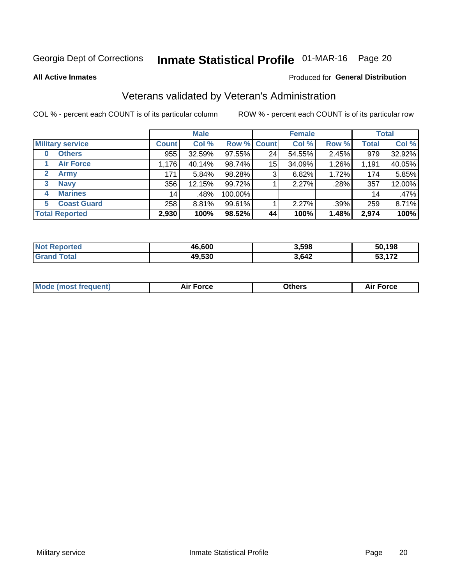# Inmate Statistical Profile 01-MAR-16 Page 20

**All Active Inmates** 

#### Produced for General Distribution

### Veterans validated by Veteran's Administration

COL % - percent each COUNT is of its particular column

|                             |              | <b>Male</b> |         |                    | <b>Female</b> |       |              | <b>Total</b> |  |
|-----------------------------|--------------|-------------|---------|--------------------|---------------|-------|--------------|--------------|--|
| <b>Military service</b>     | <b>Count</b> | Col %       |         | <b>Row % Count</b> | Col %         | Row % | <b>Total</b> | Col %        |  |
| <b>Others</b><br>0          | 955          | 32.59%      | 97.55%  | 24                 | 54.55%        | 2.45% | 979          | 32.92%       |  |
| <b>Air Force</b>            | 1,176        | 40.14%      | 98.74%  | 15                 | 34.09%        | 1.26% | 1,191        | 40.05%       |  |
| <b>Army</b><br>$\mathbf{2}$ | 171          | 5.84%       | 98.28%  | 3                  | 6.82%         | 1.72% | 174          | 5.85%        |  |
| <b>Navy</b><br>3            | 356          | 12.15%      | 99.72%  |                    | 2.27%         | .28%  | 357          | 12.00%       |  |
| <b>Marines</b><br>4         | 14           | .48%        | 100.00% |                    |               |       | 14           | .47%         |  |
| <b>Coast Guard</b><br>5.    | 258          | 8.81%       | 99.61%  |                    | 2.27%         | .39%  | 259          | 8.71%        |  |
| <b>Total Reported</b>       | 2,930        | 100%        | 98.52%  | 44                 | 100%          | 1.48% | 2,974        | 100%         |  |

| orted<br><b>NOT</b> | 46,600 | 3,598 | 50,198 |
|---------------------|--------|-------|--------|
| <b>ota</b>          | 49,530 | 3,642 | - 270  |

|  |  | <b>Mode (most frequent)</b> | <b>Force</b><br>Aır | วthers | orce |
|--|--|-----------------------------|---------------------|--------|------|
|--|--|-----------------------------|---------------------|--------|------|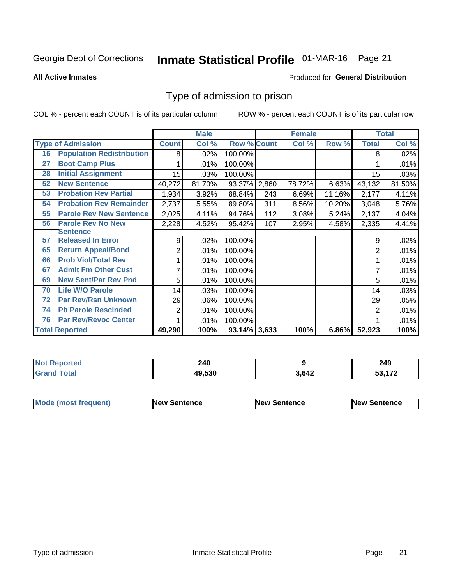# Inmate Statistical Profile 01-MAR-16 Page 21

**All Active Inmates** 

#### **Produced for General Distribution**

### Type of admission to prison

COL % - percent each COUNT is of its particular column

|    |                                  |              | <b>Male</b> |                    |     | <b>Female</b> |        |                | <b>Total</b> |
|----|----------------------------------|--------------|-------------|--------------------|-----|---------------|--------|----------------|--------------|
|    | <b>Type of Admission</b>         | <b>Count</b> | Col %       | <b>Row % Count</b> |     | Col %         | Row %  | <b>Total</b>   | Col %        |
| 16 | <b>Population Redistribution</b> | 8            | .02%        | 100.00%            |     |               |        | 8              | .02%         |
| 27 | <b>Boot Camp Plus</b>            |              | .01%        | 100.00%            |     |               |        |                | .01%         |
| 28 | <b>Initial Assignment</b>        | 15           | .03%        | 100.00%            |     |               |        | 15             | .03%         |
| 52 | <b>New Sentence</b>              | 40,272       | 81.70%      | 93.37% 2,860       |     | 78.72%        | 6.63%  | 43,132         | 81.50%       |
| 53 | <b>Probation Rev Partial</b>     | 1,934        | 3.92%       | 88.84%             | 243 | 6.69%         | 11.16% | 2,177          | 4.11%        |
| 54 | <b>Probation Rev Remainder</b>   | 2,737        | 5.55%       | 89.80%             | 311 | 8.56%         | 10.20% | 3,048          | 5.76%        |
| 55 | <b>Parole Rev New Sentence</b>   | 2,025        | 4.11%       | 94.76%             | 112 | 3.08%         | 5.24%  | 2,137          | 4.04%        |
| 56 | <b>Parole Rev No New</b>         | 2,228        | 4.52%       | 95.42%             | 107 | 2.95%         | 4.58%  | 2,335          | 4.41%        |
|    | <b>Sentence</b>                  |              |             |                    |     |               |        |                |              |
| 57 | <b>Released In Error</b>         | 9            | .02%        | 100.00%            |     |               |        | 9              | .02%         |
| 65 | <b>Return Appeal/Bond</b>        | 2            | .01%        | 100.00%            |     |               |        | 2              | .01%         |
| 66 | <b>Prob Viol/Total Rev</b>       |              | .01%        | 100.00%            |     |               |        |                | .01%         |
| 67 | <b>Admit Fm Other Cust</b>       | 7            | .01%        | 100.00%            |     |               |        |                | .01%         |
| 69 | <b>New Sent/Par Rev Pnd</b>      | 5            | .01%        | 100.00%            |     |               |        | 5              | .01%         |
| 70 | <b>Life W/O Parole</b>           | 14           | .03%        | 100.00%            |     |               |        | 14             | .03%         |
| 72 | <b>Par Rev/Rsn Unknown</b>       | 29           | .06%        | 100.00%            |     |               |        | 29             | .05%         |
| 74 | <b>Pb Parole Rescinded</b>       | 2            | .01%        | 100.00%            |     |               |        | $\overline{2}$ | .01%         |
| 76 | <b>Par Rev/Revoc Center</b>      |              | .01%        | 100.00%            |     |               |        |                | .01%         |
|    | <b>Total Reported</b>            | 49,290       | 100%        | $93.14\%$ 3,633    |     | 100%          | 6.86%  | 52,923         | 100%         |

| <b>Not</b><br><b><i><u>coorted</u></i></b> | 240<br>$\sim$ |       | 249    |
|--------------------------------------------|---------------|-------|--------|
| <b>cotal</b><br>Gra                        | 10 52C        | 3,642 | $\sim$ |

| <b>Mode (most frequent)</b> | New Sentence | <b>New Sentence</b> | <b>New Sentence</b> |
|-----------------------------|--------------|---------------------|---------------------|
|                             |              |                     |                     |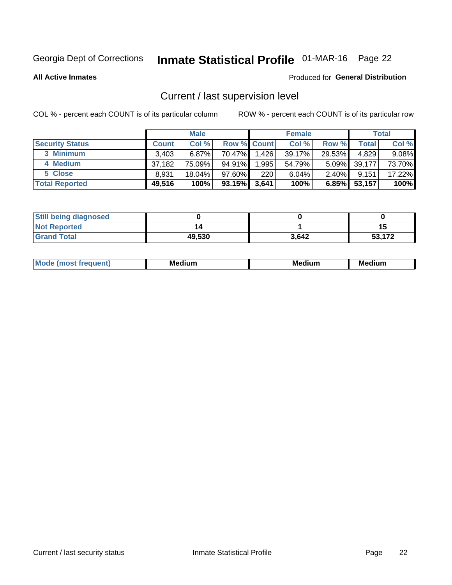# Inmate Statistical Profile 01-MAR-16 Page 22

**All Active Inmates** 

#### Produced for General Distribution

## Current / last supervision level

COL % - percent each COUNT is of its particular column

|                        |              | <b>Male</b> |                    |       | <b>Female</b> |          |        | <b>Total</b> |
|------------------------|--------------|-------------|--------------------|-------|---------------|----------|--------|--------------|
| <b>Security Status</b> | <b>Count</b> | Col %       | <b>Row % Count</b> |       | Col %         | Row %    | Total  | Col %        |
| 3 Minimum              | 3.403        | $6.87\%$    | 70.47%             | 1.426 | $39.17\%$     | 29.53%   | 4,829  | 9.08%        |
| 4 Medium               | 37,182       | 75.09%      | 94.91%             | .995  | 54.79%        | $5.09\%$ | 39,177 | 73.70%       |
| 5 Close                | 8,931        | 18.04%      | $97.60\%$          | 220   | 6.04%         | $2.40\%$ | 9,151  | 17.22%       |
| <b>Total Reported</b>  | 49,516       | 100%        | 93.15%             | 3,641 | 100%          | $6.85\%$ | 53,157 | 100%         |

| <b>Still being diagnosed</b> |        |       |        |
|------------------------------|--------|-------|--------|
| <b>Not Reported</b>          |        |       | 15     |
| <b>Grand Total</b>           | 49,530 | 3,642 | 53,172 |

| M | . | -- |
|---|---|----|
|   |   |    |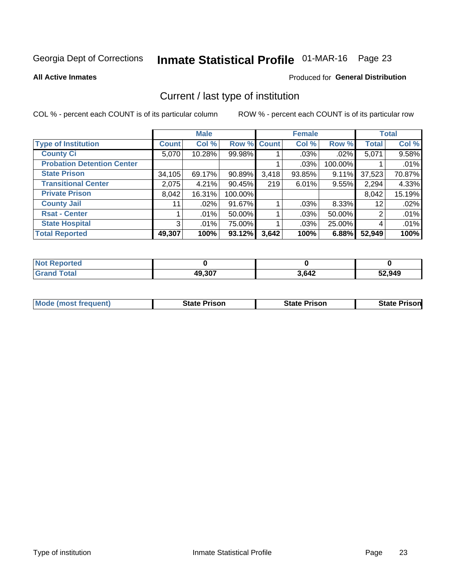# Inmate Statistical Profile 01-MAR-16 Page 23

**All Active Inmates** 

#### Produced for General Distribution

## Current / last type of institution

COL % - percent each COUNT is of its particular column

|                                   |              | <b>Male</b> |             |       | <b>Female</b> |         |              | <b>Total</b> |
|-----------------------------------|--------------|-------------|-------------|-------|---------------|---------|--------------|--------------|
| <b>Type of Institution</b>        | <b>Count</b> | Col %       | Row % Count |       | Col %         | Row %   | <b>Total</b> | Col %        |
| <b>County Ci</b>                  | 5,070        | 10.28%      | 99.98%      |       | $.03\%$       | .02%    | 5,071        | 9.58%        |
| <b>Probation Detention Center</b> |              |             |             |       | .03%          | 100.00% |              | .01%         |
| <b>State Prison</b>               | 34,105       | 69.17%      | 90.89%      | 3,418 | 93.85%        | 9.11%   | 37,523       | 70.87%       |
| <b>Transitional Center</b>        | 2,075        | 4.21%       | $90.45\%$   | 219   | 6.01%         | 9.55%   | 2,294        | 4.33%        |
| <b>Private Prison</b>             | 8,042        | 16.31%      | 100.00%     |       |               |         | 8,042        | 15.19%       |
| <b>County Jail</b>                | 11           | .02%        | 91.67%      |       | $.03\%$       | 8.33%   | 12           | .02%         |
| <b>Rsat - Center</b>              |              | $.01\%$     | 50.00%      |       | .03%          | 50.00%  | 2            | .01%         |
| <b>State Hospital</b>             | 3            | $.01\%$     | 75.00%      |       | .03%          | 25.00%  | 4            | .01%         |
| <b>Total Reported</b>             | 49,307       | 100%        | 93.12%      | 3,642 | 100%          | 6.88%   | 52,949       | 100%         |

| ported<br><b>Not</b> |        |       |        |
|----------------------|--------|-------|--------|
| `otal<br>. Grat      | 49,307 | 3,642 | 52,949 |

| Mode (most frequent) | <b>State Prison</b> | <b>State Prison</b> | <b>State Prisonl</b> |
|----------------------|---------------------|---------------------|----------------------|
|                      |                     |                     |                      |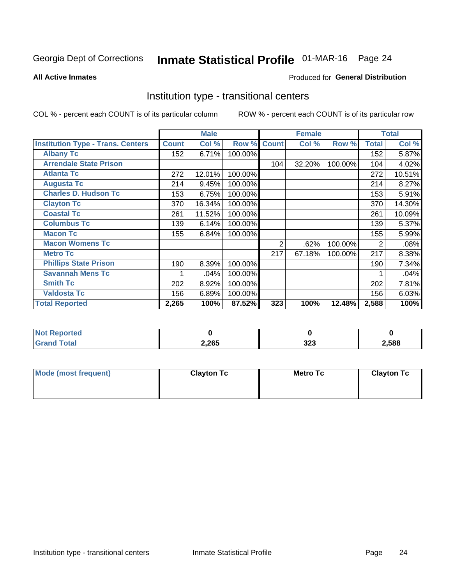# Inmate Statistical Profile 01-MAR-16 Page 24

**All Active Inmates** 

#### Produced for General Distribution

### Institution type - transitional centers

COL % - percent each COUNT is of its particular column

|                                          |              | <b>Male</b> |         |              | <b>Female</b> |         |              | <b>Total</b> |
|------------------------------------------|--------------|-------------|---------|--------------|---------------|---------|--------------|--------------|
| <b>Institution Type - Trans. Centers</b> | <b>Count</b> | Col %       | Row %   | <b>Count</b> | Col %         | Row %   | <b>Total</b> | Col %        |
| <b>Albany Tc</b>                         | 152          | 6.71%       | 100.00% |              |               |         | 152          | 5.87%        |
| <b>Arrendale State Prison</b>            |              |             |         | 104          | 32.20%        | 100.00% | 104          | 4.02%        |
| <b>Atlanta Tc</b>                        | 272          | 12.01%      | 100.00% |              |               |         | 272          | 10.51%       |
| <b>Augusta Tc</b>                        | 214          | 9.45%       | 100.00% |              |               |         | 214          | 8.27%        |
| <b>Charles D. Hudson Tc</b>              | 153          | 6.75%       | 100.00% |              |               |         | 153          | 5.91%        |
| <b>Clayton Tc</b>                        | 370          | 16.34%      | 100.00% |              |               |         | 370          | 14.30%       |
| <b>Coastal Tc</b>                        | 261          | 11.52%      | 100.00% |              |               |         | 261          | 10.09%       |
| <b>Columbus Tc</b>                       | 139          | 6.14%       | 100.00% |              |               |         | 139          | 5.37%        |
| <b>Macon Tc</b>                          | 155          | 6.84%       | 100.00% |              |               |         | 155          | 5.99%        |
| <b>Macon Womens Tc</b>                   |              |             |         | 2            | .62%          | 100.00% | 2            | .08%         |
| <b>Metro Tc</b>                          |              |             |         | 217          | 67.18%        | 100.00% | 217          | 8.38%        |
| <b>Phillips State Prison</b>             | 190          | 8.39%       | 100.00% |              |               |         | 190          | 7.34%        |
| <b>Savannah Mens Tc</b>                  |              | .04%        | 100.00% |              |               |         |              | .04%         |
| <b>Smith Tc</b>                          | 202          | 8.92%       | 100.00% |              |               |         | 202          | 7.81%        |
| <b>Valdosta Tc</b>                       | 156          | 6.89%       | 100.00% |              |               |         | 156          | 6.03%        |
| <b>Total Reported</b>                    | 2,265        | 100%        | 87.52%  | 323          | 100%          | 12.48%  | 2,588        | 100%         |

| τeι |       |             |      |
|-----|-------|-------------|------|
|     | 2,265 | ົາລາ<br>◡∸◡ | .588 |

| Mode (most frequent) | <b>Clayton Tc</b> | Metro Tc | <b>Clayton Tc</b> |
|----------------------|-------------------|----------|-------------------|
|                      |                   |          |                   |
|                      |                   |          |                   |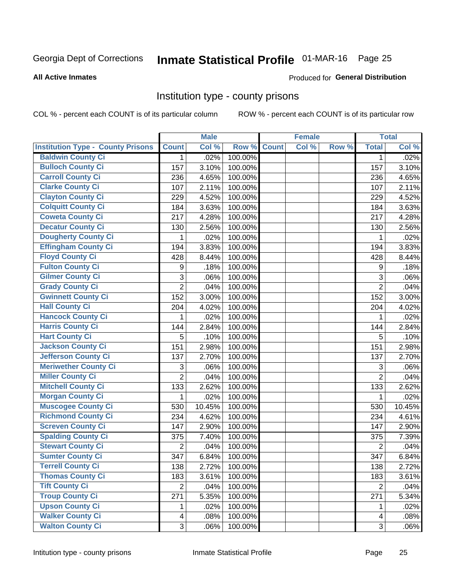# Inmate Statistical Profile 01-MAR-16 Page 25

#### **All Active Inmates**

#### Produced for General Distribution

### Institution type - county prisons

COL % - percent each COUNT is of its particular column

|                                          |                | <b>Male</b> |         |              | <b>Female</b> |       |                | <b>Total</b> |
|------------------------------------------|----------------|-------------|---------|--------------|---------------|-------|----------------|--------------|
| <b>Institution Type - County Prisons</b> | <b>Count</b>   | Col %       | Row %   | <b>Count</b> | Col %         | Row % | <b>Total</b>   | Col %        |
| <b>Baldwin County Ci</b>                 | $\mathbf{1}$   | .02%        | 100.00% |              |               |       | $\mathbf 1$    | .02%         |
| <b>Bulloch County Ci</b>                 | 157            | 3.10%       | 100.00% |              |               |       | 157            | 3.10%        |
| <b>Carroll County Ci</b>                 | 236            | 4.65%       | 100.00% |              |               |       | 236            | 4.65%        |
| <b>Clarke County Ci</b>                  | 107            | 2.11%       | 100.00% |              |               |       | 107            | 2.11%        |
| <b>Clayton County Ci</b>                 | 229            | 4.52%       | 100.00% |              |               |       | 229            | 4.52%        |
| <b>Colquitt County Ci</b>                | 184            | 3.63%       | 100.00% |              |               |       | 184            | 3.63%        |
| <b>Coweta County Ci</b>                  | 217            | 4.28%       | 100.00% |              |               |       | 217            | 4.28%        |
| <b>Decatur County Ci</b>                 | 130            | 2.56%       | 100.00% |              |               |       | 130            | 2.56%        |
| <b>Dougherty County Ci</b>               | 1              | .02%        | 100.00% |              |               |       | 1              | .02%         |
| <b>Effingham County Ci</b>               | 194            | 3.83%       | 100.00% |              |               |       | 194            | 3.83%        |
| <b>Floyd County Ci</b>                   | 428            | 8.44%       | 100.00% |              |               |       | 428            | 8.44%        |
| <b>Fulton County Ci</b>                  | 9              | .18%        | 100.00% |              |               |       | 9              | .18%         |
| <b>Gilmer County Ci</b>                  | 3              | .06%        | 100.00% |              |               |       | 3              | .06%         |
| <b>Grady County Ci</b>                   | $\overline{c}$ | .04%        | 100.00% |              |               |       | $\overline{2}$ | .04%         |
| <b>Gwinnett County Ci</b>                | 152            | 3.00%       | 100.00% |              |               |       | 152            | 3.00%        |
| <b>Hall County Ci</b>                    | 204            | 4.02%       | 100.00% |              |               |       | 204            | 4.02%        |
| <b>Hancock County Ci</b>                 | 1              | .02%        | 100.00% |              |               |       | 1              | .02%         |
| <b>Harris County Ci</b>                  | 144            | 2.84%       | 100.00% |              |               |       | 144            | 2.84%        |
| <b>Hart County Ci</b>                    | 5              | .10%        | 100.00% |              |               |       | 5              | .10%         |
| <b>Jackson County Ci</b>                 | 151            | 2.98%       | 100.00% |              |               |       | 151            | 2.98%        |
| <b>Jefferson County Ci</b>               | 137            | 2.70%       | 100.00% |              |               |       | 137            | 2.70%        |
| <b>Meriwether County Ci</b>              | 3              | .06%        | 100.00% |              |               |       | 3              | .06%         |
| <b>Miller County Ci</b>                  | $\overline{2}$ | .04%        | 100.00% |              |               |       | $\overline{2}$ | .04%         |
| <b>Mitchell County Ci</b>                | 133            | 2.62%       | 100.00% |              |               |       | 133            | 2.62%        |
| <b>Morgan County Ci</b>                  | 1              | .02%        | 100.00% |              |               |       | 1              | .02%         |
| <b>Muscogee County Ci</b>                | 530            | 10.45%      | 100.00% |              |               |       | 530            | 10.45%       |
| <b>Richmond County Ci</b>                | 234            | 4.62%       | 100.00% |              |               |       | 234            | 4.61%        |
| <b>Screven County Ci</b>                 | 147            | 2.90%       | 100.00% |              |               |       | 147            | 2.90%        |
| <b>Spalding County Ci</b>                | 375            | 7.40%       | 100.00% |              |               |       | 375            | 7.39%        |
| <b>Stewart County Ci</b>                 | $\overline{2}$ | .04%        | 100.00% |              |               |       | $\overline{2}$ | .04%         |
| <b>Sumter County Ci</b>                  | 347            | 6.84%       | 100.00% |              |               |       | 347            | 6.84%        |
| <b>Terrell County Ci</b>                 | 138            | 2.72%       | 100.00% |              |               |       | 138            | 2.72%        |
| <b>Thomas County Ci</b>                  | 183            | 3.61%       | 100.00% |              |               |       | 183            | 3.61%        |
| <b>Tift County Ci</b>                    | $\overline{2}$ | .04%        | 100.00% |              |               |       | $\overline{2}$ | .04%         |
| <b>Troup County Ci</b>                   | 271            | 5.35%       | 100.00% |              |               |       | 271            | 5.34%        |
| <b>Upson County Ci</b>                   | 1              | .02%        | 100.00% |              |               |       | 1              | .02%         |
| <b>Walker County Ci</b>                  | $\overline{4}$ | .08%        | 100.00% |              |               |       | 4              | .08%         |
| <b>Walton County Ci</b>                  | 3              | .06%        | 100.00% |              |               |       | 3              | .06%         |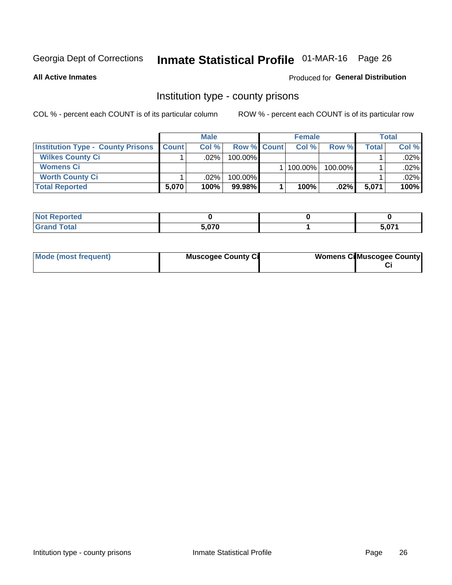# Inmate Statistical Profile 01-MAR-16 Page 26

**All Active Inmates** 

#### Produced for General Distribution

### Institution type - county prisons

COL % - percent each COUNT is of its particular column

|                                          | <b>Male</b>  |         |                    | <b>Female</b> |         | Total |       |
|------------------------------------------|--------------|---------|--------------------|---------------|---------|-------|-------|
| <b>Institution Type - County Prisons</b> | <b>Count</b> | Col%    | <b>Row % Count</b> | Col%          | Row %   | Total | Col % |
| <b>Wilkes County Ci</b>                  |              | .02%    | 100.00%            |               |         |       | .02%  |
| <b>Womens Ci</b>                         |              |         |                    | 100.00%       | 100.00% |       | .02%  |
| <b>Worth County Ci</b>                   |              | $.02\%$ | 100.00%            |               |         |       | .02%  |
| <b>Total Reported</b>                    | 5,070        | 100%    | 99.98%             | 100%          | $.02\%$ | 5,071 | 100%  |

| יס.   |       |   |
|-------|-------|---|
| _____ | 5.070 | . |

| Mode (most frequent) | <b>Muscogee County Ci</b> | <b>Womens Cil Muscogee County</b> |
|----------------------|---------------------------|-----------------------------------|
|                      |                           |                                   |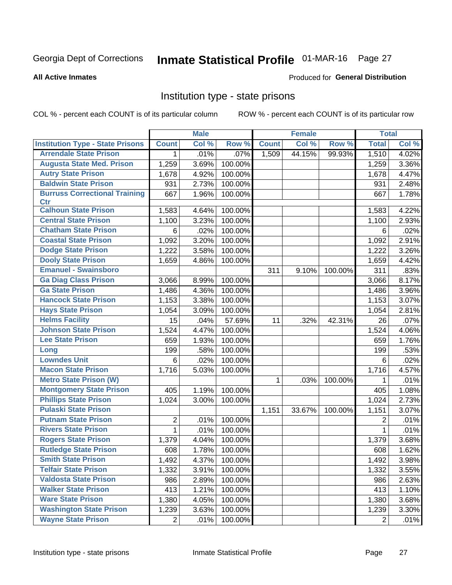# Inmate Statistical Profile 01-MAR-16 Page 27

**All Active Inmates** 

#### Produced for General Distribution

### Institution type - state prisons

COL % - percent each COUNT is of its particular column

|                                         |                | <b>Male</b> |               |              | <b>Female</b> |         | <b>Total</b> |       |
|-----------------------------------------|----------------|-------------|---------------|--------------|---------------|---------|--------------|-------|
| <b>Institution Type - State Prisons</b> | <b>Count</b>   | Col %       | Row %         | <b>Count</b> | Col %         | Row %   | <b>Total</b> | Col % |
| <b>Arrendale State Prison</b>           | 1              | .01%        | .07%          | 1,509        | 44.15%        | 99.93%  | 1,510        | 4.02% |
| <b>Augusta State Med. Prison</b>        | 1,259          | 3.69%       | 100.00%       |              |               |         | 1,259        | 3.36% |
| <b>Autry State Prison</b>               | 1,678          | 4.92%       | 100.00%       |              |               |         | 1,678        | 4.47% |
| <b>Baldwin State Prison</b>             | 931            | 2.73%       | 100.00%       |              |               |         | 931          | 2.48% |
| <b>Burruss Correctional Training</b>    | 667            | 1.96%       | 100.00%       |              |               |         | 667          | 1.78% |
| <b>Ctr</b>                              |                |             |               |              |               |         |              |       |
| <b>Calhoun State Prison</b>             | 1,583          | 4.64%       | 100.00%       |              |               |         | 1,583        | 4.22% |
| <b>Central State Prison</b>             | 1,100          | 3.23%       | 100.00%       |              |               |         | 1,100        | 2.93% |
| <b>Chatham State Prison</b>             | 6              | .02%        | 100.00%       |              |               |         | 6            | .02%  |
| <b>Coastal State Prison</b>             | 1,092          | 3.20%       | 100.00%       |              |               |         | 1,092        | 2.91% |
| <b>Dodge State Prison</b>               | 1,222          | 3.58%       | 100.00%       |              |               |         | 1,222        | 3.26% |
| <b>Dooly State Prison</b>               | 1,659          | 4.86%       | 100.00%       |              |               |         | 1,659        | 4.42% |
| <b>Emanuel - Swainsboro</b>             |                |             |               | 311          | 9.10%         | 100.00% | 311          | .83%  |
| <b>Ga Diag Class Prison</b>             | 3,066          | 8.99%       | 100.00%       |              |               |         | 3,066        | 8.17% |
| <b>Ga State Prison</b>                  | 1,486          | 4.36%       | 100.00%       |              |               |         | 1,486        | 3.96% |
| <b>Hancock State Prison</b>             | 1,153          | 3.38%       | 100.00%       |              |               |         | 1,153        | 3.07% |
| <b>Hays State Prison</b>                | 1,054          | 3.09%       | 100.00%       |              |               |         | 1,054        | 2.81% |
| <b>Helms Facility</b>                   | 15             | .04%        | 57.69%        | 11           | .32%          | 42.31%  | 26           | .07%  |
| <b>Johnson State Prison</b>             | 1,524          | 4.47%       | 100.00%       |              |               |         | 1,524        | 4.06% |
| <b>Lee State Prison</b>                 | 659            | 1.93%       | 100.00%       |              |               |         | 659          | 1.76% |
| Long                                    | 199            | .58%        | 100.00%       |              |               |         | 199          | .53%  |
| <b>Lowndes Unit</b>                     | 6              | .02%        | 100.00%       |              |               |         | 6            | .02%  |
| <b>Macon State Prison</b>               | 1,716          | 5.03%       | 100.00%       |              |               |         | 1,716        | 4.57% |
| <b>Metro State Prison (W)</b>           |                |             |               | $\mathbf 1$  | .03%          | 100.00% | 1            | .01%  |
| <b>Montgomery State Prison</b>          | 405            | 1.19%       | 100.00%       |              |               |         | 405          | 1.08% |
| <b>Phillips State Prison</b>            | 1,024          | 3.00%       | 100.00%       |              |               |         | 1,024        | 2.73% |
| <b>Pulaski State Prison</b>             |                |             |               | 1,151        | 33.67%        | 100.00% | 1,151        | 3.07% |
| <b>Putnam State Prison</b>              | 2              | .01%        | 100.00%       |              |               |         | 2            | .01%  |
| <b>Rivers State Prison</b>              | $\mathbf{1}$   | .01%        | 100.00%       |              |               |         | 1            | .01%  |
| <b>Rogers State Prison</b>              | 1,379          | 4.04%       | 100.00%       |              |               |         | 1,379        | 3.68% |
| <b>Rutledge State Prison</b>            | 608            | 1.78%       | 100.00%       |              |               |         | 608          | 1.62% |
| <b>Smith State Prison</b>               | 1,492          |             | 4.37% 100.00% |              |               |         | 1,492        | 3.98% |
| <b>Telfair State Prison</b>             | 1,332          | 3.91%       | 100.00%       |              |               |         | 1,332        | 3.55% |
| <b>Valdosta State Prison</b>            | 986            | 2.89%       | 100.00%       |              |               |         | 986          | 2.63% |
| <b>Walker State Prison</b>              | 413            | 1.21%       | 100.00%       |              |               |         | 413          | 1.10% |
| <b>Ware State Prison</b>                | 1,380          | 4.05%       | 100.00%       |              |               |         | 1,380        | 3.68% |
| <b>Washington State Prison</b>          | 1,239          | 3.63%       | 100.00%       |              |               |         | 1,239        | 3.30% |
| <b>Wayne State Prison</b>               | $\overline{2}$ | .01%        | 100.00%       |              |               |         | 2            | .01%  |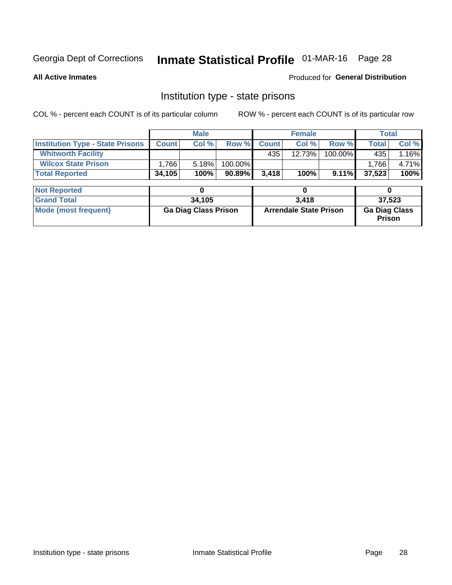# Inmate Statistical Profile 01-MAR-16 Page 28

**All Active Inmates** 

Produced for General Distribution

### Institution type - state prisons

COL % - percent each COUNT is of its particular column

|                                         |              | <b>Male</b>                 |           |              | <b>Female</b>                 |          | <b>Total</b>                   |       |
|-----------------------------------------|--------------|-----------------------------|-----------|--------------|-------------------------------|----------|--------------------------------|-------|
| <b>Institution Type - State Prisons</b> | <b>Count</b> | Col %                       | Row %     | <b>Count</b> | Col %                         | Row %    | Total                          | Col % |
| <b>Whitworth Facility</b>               |              |                             |           | 435          | 12.73%                        | 100.00%  | 435                            | 1.16% |
| <b>Wilcox State Prison</b>              | 1,766        | 5.18%                       | 100.00%   |              |                               |          | 1,766                          | 4.71% |
| <b>Total Reported</b>                   | 34,105       | 100%                        | $90.89\%$ | 3,418        | 100%                          | $9.11\%$ | 37,523                         | 100%  |
| <b>Not Reported</b>                     |              |                             |           |              |                               |          |                                |       |
|                                         |              | 0                           |           |              | 0                             |          | 0                              |       |
| <b>Grand Total</b>                      |              | 34,105                      |           |              | 3,418                         |          | 37,523                         |       |
| <b>Mode (most frequent)</b>             |              | <b>Ga Diag Class Prison</b> |           |              | <b>Arrendale State Prison</b> |          | <b>Ga Diag Class</b><br>Prison |       |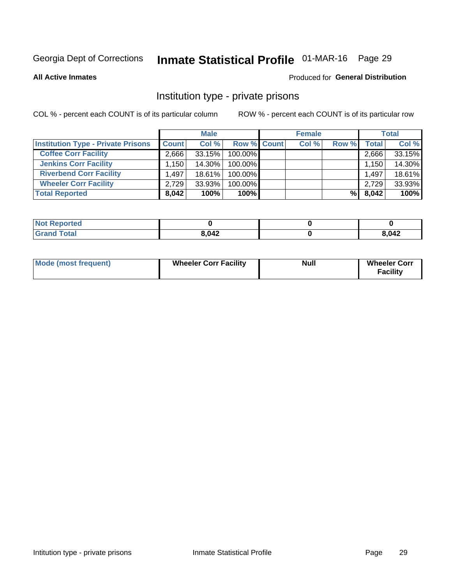# Inmate Statistical Profile 01-MAR-16 Page 29

**All Active Inmates** 

#### Produced for General Distribution

### Institution type - private prisons

COL % - percent each COUNT is of its particular column

|                                           | <b>Male</b>  |           |                    | <b>Female</b> |       |       | <b>Total</b> |  |
|-------------------------------------------|--------------|-----------|--------------------|---------------|-------|-------|--------------|--|
| <b>Institution Type - Private Prisons</b> | <b>Count</b> | Col %     | <b>Row % Count</b> | Col %         | Row % | Total | Col %        |  |
| <b>Coffee Corr Facility</b>               | 2.666        | 33.15%    | 100.00%            |               |       | 2,666 | 33.15%       |  |
| <b>Jenkins Corr Facility</b>              | $.150+$      | 14.30%    | 100.00%            |               |       | 1,150 | 14.30%       |  |
| <b>Riverbend Corr Facility</b>            | l.497        | $18.61\%$ | 100.00%            |               |       | 1,497 | 18.61%       |  |
| <b>Wheeler Corr Facility</b>              | 2.729        | $33.93\%$ | 100.00%            |               |       | 2,729 | 33.93%       |  |
| <b>Total Reported</b>                     | 8,042        | 100%      | $100\%$            |               | %     | 8,042 | 100%         |  |

| <b>Not Reported</b> |       |       |
|---------------------|-------|-------|
| <b>Total</b>        | 8,042 | 8,042 |

| <b>Mode (most frequent)</b> | <b>Wheeler Corr Facility</b> | <b>Null</b> | <b>Wheeler Corr</b><br><b>Facility</b> |
|-----------------------------|------------------------------|-------------|----------------------------------------|
|-----------------------------|------------------------------|-------------|----------------------------------------|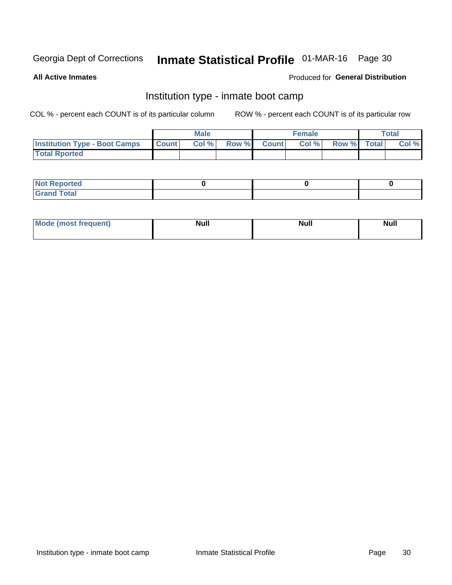# Inmate Statistical Profile 01-MAR-16 Page 30

**All Active Inmates** 

#### Produced for General Distribution

### Institution type - inmate boot camp

COL % - percent each COUNT is of its particular column

|                                      |              | <b>Male</b> |               |              | <b>Female</b> |             | <b>Total</b> |
|--------------------------------------|--------------|-------------|---------------|--------------|---------------|-------------|--------------|
| <b>Institution Type - Boot Camps</b> | <b>Count</b> | Col %       | <b>Row %I</b> | <b>Count</b> | Col %         | Row % Total | Col %        |
| <b>Total Rported</b>                 |              |             |               |              |               |             |              |

| <b>Not Reported</b>            |  |  |
|--------------------------------|--|--|
| <b>Total</b><br>C <sub>r</sub> |  |  |

| Mod<br>uamo | Nul.<br>$- - - - - -$ | <b>Null</b> | . .<br>uu.<br>------ |
|-------------|-----------------------|-------------|----------------------|
|             |                       |             |                      |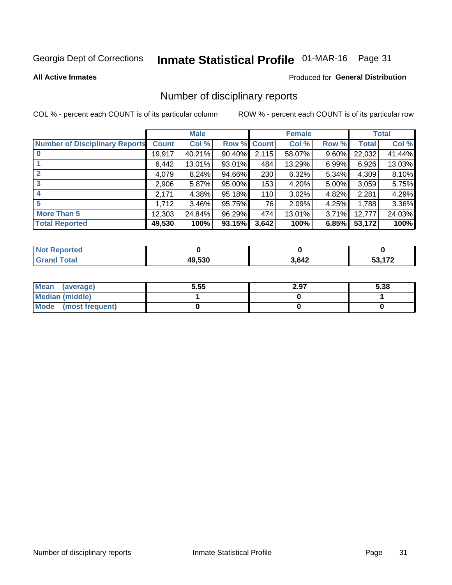# Inmate Statistical Profile 01-MAR-16 Page 31

#### **All Active Inmates**

#### **Produced for General Distribution**

### Number of disciplinary reports

COL % - percent each COUNT is of its particular column

|                                       |              | <b>Male</b> |           |             | <b>Female</b> |       |        | <b>Total</b> |
|---------------------------------------|--------------|-------------|-----------|-------------|---------------|-------|--------|--------------|
| <b>Number of Disciplinary Reports</b> | <b>Count</b> | Col %       |           | Row % Count | Col %         | Row % | Total  | Col %        |
| $\bf{0}$                              | 19,917       | 40.21%      | $90.40\%$ | 2,115       | 58.07%        | 9.60% | 22,032 | 41.44%       |
|                                       | 6,442        | 13.01%      | $93.01\%$ | 484         | 13.29%        | 6.99% | 6,926  | 13.03%       |
| $\mathbf{2}$                          | 4,079        | 8.24%       | 94.66%    | 230         | 6.32%         | 5.34% | 4,309  | 8.10%        |
| 3                                     | 2,906        | 5.87%       | 95.00%    | 153         | 4.20%         | 5.00% | 3,059  | 5.75%        |
|                                       | 2,171        | 4.38%       | 95.18%    | 110         | 3.02%         | 4.82% | 2,281  | 4.29%        |
| 5                                     | 1,712        | 3.46%       | 95.75%    | 76          | 2.09%         | 4.25% | 1,788  | 3.36%        |
| <b>More Than 5</b>                    | 12,303       | 24.84%      | 96.29%    | 474         | 13.01%        | 3.71% | 12,777 | 24.03%       |
| <b>Total Reported</b>                 | 49,530       | 100%        | 93.15%    | 3,642       | 100%          | 6.85% | 53,172 | 100%         |

| <b>Reported</b><br><b>NOT</b> |        |       |     |
|-------------------------------|--------|-------|-----|
| Total                         | 49.530 | 3,642 | 170 |

| Mean (average)         | 5.55 | 2.97 | 5.38 |
|------------------------|------|------|------|
| <b>Median (middle)</b> |      |      |      |
| Mode (most frequent)   |      |      |      |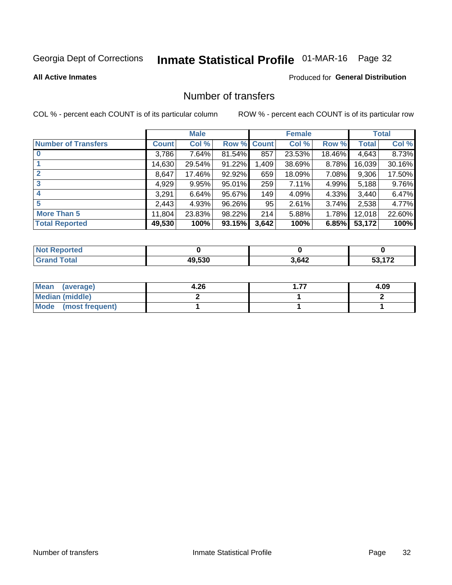# Inmate Statistical Profile 01-MAR-16 Page 32

#### **All Active Inmates**

#### **Produced for General Distribution**

### Number of transfers

COL % - percent each COUNT is of its particular column

|                            |         | <b>Male</b> |        |              | <b>Female</b> |          |              | <b>Total</b> |
|----------------------------|---------|-------------|--------|--------------|---------------|----------|--------------|--------------|
| <b>Number of Transfers</b> | Count l | Col %       | Row %  | <b>Count</b> | Col %         | Row %    | <b>Total</b> | Col %        |
|                            | 3,786   | 7.64%       | 81.54% | 857          | 23.53%        | 18.46%   | 4,643        | 8.73%        |
|                            | 14,630  | 29.54%      | 91.22% | 1,409        | 38.69%        | 8.78%    | 16,039       | 30.16%       |
| $\mathbf{2}$               | 8,647   | 17.46%      | 92.92% | 659          | 18.09%        | 7.08%    | 9,306        | 17.50%       |
| 3                          | 4,929   | 9.95%       | 95.01% | 259          | 7.11%         | 4.99%    | 5,188        | 9.76%        |
| 4                          | 3,291   | 6.64%       | 95.67% | 149          | 4.09%         | 4.33%    | 3,440        | 6.47%        |
| 5                          | 2,443   | 4.93%       | 96.26% | 95           | 2.61%         | 3.74%    | 2,538        | 4.77%        |
| <b>More Than 5</b>         | 11,804  | 23.83%      | 98.22% | 214          | 5.88%         | $1.78\%$ | 12,018       | 22.60%       |
| <b>Total Reported</b>      | 49,530  | 100%        | 93.15% | 3,642        | 100%          | 6.85%    | 53,172       | 100%         |

| orted<br>NO1 |        |       |               |
|--------------|--------|-------|---------------|
| <b>Total</b> | 49.530 | 3,642 | $\rightarrow$ |

| Mean (average)         | 4.26 | 4.09 |
|------------------------|------|------|
| <b>Median (middle)</b> |      |      |
| Mode (most frequent)   |      |      |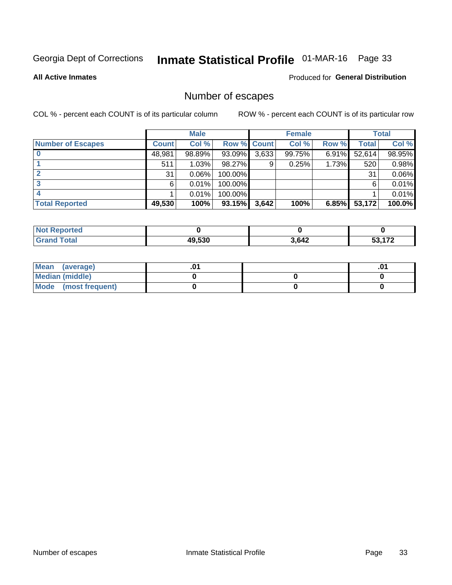# Inmate Statistical Profile 01-MAR-16 Page 33

**All Active Inmates** 

#### Produced for General Distribution

## Number of escapes

COL % - percent each COUNT is of its particular column

|                          | <b>Male</b>  |        | <b>Female</b> |       |        | <b>Total</b> |        |        |
|--------------------------|--------------|--------|---------------|-------|--------|--------------|--------|--------|
| <b>Number of Escapes</b> | <b>Count</b> | Col %  | Row % Count   |       | Col %  | Row %        | Total  | Col %  |
|                          | 48,981       | 98.89% | 93.09%        | 3,633 | 99.75% | 6.91%        | 52,614 | 98.95% |
|                          | 511          | 1.03%  | 98.27%        | 9     | 0.25%  | 1.73%        | 520    | 0.98%  |
|                          | 31           | 0.06%  | 100.00%       |       |        |              | 31     | 0.06%  |
|                          | 6            | 0.01%  | 100.00%       |       |        |              | 6      | 0.01%  |
|                          |              | 0.01%  | 100.00%       |       |        |              |        | 0.01%  |
| <b>Total Reported</b>    | 49,530       | 100%   | 93.15%        | 3,642 | 100%   | 6.85%        | 53,172 | 100.0% |

| <b>Not Reported</b> |        |       |     |
|---------------------|--------|-------|-----|
| Total               | 49.530 | 3,642 | 170 |

| Mean (average)         |  | .ט |
|------------------------|--|----|
| <b>Median (middle)</b> |  |    |
| Mode (most frequent)   |  |    |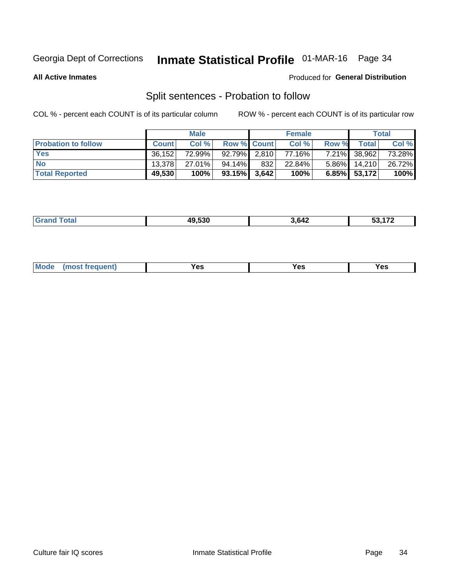# Inmate Statistical Profile 01-MAR-16 Page 34

**All Active Inmates** 

#### Produced for General Distribution

## Split sentences - Probation to follow

COL % - percent each COUNT is of its particular column

|                            | <b>Male</b>  |           |                    | <b>Female</b> |           |       | <b>Total</b>      |        |
|----------------------------|--------------|-----------|--------------------|---------------|-----------|-------|-------------------|--------|
| <b>Probation to follow</b> | <b>Count</b> | Col%      | <b>Row % Count</b> |               | Col %     | Row % | <b>Total</b>      | Col %  |
| <b>Yes</b>                 | 36.152       | 72.99%    | $92.79\%$ 2,810    |               | 77.16%    |       | 7.21% 38,962      | 73.28% |
| <b>No</b>                  | 13.378       | $27.01\%$ | 94.14%             | 832           | $22.84\%$ |       | $5.86\%$   14,210 | 26.72% |
| <b>Total Reported</b>      | 49,530       | 100%      | $93.15\%$ 3,642    |               | 100%      |       | $6.85\%$ 53,172   | 100%   |

|  | ----- | 49.530 | 3,642 | $1 - c$<br><u>. . –</u> |
|--|-------|--------|-------|-------------------------|
|--|-------|--------|-------|-------------------------|

| <b>Mode</b><br>reauent)<br>Yes<br>v.c<br>0٥<br>.<br>. .<br>$\sim$ |
|-------------------------------------------------------------------|
|-------------------------------------------------------------------|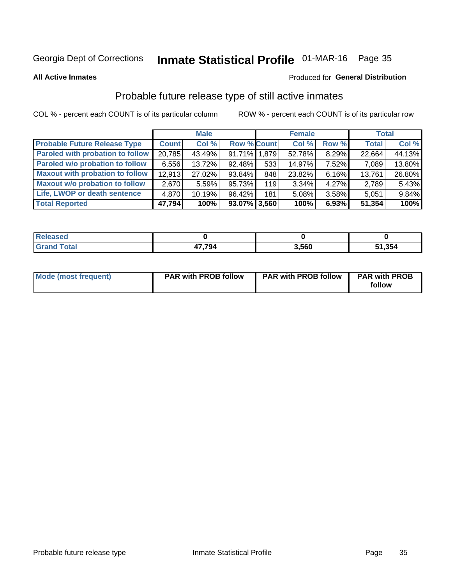# Inmate Statistical Profile 01-MAR-16 Page 35

**All Active Inmates** 

#### Produced for General Distribution

## Probable future release type of still active inmates

COL % - percent each COUNT is of its particular column

|                                         |              | <b>Male</b> |                    |     | <b>Female</b> |          | <b>Total</b> |        |
|-----------------------------------------|--------------|-------------|--------------------|-----|---------------|----------|--------------|--------|
| <b>Probable Future Release Type</b>     | <b>Count</b> | Col %       | <b>Row % Count</b> |     | Col %         | Row %    | <b>Total</b> | Col %  |
| <b>Paroled with probation to follow</b> | 20,785       | 43.49%      | 91.71% 1,879       |     | 52.78%        | 8.29%    | 22,664       | 44.13% |
| Paroled w/o probation to follow         | 6,556        | 13.72%      | 92.48%             | 533 | 14.97%        | 7.52%    | 7,089        | 13.80% |
| <b>Maxout with probation to follow</b>  | 12,913       | 27.02%      | 93.84%             | 848 | 23.82%        | 6.16%    | 13,761       | 26.80% |
| <b>Maxout w/o probation to follow</b>   | 2,670        | 5.59%       | 95.73%             | 119 | 3.34%         | $4.27\%$ | 2,789        | 5.43%  |
| Life, LWOP or death sentence            | 4,870        | 10.19%      | 96.42%             | 181 | 5.08%         | 3.58%    | 5,051        | 9.84%  |
| <b>Total Reported</b>                   | 47,794       | 100%        | $93.07\%$ 3,560    |     | 100%          | 6.93%    | 51,354       | 100%   |

| eleased |        |       |       |  |
|---------|--------|-------|-------|--|
| 'otal   | 17.794 | 3.560 | 1,354 |  |

| <b>Mode (most frequent)</b> | <b>PAR with PROB follow</b> | <b>PAR with PROB follow</b> | <b>PAR with PROB</b> |
|-----------------------------|-----------------------------|-----------------------------|----------------------|
|                             |                             |                             | follow               |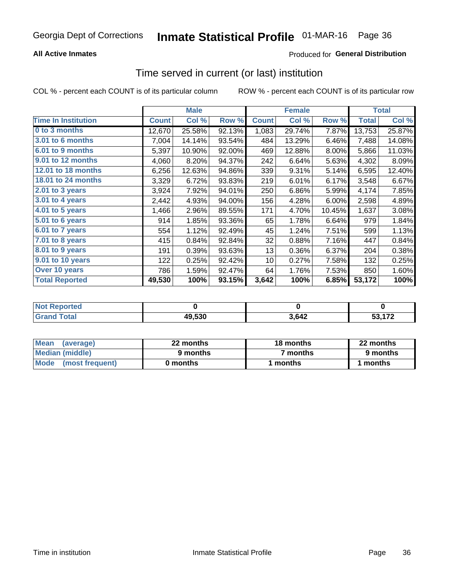#### **All Active Inmates**

### **Produced for General Distribution**

# Time served in current (or last) institution

COL % - percent each COUNT is of its particular column

|                            |              | <b>Male</b> |        |              | <b>Female</b> |        |              | <b>Total</b> |
|----------------------------|--------------|-------------|--------|--------------|---------------|--------|--------------|--------------|
| <b>Time In Institution</b> | <b>Count</b> | Col %       | Row %  | <b>Count</b> | Col %         | Row %  | <b>Total</b> | Col %        |
| 0 to 3 months              | 12,670       | 25.58%      | 92.13% | 1,083        | 29.74%        | 7.87%  | 13,753       | 25.87%       |
| 3.01 to 6 months           | 7,004        | 14.14%      | 93.54% | 484          | 13.29%        | 6.46%  | 7,488        | 14.08%       |
| 6.01 to 9 months           | 5,397        | 10.90%      | 92.00% | 469          | 12.88%        | 8.00%  | 5,866        | 11.03%       |
| 9.01 to 12 months          | 4,060        | 8.20%       | 94.37% | 242          | 6.64%         | 5.63%  | 4,302        | 8.09%        |
| 12.01 to 18 months         | 6,256        | 12.63%      | 94.86% | 339          | 9.31%         | 5.14%  | 6,595        | 12.40%       |
| <b>18.01 to 24 months</b>  | 3,329        | 6.72%       | 93.83% | 219          | 6.01%         | 6.17%  | 3,548        | 6.67%        |
| $2.01$ to 3 years          | 3,924        | 7.92%       | 94.01% | 250          | 6.86%         | 5.99%  | 4,174        | 7.85%        |
| 3.01 to 4 years            | 2,442        | 4.93%       | 94.00% | 156          | 4.28%         | 6.00%  | 2,598        | 4.89%        |
| $4.01$ to 5 years          | 1,466        | 2.96%       | 89.55% | 171          | 4.70%         | 10.45% | 1,637        | 3.08%        |
| 5.01 to 6 years            | 914          | 1.85%       | 93.36% | 65           | 1.78%         | 6.64%  | 979          | 1.84%        |
| 6.01 to 7 years            | 554          | 1.12%       | 92.49% | 45           | 1.24%         | 7.51%  | 599          | 1.13%        |
| 7.01 to 8 years            | 415          | 0.84%       | 92.84% | 32           | 0.88%         | 7.16%  | 447          | 0.84%        |
| $8.01$ to 9 years          | 191          | 0.39%       | 93.63% | 13           | 0.36%         | 6.37%  | 204          | 0.38%        |
| 9.01 to 10 years           | 122          | 0.25%       | 92.42% | 10           | 0.27%         | 7.58%  | 132          | 0.25%        |
| Over 10 years              | 786          | 1.59%       | 92.47% | 64           | 1.76%         | 7.53%  | 850          | 1.60%        |
| <b>Total Reported</b>      | 49,530       | 100%        | 93.15% | 3,642        | 100%          | 6.85%  | 53,172       | 100%         |

| <b>Penorted</b><br><b>Not</b> |        |      |     |
|-------------------------------|--------|------|-----|
| rotal.                        | 49,530 | .642 | 470 |

| <b>Mean</b><br>(average) | 22 months | 18 months | 22 months |  |
|--------------------------|-----------|-----------|-----------|--|
| Median (middle)          | 9 months  | 7 months  | 9 months  |  |
| Mode<br>(most frequent)  | 0 months  | months    | ∖ months  |  |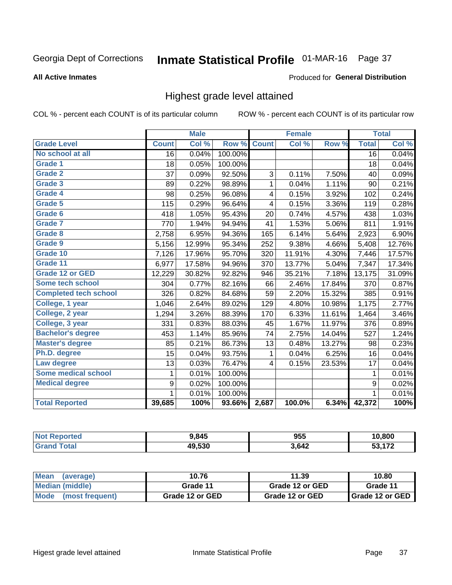## Inmate Statistical Profile 01-MAR-16 Page 37

#### **All Active Inmates**

### Produced for General Distribution

### Highest grade level attained

COL % - percent each COUNT is of its particular column

|                              |                 | <b>Male</b> |         |              | <b>Female</b> |                  |                 | <b>Total</b> |
|------------------------------|-----------------|-------------|---------|--------------|---------------|------------------|-----------------|--------------|
| <b>Grade Level</b>           | <b>Count</b>    | Col %       | Row %   | <b>Count</b> | Col %         | Row <sub>%</sub> | <b>Total</b>    | Col %        |
| No school at all             | $\overline{16}$ | 0.04%       | 100.00% |              |               |                  | $\overline{16}$ | 0.04%        |
| <b>Grade 1</b>               | 18              | 0.05%       | 100.00% |              |               |                  | 18              | 0.04%        |
| <b>Grade 2</b>               | 37              | 0.09%       | 92.50%  | 3            | 0.11%         | 7.50%            | 40              | 0.09%        |
| Grade 3                      | 89              | 0.22%       | 98.89%  | $\mathbf{1}$ | 0.04%         | 1.11%            | 90              | 0.21%        |
| <b>Grade 4</b>               | 98              | 0.25%       | 96.08%  | 4            | 0.15%         | 3.92%            | 102             | 0.24%        |
| <b>Grade 5</b>               | 115             | 0.29%       | 96.64%  | 4            | 0.15%         | 3.36%            | 119             | 0.28%        |
| Grade 6                      | 418             | 1.05%       | 95.43%  | 20           | 0.74%         | 4.57%            | 438             | 1.03%        |
| <b>Grade 7</b>               | 770             | 1.94%       | 94.94%  | 41           | 1.53%         | 5.06%            | 811             | 1.91%        |
| Grade 8                      | 2,758           | 6.95%       | 94.36%  | 165          | 6.14%         | 5.64%            | 2,923           | 6.90%        |
| Grade 9                      | 5,156           | 12.99%      | 95.34%  | 252          | 9.38%         | 4.66%            | 5,408           | 12.76%       |
| Grade 10                     | 7,126           | 17.96%      | 95.70%  | 320          | 11.91%        | 4.30%            | 7,446           | 17.57%       |
| Grade 11                     | 6,977           | 17.58%      | 94.96%  | 370          | 13.77%        | 5.04%            | 7,347           | 17.34%       |
| <b>Grade 12 or GED</b>       | 12,229          | 30.82%      | 92.82%  | 946          | 35.21%        | 7.18%            | 13,175          | 31.09%       |
| <b>Some tech school</b>      | 304             | 0.77%       | 82.16%  | 66           | 2.46%         | 17.84%           | 370             | 0.87%        |
| <b>Completed tech school</b> | 326             | 0.82%       | 84.68%  | 59           | 2.20%         | 15.32%           | 385             | 0.91%        |
| College, 1 year              | 1,046           | 2.64%       | 89.02%  | 129          | 4.80%         | 10.98%           | 1,175           | 2.77%        |
| College, 2 year              | 1,294           | 3.26%       | 88.39%  | 170          | 6.33%         | 11.61%           | 1,464           | 3.46%        |
| College, 3 year              | 331             | 0.83%       | 88.03%  | 45           | 1.67%         | 11.97%           | 376             | 0.89%        |
| <b>Bachelor's degree</b>     | 453             | 1.14%       | 85.96%  | 74           | 2.75%         | 14.04%           | 527             | 1.24%        |
| <b>Master's degree</b>       | 85              | 0.21%       | 86.73%  | 13           | 0.48%         | 13.27%           | 98              | 0.23%        |
| Ph.D. degree                 | 15              | 0.04%       | 93.75%  | 1            | 0.04%         | 6.25%            | 16              | 0.04%        |
| Law degree                   | 13              | 0.03%       | 76.47%  | 4            | 0.15%         | 23.53%           | 17              | 0.04%        |
| <b>Some medical school</b>   | 1               | 0.01%       | 100.00% |              |               |                  | 1               | 0.01%        |
| <b>Medical degree</b>        | 9               | 0.02%       | 100.00% |              |               |                  | 9               | 0.02%        |
|                              | 1               | 0.01%       | 100.00% |              |               |                  | $\mathbf{1}$    | 0.01%        |
| <b>Total Reported</b>        | 39,685          | 100%        | 93.66%  | 2,687        | 100.0%        | 6.34%            | 42,372          | 100%         |

| 9,845  | 955         | 000<br>J.8UU |
|--------|-------------|--------------|
| 49.530 | 3,642<br>-- | $1 - \alpha$ |

| Mean<br>(average)    | 10.76           | 11.39           | 10.80           |
|----------------------|-----------------|-----------------|-----------------|
| Median (middle)      | Grade 11        | Grade 12 or GED | Grade 11        |
| Mode (most frequent) | Grade 12 or GED | Grade 12 or GED | Grade 12 or GED |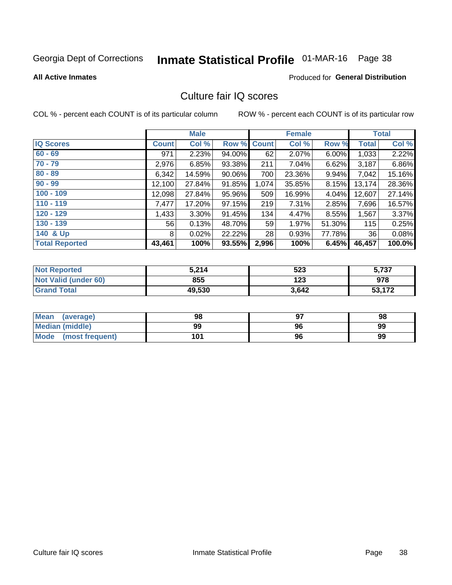## Inmate Statistical Profile 01-MAR-16 Page 38

Produced for General Distribution

#### **All Active Inmates**

### Culture fair IQ scores

COL % - percent each COUNT is of its particular column

|                       |              | <b>Male</b> |             |       | <b>Female</b> |        |              | <b>Total</b> |
|-----------------------|--------------|-------------|-------------|-------|---------------|--------|--------------|--------------|
| <b>IQ Scores</b>      | <b>Count</b> | Col %       | Row % Count |       | Col %         | Row %  | <b>Total</b> | Col %        |
| $60 - 69$             | 971          | 2.23%       | 94.00%      | 62    | 2.07%         | 6.00%  | 1,033        | 2.22%        |
| $70 - 79$             | 2,976        | 6.85%       | 93.38%      | 211   | 7.04%         | 6.62%  | 3,187        | 6.86%        |
| $80 - 89$             | 6,342        | 14.59%      | 90.06%      | 700   | 23.36%        | 9.94%  | 7,042        | 15.16%       |
| $90 - 99$             | 12,100       | 27.84%      | 91.85%      | 1,074 | 35.85%        | 8.15%  | 13,174       | 28.36%       |
| $100 - 109$           | 12,098       | 27.84%      | 95.96%      | 509   | 16.99%        | 4.04%  | 12,607       | 27.14%       |
| $110 - 119$           | 7,477        | 17.20%      | 97.15%      | 219   | 7.31%         | 2.85%  | 7,696        | 16.57%       |
| $120 - 129$           | 1,433        | 3.30%       | 91.45%      | 134   | 4.47%         | 8.55%  | 1,567        | 3.37%        |
| $130 - 139$           | 56           | 0.13%       | 48.70%      | 59    | 1.97%         | 51.30% | 115          | 0.25%        |
| 140 & Up              | 8            | 0.02%       | 22.22%      | 28    | 0.93%         | 77.78% | 36           | 0.08%        |
| <b>Total Reported</b> | 43,461       | 100%        | 93.55%      | 2,996 | 100%          | 6.45%  | 46,457       | 100.0%       |

| <b>Not Reported</b>         | 5.214  | 523   | 5,737  |
|-----------------------------|--------|-------|--------|
| <b>Not Valid (under 60)</b> | 855    | 123   | 978    |
| <b>Grand Total</b>          | 49,530 | 3,642 | 53,172 |

| <b>Mean</b><br>(average) | 98  | כח | 98 |
|--------------------------|-----|----|----|
| <b>Median (middle)</b>   | 99  | 96 | 99 |
| Mode<br>(most frequent)  | 101 | 96 | 99 |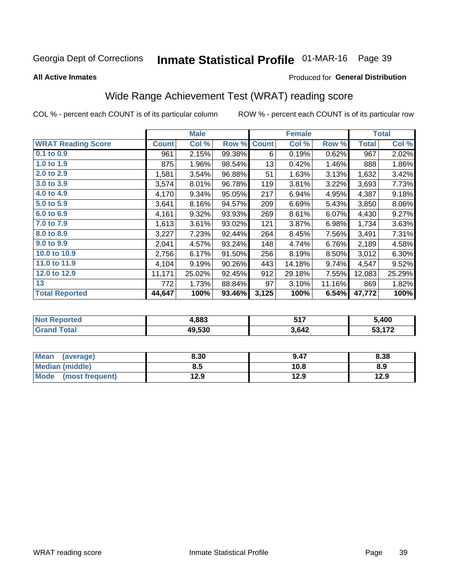## Inmate Statistical Profile 01-MAR-16 Page 39

**All Active Inmates** 

### Produced for General Distribution

### Wide Range Achievement Test (WRAT) reading score

COL % - percent each COUNT is of its particular column

|                           |              | <b>Male</b> |        |              | <b>Female</b> |        |              | <b>Total</b> |
|---------------------------|--------------|-------------|--------|--------------|---------------|--------|--------------|--------------|
| <b>WRAT Reading Score</b> | <b>Count</b> | Col %       | Row %  | <b>Count</b> | Col %         | Row %  | <b>Total</b> | Col %        |
| $0.1$ to $0.9$            | 961          | 2.15%       | 99.38% | 6            | 0.19%         | 0.62%  | 967          | 2.02%        |
| 1.0 to 1.9                | 875          | 1.96%       | 98.54% | 13           | 0.42%         | 1.46%  | 888          | 1.86%        |
| 2.0 to 2.9                | 1,581        | 3.54%       | 96.88% | 51           | 1.63%         | 3.13%  | 1,632        | 3.42%        |
| 3.0 to 3.9                | 3,574        | 8.01%       | 96.78% | 119          | 3.81%         | 3.22%  | 3,693        | 7.73%        |
| 4.0 to 4.9                | 4,170        | 9.34%       | 95.05% | 217          | 6.94%         | 4.95%  | 4,387        | 9.18%        |
| 5.0 to 5.9                | 3,641        | 8.16%       | 94.57% | 209          | 6.69%         | 5.43%  | 3,850        | 8.06%        |
| 6.0 to 6.9                | 4,161        | 9.32%       | 93.93% | 269          | 8.61%         | 6.07%  | 4,430        | 9.27%        |
| 7.0 to 7.9                | 1,613        | 3.61%       | 93.02% | 121          | 3.87%         | 6.98%  | 1,734        | 3.63%        |
| 8.0 to 8.9                | 3,227        | 7.23%       | 92.44% | 264          | 8.45%         | 7.56%  | 3,491        | 7.31%        |
| 9.0 to 9.9                | 2,041        | 4.57%       | 93.24% | 148          | 4.74%         | 6.76%  | 2,189        | 4.58%        |
| 10.0 to 10.9              | 2,756        | 6.17%       | 91.50% | 256          | 8.19%         | 8.50%  | 3,012        | 6.30%        |
| 11.0 to 11.9              | 4,104        | 9.19%       | 90.26% | 443          | 14.18%        | 9.74%  | 4,547        | 9.52%        |
| 12.0 to 12.9              | 11,171       | 25.02%      | 92.45% | 912          | 29.18%        | 7.55%  | 12,083       | 25.29%       |
| 13                        | 772          | 1.73%       | 88.84% | 97           | 3.10%         | 11.16% | 869          | 1.82%        |
| <b>Total Reported</b>     | 44,647       | 100%        | 93.46% | 3,125        | 100%          | 6.54%  | 47,772       | 100%         |

| <b>orted</b><br>'NOL   | 4,883  | E 4 7 | 5,400         |
|------------------------|--------|-------|---------------|
| <b>Total</b><br>'Grand | 49,530 | 3,642 | <b>FA 450</b> |

| Mean<br>(average)       | 8.30 | 9.47 | 8.38 |
|-------------------------|------|------|------|
| Median (middle)         | 8.5  | 10.8 | 8.9  |
| Mode<br>(most frequent) | 12.9 | 12.9 | 12.9 |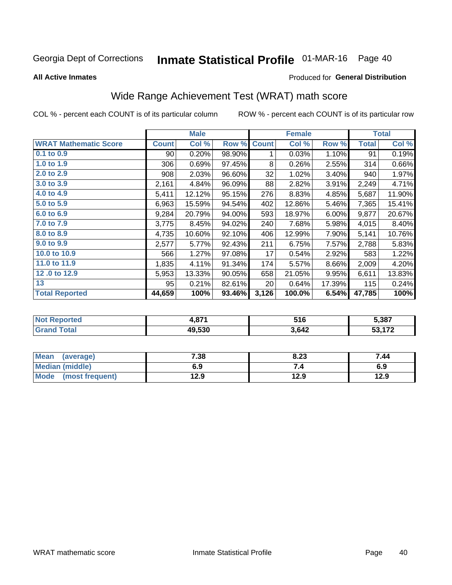## Inmate Statistical Profile 01-MAR-16 Page 40

**All Active Inmates** 

### Produced for General Distribution

### Wide Range Achievement Test (WRAT) math score

COL % - percent each COUNT is of its particular column

| <b>WRAT Mathematic Score</b><br>Col %<br>Row %<br><b>Count</b><br>Col %<br>Row %<br><b>Count</b><br>0.1 to 0.9<br>0.03%<br>0.20%<br>1.10%<br>90 <br>98.90%<br>1<br>1.0 to 1.9<br>306<br>0.69%<br>97.45%<br>8<br>0.26%<br>2.55%<br>2.0 to 2.9<br>2.03%<br>96.60%<br>32<br>1.02%<br>3.40%<br>908<br>3.0 to 3.9<br>2,161<br>4.84%<br>88<br>2.82%<br>3.91%<br>96.09%<br>4.0 to 4.9<br>276<br>5,411<br>12.12%<br>95.15%<br>8.83%<br>4.85%<br>5.0 to 5.9<br>6,963<br>15.59%<br>94.54%<br>402<br>12.86%<br>5.46%<br>6.0 to 6.9<br>9,284<br>593<br>18.97%<br>6.00%<br>20.79%<br>94.00%<br>7.0 to 7.9<br>7.68%<br>3,775<br>8.45%<br>94.02%<br>240<br>5.98%<br>8.0 to 8.9<br>4,735<br>10.60%<br>92.10%<br>406<br>12.99%<br>7.90%<br>9.0 to 9.9<br>2,577<br>211<br>5.77%<br>92.43%<br>6.75%<br>7.57%<br>10.0 to 10.9<br>1.27%<br>17<br>566<br>97.08%<br>0.54%<br>2.92% | <b>Total</b><br>91<br>314<br>940<br>2,249 | Col %<br>0.19%<br>0.66%<br>1.97% |
|-------------------------------------------------------------------------------------------------------------------------------------------------------------------------------------------------------------------------------------------------------------------------------------------------------------------------------------------------------------------------------------------------------------------------------------------------------------------------------------------------------------------------------------------------------------------------------------------------------------------------------------------------------------------------------------------------------------------------------------------------------------------------------------------------------------------------------------------------------------|-------------------------------------------|----------------------------------|
|                                                                                                                                                                                                                                                                                                                                                                                                                                                                                                                                                                                                                                                                                                                                                                                                                                                             |                                           |                                  |
|                                                                                                                                                                                                                                                                                                                                                                                                                                                                                                                                                                                                                                                                                                                                                                                                                                                             |                                           |                                  |
|                                                                                                                                                                                                                                                                                                                                                                                                                                                                                                                                                                                                                                                                                                                                                                                                                                                             |                                           |                                  |
|                                                                                                                                                                                                                                                                                                                                                                                                                                                                                                                                                                                                                                                                                                                                                                                                                                                             |                                           |                                  |
|                                                                                                                                                                                                                                                                                                                                                                                                                                                                                                                                                                                                                                                                                                                                                                                                                                                             |                                           | 4.71%                            |
|                                                                                                                                                                                                                                                                                                                                                                                                                                                                                                                                                                                                                                                                                                                                                                                                                                                             | 5,687                                     | 11.90%                           |
|                                                                                                                                                                                                                                                                                                                                                                                                                                                                                                                                                                                                                                                                                                                                                                                                                                                             | 7,365                                     | 15.41%                           |
|                                                                                                                                                                                                                                                                                                                                                                                                                                                                                                                                                                                                                                                                                                                                                                                                                                                             | 9,877                                     | 20.67%                           |
|                                                                                                                                                                                                                                                                                                                                                                                                                                                                                                                                                                                                                                                                                                                                                                                                                                                             | 4,015                                     | 8.40%                            |
|                                                                                                                                                                                                                                                                                                                                                                                                                                                                                                                                                                                                                                                                                                                                                                                                                                                             | 5,141                                     | 10.76%                           |
|                                                                                                                                                                                                                                                                                                                                                                                                                                                                                                                                                                                                                                                                                                                                                                                                                                                             | 2,788                                     | 5.83%                            |
|                                                                                                                                                                                                                                                                                                                                                                                                                                                                                                                                                                                                                                                                                                                                                                                                                                                             | 583                                       | 1.22%                            |
| 11.0 to 11.9<br>1,835<br>4.11%<br>91.34%<br>174<br>5.57%<br>8.66%                                                                                                                                                                                                                                                                                                                                                                                                                                                                                                                                                                                                                                                                                                                                                                                           | 2,009                                     | 4.20%                            |
| 12.0 to 12.9<br>13.33%<br>658<br>9.95%<br>5,953<br>90.05%<br>21.05%                                                                                                                                                                                                                                                                                                                                                                                                                                                                                                                                                                                                                                                                                                                                                                                         | 6,611                                     | 13.83%                           |
| 13<br>95<br>0.21%<br>20<br>17.39%<br>82.61%<br>0.64%                                                                                                                                                                                                                                                                                                                                                                                                                                                                                                                                                                                                                                                                                                                                                                                                        | 115                                       | 0.24%                            |
| <b>Total Reported</b><br>44,659<br>100%<br>3,126<br>6.54%<br>93.46%<br>100.0%                                                                                                                                                                                                                                                                                                                                                                                                                                                                                                                                                                                                                                                                                                                                                                               | 47,785                                    | 100%                             |

| <b>Not Reported</b> | 074<br>1.O/I | E4C<br>ບ⊥ບ | 5,387              |
|---------------------|--------------|------------|--------------------|
| Total               | 49,530       | 3,642      | E9 479<br>1 L<br>◡ |

| Mean (average)         | 7.38 | 8.23 | 7.44 |
|------------------------|------|------|------|
| <b>Median (middle)</b> | 6.9  |      | 6.9  |
| Mode (most frequent)   | 12.9 | 12.9 | 12.9 |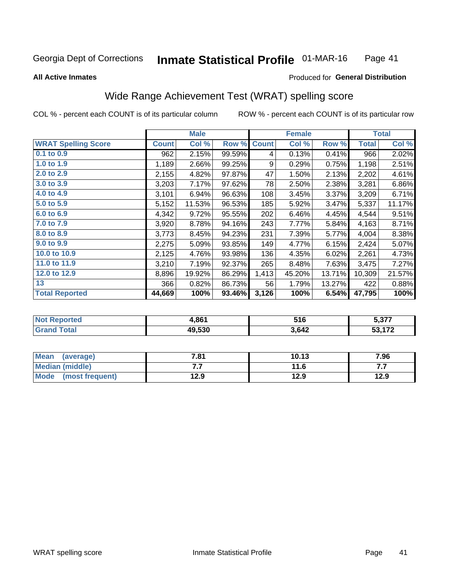#### **Inmate Statistical Profile 01-MAR-16** Page 41

#### **All Active Inmates**

### **Produced for General Distribution**

### Wide Range Achievement Test (WRAT) spelling score

COL % - percent each COUNT is of its particular column

|                            |              | <b>Male</b> |        |              | <b>Female</b> |        |        | <b>Total</b> |
|----------------------------|--------------|-------------|--------|--------------|---------------|--------|--------|--------------|
| <b>WRAT Spelling Score</b> | <b>Count</b> | Col %       | Row %  | <b>Count</b> | Col %         | Row %  | Total  | Col %        |
| $0.1$ to $0.9$             | 962          | 2.15%       | 99.59% | 4            | 0.13%         | 0.41%  | 966    | 2.02%        |
| 1.0 to 1.9                 | 1,189        | 2.66%       | 99.25% | 9            | 0.29%         | 0.75%  | 1,198  | 2.51%        |
| 2.0 to 2.9                 | 2,155        | 4.82%       | 97.87% | 47           | 1.50%         | 2.13%  | 2,202  | 4.61%        |
| 3.0 to 3.9                 | 3,203        | 7.17%       | 97.62% | 78           | 2.50%         | 2.38%  | 3,281  | 6.86%        |
| 4.0 to 4.9                 | 3,101        | 6.94%       | 96.63% | 108          | 3.45%         | 3.37%  | 3,209  | 6.71%        |
| 5.0 to 5.9                 | 5,152        | 11.53%      | 96.53% | 185          | 5.92%         | 3.47%  | 5,337  | 11.17%       |
| 6.0 to 6.9                 | 4,342        | 9.72%       | 95.55% | 202          | 6.46%         | 4.45%  | 4,544  | 9.51%        |
| 7.0 to 7.9                 | 3,920        | 8.78%       | 94.16% | 243          | 7.77%         | 5.84%  | 4,163  | 8.71%        |
| 8.0 to 8.9                 | 3,773        | 8.45%       | 94.23% | 231          | 7.39%         | 5.77%  | 4,004  | 8.38%        |
| 9.0 to 9.9                 | 2,275        | 5.09%       | 93.85% | 149          | 4.77%         | 6.15%  | 2,424  | 5.07%        |
| 10.0 to 10.9               | 2,125        | 4.76%       | 93.98% | 136          | 4.35%         | 6.02%  | 2,261  | 4.73%        |
| 11.0 to 11.9               | 3,210        | 7.19%       | 92.37% | 265          | 8.48%         | 7.63%  | 3,475  | 7.27%        |
| 12.0 to 12.9               | 8,896        | 19.92%      | 86.29% | 1,413        | 45.20%        | 13.71% | 10,309 | 21.57%       |
| 13                         | 366          | 0.82%       | 86.73% | 56           | 1.79%         | 13.27% | 422    | 0.88%        |
| <b>Total Reported</b>      | 44,669       | 100%        | 93.46% | 3,126        | 100%          | 6.54%  | 47,795 | 100%         |

| $\lnot$ orted                | 1,861  | E 4 C        | - ^ - -                            |
|------------------------------|--------|--------------|------------------------------------|
| ' NO).                       |        | <u>ບ ເ</u> ບ | . J.J I .                          |
| <b>Total</b><br><b>Grand</b> | 49,530 | 3,642        | $F^{\wedge}$ $F^{\wedge}$<br>- - - |

| Mean<br>(average)       | 7.81 | 10.13 | 7.96 |
|-------------------------|------|-------|------|
| Median (middle)         | .    | 11.6  | .    |
| Mode<br>(most frequent) | 12.9 | 12.9  | 12.9 |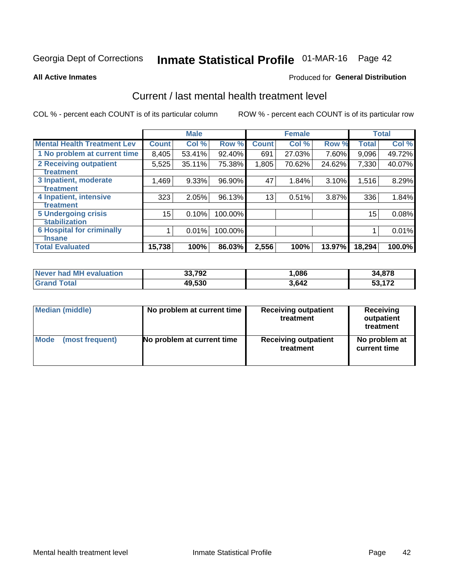## Inmate Statistical Profile 01-MAR-16 Page 42

#### **All Active Inmates**

### **Produced for General Distribution**

### Current / last mental health treatment level

COL % - percent each COUNT is of its particular column

|                                    |              | <b>Male</b> |         |              | <b>Female</b> |        |                 | <b>Total</b> |
|------------------------------------|--------------|-------------|---------|--------------|---------------|--------|-----------------|--------------|
| <b>Mental Health Treatment Lev</b> | <b>Count</b> | Col%        | Row %   | <b>Count</b> | Col %         | Row %  | <b>Total</b>    | Col %        |
| 1 No problem at current time       | 8,405        | 53.41%      | 92.40%  | 691          | 27.03%        | 7.60%  | 9,096           | 49.72%       |
| 2 Receiving outpatient             | 5,525        | 35.11%      | 75.38%  | 1,805        | 70.62%        | 24.62% | 7,330           | 40.07%       |
| <b>Treatment</b>                   |              |             |         |              |               |        |                 |              |
| 3 Inpatient, moderate              | 1,469        | 9.33%       | 96.90%  | 47           | 1.84%         | 3.10%  | 1,516           | 8.29%        |
| Treatment                          |              |             |         |              |               |        |                 |              |
| 4 Inpatient, intensive             | 323          | 2.05%       | 96.13%  | 13           | 0.51%         | 3.87%  | 336             | 1.84%        |
| <b>Treatment</b>                   |              |             |         |              |               |        |                 |              |
| 5 Undergoing crisis                | 15           | 0.10%       | 100.00% |              |               |        | 15 <sub>2</sub> | 0.08%        |
| <b>stabilization</b>               |              |             |         |              |               |        |                 |              |
| <b>6 Hospital for criminally</b>   |              | 0.01%       | 100.00% |              |               |        |                 | 0.01%        |
| <b>Tinsane</b>                     |              |             |         |              |               |        |                 |              |
| <b>Total Evaluated</b>             | 15,738       | 100%        | 86.03%  | 2,556        | 100%          | 13.97% | 18,294          | 100.0%       |

| Never had MH evaluation | 33,792 | ,086  | 34,878     |
|-------------------------|--------|-------|------------|
| <b>Grand Total</b>      | 49,530 | 3.642 | .172<br>ეკ |

| Median (middle) | No problem at current time | <b>Receiving outpatient</b><br>treatment | <b>Receiving</b><br>outpatient<br>treatment |  |  |
|-----------------|----------------------------|------------------------------------------|---------------------------------------------|--|--|
| <b>Mode</b>     | No problem at current time | <b>Receiving outpatient</b>              | No problem at                               |  |  |
| (most frequent) |                            | treatment                                | current time                                |  |  |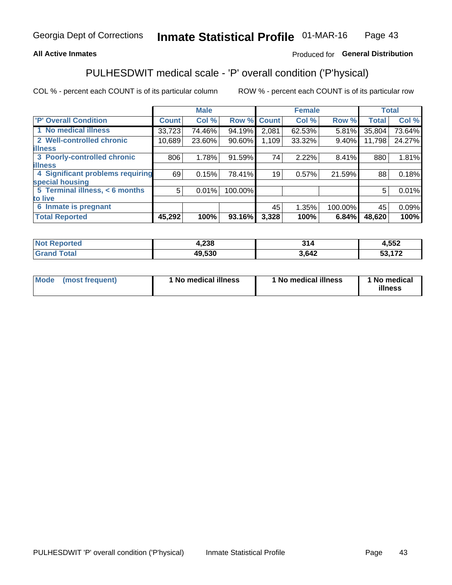### **All Active Inmates**

### Produced for General Distribution

## PULHESDWIT medical scale - 'P' overall condition ('P'hysical)

COL % - percent each COUNT is of its particular column

|                                  |              | <b>Male</b> |         |              | <b>Female</b> |          |              | <b>Total</b> |
|----------------------------------|--------------|-------------|---------|--------------|---------------|----------|--------------|--------------|
| 'P' Overall Condition            | <b>Count</b> | Col %       | Row %   | <b>Count</b> | Col %         | Row %    | <b>Total</b> | Col %        |
| 1 No medical illness             | 33,723       | 74.46%      | 94.19%  | 2,081        | 62.53%        | 5.81%    | 35,804       | 73.64%       |
| 2 Well-controlled chronic        | 10,689       | 23.60%      | 90.60%  | 1,109        | 33.32%        | $9.40\%$ | 11,798       | 24.27%       |
| <b>illness</b>                   |              |             |         |              |               |          |              |              |
| 3 Poorly-controlled chronic      | 806          | 1.78%       | 91.59%  | 74           | 2.22%         | 8.41%    | 880          | 1.81%        |
| <b>lillness</b>                  |              |             |         |              |               |          |              |              |
| 4 Significant problems requiring | 69           | 0.15%       | 78.41%  | 19           | 0.57%         | 21.59%   | 88           | 0.18%        |
| special housing                  |              |             |         |              |               |          |              |              |
| 5 Terminal illness, < 6 months   | 5            | 0.01%       | 100.00% |              |               |          | 5            | 0.01%        |
| to live                          |              |             |         |              |               |          |              |              |
| 6 Inmate is pregnant             |              |             |         | 45           | 1.35%         | 100.00%  | 45           | 0.09%        |
| <b>Total Reported</b>            | 45,292       | 100%        | 93.16%  | 3,328        | 100%          | 6.84%    | 48,620       | 100%         |

| тео | റാറ<br>4.ZJO | 94   | ,552     |
|-----|--------------|------|----------|
|     | 10 E90<br>л. | -642 | 170<br>. |

| Mode | (most frequent) | 1 No medical illness | 1 No medical illness | 1 No medical<br>illness |
|------|-----------------|----------------------|----------------------|-------------------------|
|------|-----------------|----------------------|----------------------|-------------------------|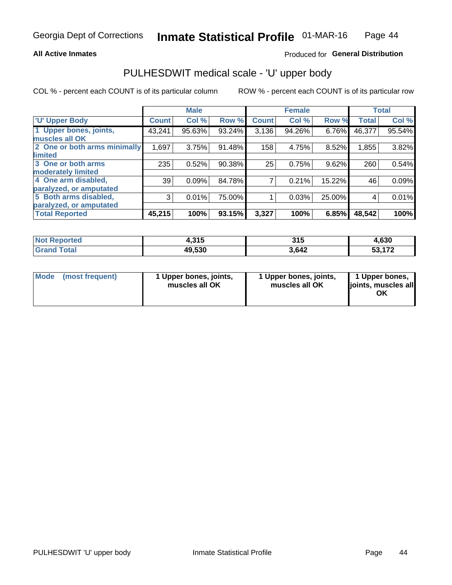### **All Active Inmates**

### Produced for General Distribution

## PULHESDWIT medical scale - 'U' upper body

COL % - percent each COUNT is of its particular column

|                              |              | <b>Male</b> |        |              | <b>Female</b> |        |              | <b>Total</b> |
|------------------------------|--------------|-------------|--------|--------------|---------------|--------|--------------|--------------|
| <b>U' Upper Body</b>         | <b>Count</b> | Col %       | Row %  | <b>Count</b> | Col %         | Row %  | <b>Total</b> | Col %        |
| 1 Upper bones, joints,       | 43,241       | 95.63%      | 93.24% | 3,136        | 94.26%        | 6.76%  | 46,377       | 95.54%       |
| muscles all OK               |              |             |        |              |               |        |              |              |
| 2 One or both arms minimally | 1,697        | 3.75%       | 91.48% | 158          | 4.75%         | 8.52%  | 1,855        | 3.82%        |
| limited                      |              |             |        |              |               |        |              |              |
| 3 One or both arms           | 235          | 0.52%       | 90.38% | 25           | 0.75%         | 9.62%  | 260          | 0.54%        |
| <b>moderately limited</b>    |              |             |        |              |               |        |              |              |
| 4 One arm disabled,          | 39           | 0.09%       | 84.78% |              | 0.21%         | 15.22% | 46           | 0.09%        |
| paralyzed, or amputated      |              |             |        |              |               |        |              |              |
| 5 Both arms disabled,        | 3            | 0.01%       | 75.00% |              | 0.03%         | 25.00% | 4            | 0.01%        |
| paralyzed, or amputated      |              |             |        |              |               |        |              |              |
| <b>Total Reported</b>        | 45,215       | 100%        | 93.15% | 3,327        | 100%          | 6.85%  | 48,542       | 100%         |

| <b>Not Reported</b> | 4,315  | 315   | 4,630         |
|---------------------|--------|-------|---------------|
| <b>Grand Total</b>  | 49,530 | 3,642 | 52 172<br>აა. |

| Mode (most frequent) | 1 Upper bones, joints,<br>muscles all OK | 1 Upper bones, joints,<br>muscles all OK | 1 Upper bones,<br>joints, muscles all<br>ΟK |
|----------------------|------------------------------------------|------------------------------------------|---------------------------------------------|
|----------------------|------------------------------------------|------------------------------------------|---------------------------------------------|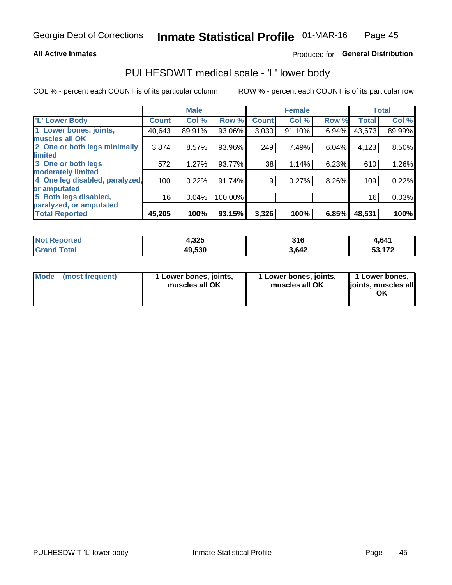### **All Active Inmates**

### Produced for General Distribution

### PULHESDWIT medical scale - 'L' lower body

COL % - percent each COUNT is of its particular column

|                                |              | <b>Male</b> |         |              | <b>Female</b> |       |                 | <b>Total</b> |
|--------------------------------|--------------|-------------|---------|--------------|---------------|-------|-----------------|--------------|
| 'L' Lower Body                 | <b>Count</b> | Col %       | Row %   | <b>Count</b> | Col %         | Row % | <b>Total</b>    | Col %        |
| 1 Lower bones, joints,         | 40,643       | 89.91%      | 93.06%  | 3,030        | 91.10%        | 6.94% | 43,673          | 89.99%       |
| muscles all OK                 |              |             |         |              |               |       |                 |              |
| 2 One or both legs minimally   | 3,874        | 8.57%       | 93.96%  | 249          | 7.49%         | 6.04% | 4,123           | 8.50%        |
| limited                        |              |             |         |              |               |       |                 |              |
| 3 One or both legs             | 572          | 1.27%       | 93.77%  | 38           | 1.14%         | 6.23% | 610             | 1.26%        |
| moderately limited             |              |             |         |              |               |       |                 |              |
| 4 One leg disabled, paralyzed, | 100          | 0.22%       | 91.74%  | 9            | 0.27%         | 8.26% | 109             | 0.22%        |
| or amputated                   |              |             |         |              |               |       |                 |              |
| 5 Both legs disabled,          | 16           | 0.04%       | 100.00% |              |               |       | 16 <sub>1</sub> | 0.03%        |
| paralyzed, or amputated        |              |             |         |              |               |       |                 |              |
| <b>Total Reported</b>          | 45,205       | 100%        | 93.15%  | 3,326        | 100%          | 6.85% | 48,531          | 100%         |

| <b>Not Reported</b>   | 4,325  | 316   | 4,641                           |
|-----------------------|--------|-------|---------------------------------|
| <b>Total</b><br>Grand | 49,530 | 3,642 | $F^{\alpha}$ $F^{\alpha}$<br>JJ |

| Mode | (most frequent) | 1 Lower bones, joints,<br>muscles all OK | I Lower bones, joints,<br>muscles all OK | 1 Lower bones,<br>joints, muscles all<br>ΟK |
|------|-----------------|------------------------------------------|------------------------------------------|---------------------------------------------|
|------|-----------------|------------------------------------------|------------------------------------------|---------------------------------------------|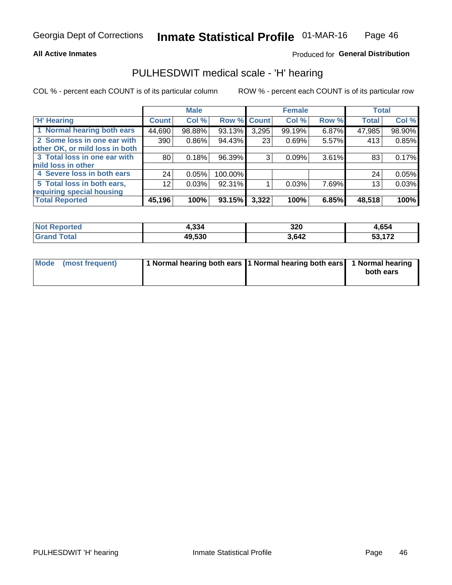### **All Active Inmates**

### Produced for General Distribution

### PULHESDWIT medical scale - 'H' hearing

COL % - percent each COUNT is of its particular column

|                                |              | <b>Male</b> |             |       | <b>Female</b> |       | <b>Total</b> |        |
|--------------------------------|--------------|-------------|-------------|-------|---------------|-------|--------------|--------|
| <b>'H' Hearing</b>             | <b>Count</b> | Col %       | Row % Count |       | Col %         | Row % | <b>Total</b> | Col %  |
| 1 Normal hearing both ears     | 44,690       | 98.88%      | 93.13%      | 3,295 | 99.19%        | 6.87% | 47,985       | 98.90% |
| 2 Some loss in one ear with    | 390          | 0.86%       | 94.43%      | 23    | 0.69%         | 5.57% | 413          | 0.85%  |
| other OK, or mild loss in both |              |             |             |       |               |       |              |        |
| 3 Total loss in one ear with   | 80           | 0.18%       | 96.39%      | 3     | 0.09%         | 3.61% | 83           | 0.17%  |
| mild loss in other             |              |             |             |       |               |       |              |        |
| 4 Severe loss in both ears     | 24           | 0.05%       | 100.00%     |       |               |       | 24           | 0.05%  |
| 5 Total loss in both ears,     | 12           | 0.03%       | 92.31%      |       | 0.03%         | 7.69% | 13           | 0.03%  |
| requiring special housing      |              |             |             |       |               |       |              |        |
| <b>Total Reported</b>          | 45,196       | 100%        | 93.15%      | 3,322 | 100%          | 6.85% | 48,518       | 100%   |

| <b>Not Reno</b><br>ື∩rted | 1,334  | 320   | <b>I.654</b>      |
|---------------------------|--------|-------|-------------------|
| <b>Total</b>              | 49,530 | 3,642 | 170<br>17Z<br>JJ. |

| Mode (most frequent) | 1 Normal hearing both ears 11 Normal hearing both ears 1 Normal hearing | both ears |
|----------------------|-------------------------------------------------------------------------|-----------|
|                      |                                                                         |           |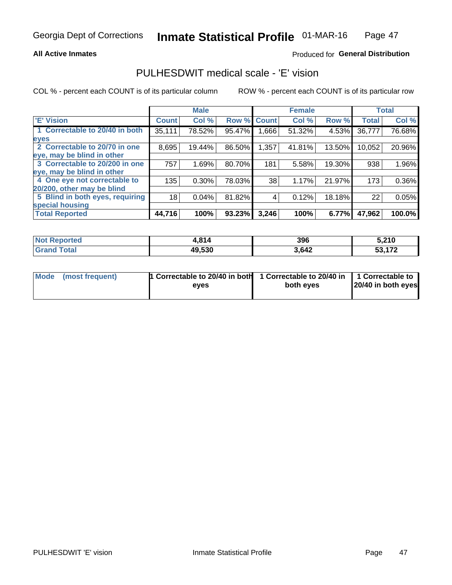### **All Active Inmates**

### Produced for General Distribution

### PULHESDWIT medical scale - 'E' vision

COL % - percent each COUNT is of its particular column

|                                 |              | <b>Male</b> |        |              | <b>Female</b> |        |              | <b>Total</b> |
|---------------------------------|--------------|-------------|--------|--------------|---------------|--------|--------------|--------------|
| 'E' Vision                      | <b>Count</b> | Col %       | Row %  | <b>Count</b> | Col %         | Row %  | <b>Total</b> | Col %        |
| 1 Correctable to 20/40 in both  | 35,111       | 78.52%      | 95.47% | 666.         | 51.32%        | 4.53%  | 36,777       | 76.68%       |
| eyes                            |              |             |        |              |               |        |              |              |
| 2 Correctable to 20/70 in one   | 8,695        | 19.44%      | 86.50% | 1,357        | 41.81%        | 13.50% | 10,052       | 20.96%       |
| eye, may be blind in other      |              |             |        |              |               |        |              |              |
| 3 Correctable to 20/200 in one  | 757          | 1.69%       | 80.70% | 181          | 5.58%         | 19.30% | 938          | 1.96%        |
| eye, may be blind in other      |              |             |        |              |               |        |              |              |
| 4 One eye not correctable to    | 135          | $0.30\%$    | 78.03% | 38           | 1.17%         | 21.97% | 173          | 0.36%        |
| 20/200, other may be blind      |              |             |        |              |               |        |              |              |
| 5 Blind in both eyes, requiring | 18           | 0.04%       | 81.82% | 4            | 0.12%         | 18.18% | 22           | 0.05%        |
| special housing                 |              |             |        |              |               |        |              |              |
| <b>Total Reported</b>           | 44,716       | 100%        | 93.23% | 3,246        | 100%          | 6.77%  | 47,962       | 100.0%       |

| <b>Not Reported</b> | 4,814  | 396   | 5,210         |
|---------------------|--------|-------|---------------|
| <b>Total</b>        | 49,530 | 3,642 | $\sim$ $\sim$ |

| Mode (most frequent) | 1 Correctable to 20/40 in both<br>eves | 1 Correctable to 20/40 in   1 Correctable to  <br>both eves | 20/40 in both eyes |
|----------------------|----------------------------------------|-------------------------------------------------------------|--------------------|
|                      |                                        |                                                             |                    |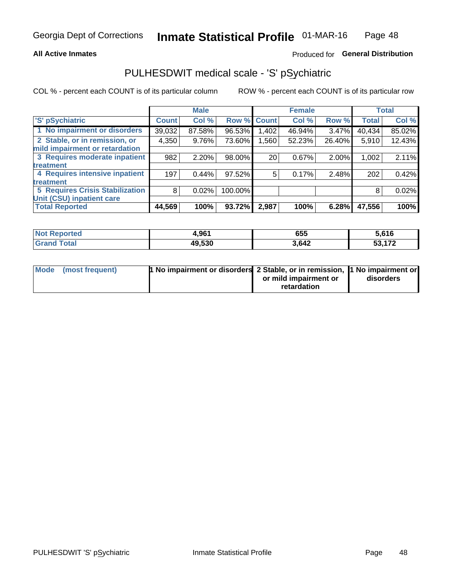### **All Active Inmates**

### Produced for General Distribution

### PULHESDWIT medical scale - 'S' pSychiatric

COL % - percent each COUNT is of its particular column

|                                        |              | <b>Male</b> |           |              | <b>Female</b> |        |              | <b>Total</b> |
|----------------------------------------|--------------|-------------|-----------|--------------|---------------|--------|--------------|--------------|
| 'S' pSychiatric                        | <b>Count</b> | Col %       | Row %     | <b>Count</b> | Col %         | Row %  | <b>Total</b> | Col %        |
| 1 No impairment or disorders           | 39,032       | 87.58%      | 96.53%    | .402         | 46.94%        | 3.47%  | 40,434       | 85.02%       |
| 2 Stable, or in remission, or          | 4,350        | 9.76%       | 73.60%    | ,560         | 52.23%        | 26.40% | 5,910        | 12.43%       |
| mild impairment or retardation         |              |             |           |              |               |        |              |              |
| 3 Requires moderate inpatient          | 982          | 2.20%       | 98.00%    | 20           | 0.67%         | 2.00%  | 1,002        | 2.11%        |
| treatment                              |              |             |           |              |               |        |              |              |
| 4 Requires intensive inpatient         | 197          | 0.44%       | $97.52\%$ | 5            | 0.17%         | 2.48%  | 202          | 0.42%        |
| treatment                              |              |             |           |              |               |        |              |              |
| <b>5 Requires Crisis Stabilization</b> | 8            | 0.02%       | 100.00%   |              |               |        | 8            | 0.02%        |
| Unit (CSU) inpatient care              |              |             |           |              |               |        |              |              |
| <b>Total Reported</b>                  | 44,569       | 100%        | 93.72%    | 2,987        | 100%          | 6.28%  | 47,556       | 100%         |

| <b>Not Reported</b>   | 4,961  | 655   | 5,616 |
|-----------------------|--------|-------|-------|
| <b>Total</b><br>Grand | 49,530 | 3,642 | 472   |

| Mode (most frequent) | <b>1 No impairment or disorders 2 Stable, or in remission, 1 No impairment or</b> |                       |           |
|----------------------|-----------------------------------------------------------------------------------|-----------------------|-----------|
|                      |                                                                                   | or mild impairment or | disorders |
|                      |                                                                                   | retardation           |           |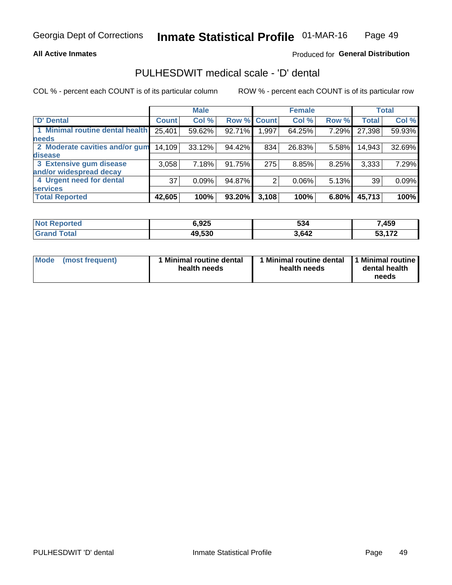### **All Active Inmates**

### Produced for General Distribution

### PULHESDWIT medical scale - 'D' dental

COL % - percent each COUNT is of its particular column

|                                 |              | <b>Male</b> |        |              | <b>Female</b> |          |              | <b>Total</b> |
|---------------------------------|--------------|-------------|--------|--------------|---------------|----------|--------------|--------------|
| <b>D'</b> Dental                | <b>Count</b> | Col %       | Row %  | <b>Count</b> | Col %         | Row %    | <b>Total</b> | Col %        |
| 1 Minimal routine dental health | 25,401       | 59.62%      | 92.71% | .997         | 64.25%        | 7.29%    | 27,398       | 59.93%       |
| <b>needs</b>                    |              |             |        |              |               |          |              |              |
| 2 Moderate cavities and/or gum  | 14,109       | 33.12%      | 94.42% | 834          | 26.83%        | 5.58%    | 14,943       | 32.69%       |
| disease                         |              |             |        |              |               |          |              |              |
| 3 Extensive gum disease         | 3,058        | 7.18%       | 91.75% | 275          | 8.85%         | 8.25%    | 3,333        | 7.29%        |
| and/or widespread decay         |              |             |        |              |               |          |              |              |
| 4 Urgent need for dental        | 37           | 0.09%       | 94.87% |              | 0.06%         | $5.13\%$ | 39           | 0.09%        |
| <b>services</b>                 |              |             |        |              |               |          |              |              |
| <b>Total Reported</b>           | 42,605       | 100%        | 93.20% | 3,108        | 100%          | 6.80%    | 45,713       | 100%         |

| Reported<br>NO. | 6,925  | E91<br>უკ4 | ,459                      |
|-----------------|--------|------------|---------------------------|
| `otal<br>Grand  | 49,530 | 3,642      | $F^{\prime}$ $F^{\prime}$ |

| Mode | (most frequent) | <b>Minimal routine dental</b><br>health needs | 1 Minimal routine dental 1 Minimal routine<br>health needs | dental health<br>needs |
|------|-----------------|-----------------------------------------------|------------------------------------------------------------|------------------------|
|------|-----------------|-----------------------------------------------|------------------------------------------------------------|------------------------|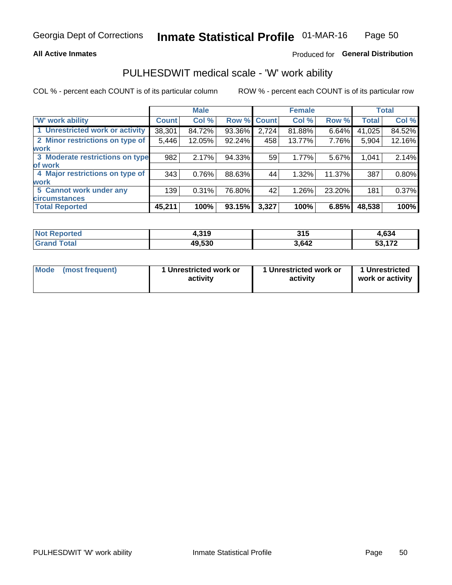### **All Active Inmates**

### Produced for General Distribution

### PULHESDWIT medical scale - 'W' work ability

COL % - percent each COUNT is of its particular column

|                                 |              | <b>Male</b> |        |             | <b>Female</b> |        |              | <b>Total</b> |
|---------------------------------|--------------|-------------|--------|-------------|---------------|--------|--------------|--------------|
| 'W' work ability                | <b>Count</b> | Col %       |        | Row % Count | Col %         | Row %  | <b>Total</b> | Col %        |
| 1 Unrestricted work or activity | 38,301       | 84.72%      | 93.36% | 2,724       | 81.88%        | 6.64%  | 41,025       | 84.52%       |
| 2 Minor restrictions on type of | 5,446        | 12.05%      | 92.24% | 458         | 13.77%        | 7.76%  | 5,904        | 12.16%       |
| <b>work</b>                     |              |             |        |             |               |        |              |              |
| 3 Moderate restrictions on type | 982          | 2.17%       | 94.33% | 59          | 1.77%         | 5.67%  | 1,041        | 2.14%        |
| lof work                        |              |             |        |             |               |        |              |              |
| 4 Major restrictions on type of | 343          | 0.76%       | 88.63% | 44          | 1.32%         | 11.37% | 387          | 0.80%        |
| <b>work</b>                     |              |             |        |             |               |        |              |              |
| 5 Cannot work under any         | 139          | 0.31%       | 76.80% | 42          | 1.26%         | 23.20% | 181          | 0.37%        |
| <b>circumstances</b>            |              |             |        |             |               |        |              |              |
| <b>Total Reported</b>           | 45,211       | 100%        | 93.15% | 3,327       | 100%          | 6.85%  | 48,538       | 100%         |

| NotR        | ,319   | 21 F  | C <sub>2</sub>                   |
|-------------|--------|-------|----------------------------------|
| anorted and |        | UIJ   | 4,634                            |
| Total       | 49,530 | 3,642 | $F^{\wedge}$ $F^{\wedge}$<br>''' |

| Mode            | 1 Unrestricted work or | 1 Unrestricted work or | 1 Unrestricted   |
|-----------------|------------------------|------------------------|------------------|
| (most frequent) | activity               | activity               | work or activity |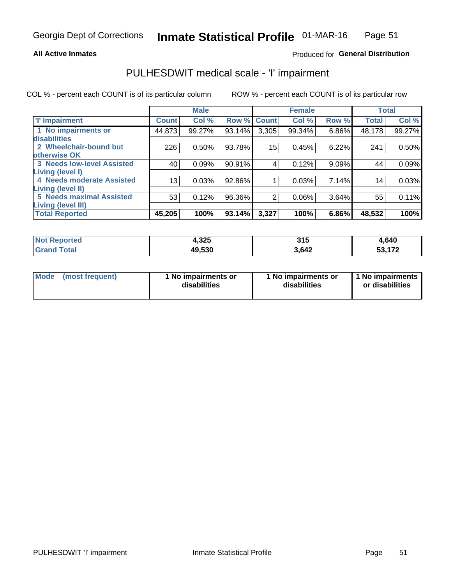### **All Active Inmates**

### Produced for General Distribution

### PULHESDWIT medical scale - 'I' impairment

COL % - percent each COUNT is of its particular column

|                                                              |              | <b>Male</b> |        |             | <b>Female</b> |       |              | <b>Total</b> |
|--------------------------------------------------------------|--------------|-------------|--------|-------------|---------------|-------|--------------|--------------|
| <b>T' Impairment</b>                                         | <b>Count</b> | Col %       |        | Row % Count | Col %         | Row % | <b>Total</b> | Col %        |
| 1 No impairments or<br>disabilities                          | 44,873       | 99.27%      | 93.14% | 3,305       | 99.34%        | 6.86% | 48,178       | 99.27%       |
| 2 Wheelchair-bound but                                       | 226          | 0.50%       | 93.78% | 15          | 0.45%         | 6.22% | 241          | 0.50%        |
| otherwise OK<br><b>3 Needs low-level Assisted</b>            | 40           | 0.09%       | 90.91% | 4           | 0.12%         | 9.09% | 44           | 0.09%        |
| Living (level I)<br>4 Needs moderate Assisted                | 13           | 0.03%       | 92.86% |             | 0.03%         | 7.14% | 14           | 0.03%        |
| <b>Living (level II)</b>                                     |              |             |        |             |               |       |              |              |
| <b>5 Needs maximal Assisted</b><br><b>Living (level III)</b> | 53           | 0.12%       | 96.36% | 2           | 0.06%         | 3.64% | 55           | 0.11%        |
| <b>Total Reported</b>                                        | 45,205       | 100%        | 93.14% | 3,327       | 100%          | 6.86% | 48,532       | 100%         |

| <b>Not</b><br>Reported | 4,325  | 215<br>JIJ | 4,640 |
|------------------------|--------|------------|-------|
| Total<br>Grai          | 49,530 | 3,642      | 472   |

| Mode | (most frequent) | 1 No impairments or<br>disabilities | 1 No impairments or<br>disabilities | 1 No impairments<br>or disabilities |
|------|-----------------|-------------------------------------|-------------------------------------|-------------------------------------|
|------|-----------------|-------------------------------------|-------------------------------------|-------------------------------------|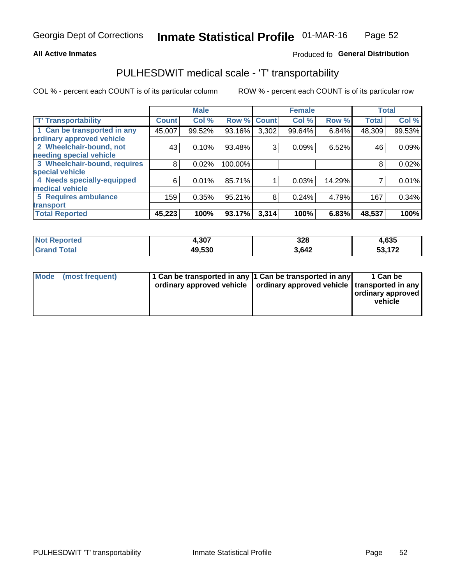### **All Active Inmates**

### Produced fo General Distribution

### PULHESDWIT medical scale - 'T' transportability

COL % - percent each COUNT is of its particular column

|                              |              | <b>Male</b> |         |              | <b>Female</b> |        |              | <b>Total</b> |
|------------------------------|--------------|-------------|---------|--------------|---------------|--------|--------------|--------------|
| <b>T' Transportability</b>   | <b>Count</b> | Col %       | Row %   | <b>Count</b> | Col %         | Row %  | <b>Total</b> | Col %        |
| 1 Can be transported in any  | 45,007       | 99.52%      | 93.16%  | 3,302        | 99.64%        | 6.84%  | 48,309       | 99.53%       |
| ordinary approved vehicle    |              |             |         |              |               |        |              |              |
| 2 Wheelchair-bound, not      | 43           | 0.10%       | 93.48%  | 3            | 0.09%         | 6.52%  | 46           | 0.09%        |
| needing special vehicle      |              |             |         |              |               |        |              |              |
| 3 Wheelchair-bound, requires | 8            | 0.02%       | 100.00% |              |               |        | 8            | 0.02%        |
| special vehicle              |              |             |         |              |               |        |              |              |
| 4 Needs specially-equipped   | 6            | 0.01%       | 85.71%  |              | 0.03%         | 14.29% |              | 0.01%        |
| medical vehicle              |              |             |         |              |               |        |              |              |
| <b>5 Requires ambulance</b>  | 159          | 0.35%       | 95.21%  | 8            | 0.24%         | 4.79%  | 167          | 0.34%        |
| transport                    |              |             |         |              |               |        |              |              |
| <b>Total Reported</b>        | 45,223       | 100%        | 93.17%  | 3,314        | 100%          | 6.83%  | 48,537       | 100%         |

| <b>Not</b><br><b>eported</b> | 4,307  | 328   | 4,635 |
|------------------------------|--------|-------|-------|
| <b>otal</b>                  | 49.530 | 3.642 | 470   |

|  | Mode (most frequent) | 1 Can be transported in any 1 Can be transported in any<br>ordinary approved vehicle   ordinary approved vehicle   transported in any |  | 1 Can be<br>  ordinary approved  <br>vehicle |
|--|----------------------|---------------------------------------------------------------------------------------------------------------------------------------|--|----------------------------------------------|
|--|----------------------|---------------------------------------------------------------------------------------------------------------------------------------|--|----------------------------------------------|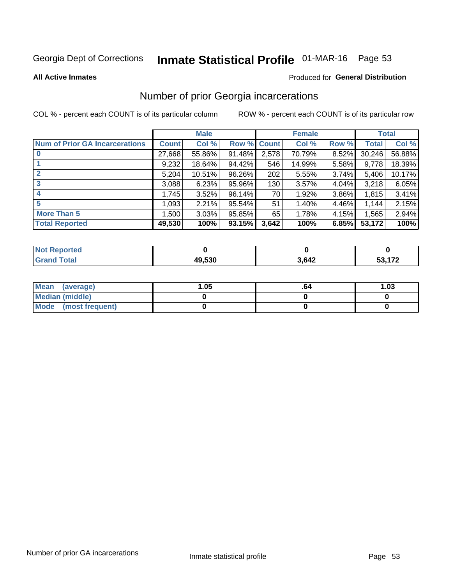## Inmate Statistical Profile 01-MAR-16 Page 53

#### **All Active Inmates**

### Produced for General Distribution

### Number of prior Georgia incarcerations

COL % - percent each COUNT is of its particular column

|                                       |              | <b>Male</b> |             |       | <b>Female</b> |       |        | <b>Total</b> |
|---------------------------------------|--------------|-------------|-------------|-------|---------------|-------|--------|--------------|
| <b>Num of Prior GA Incarcerations</b> | <b>Count</b> | Col %       | Row % Count |       | Col %         | Row % | Total  | Col %        |
| $\bf{0}$                              | 27,668       | 55.86%      | 91.48%      | 2,578 | 70.79%        | 8.52% | 30,246 | 56.88%       |
|                                       | 9,232        | 18.64%      | 94.42%      | 546   | 14.99%        | 5.58% | 9,778  | 18.39%       |
| $\mathbf{2}$                          | 5,204        | 10.51%      | 96.26%      | 202   | 5.55%         | 3.74% | 5,406  | 10.17%       |
| 3                                     | 3,088        | 6.23%       | 95.96%      | 130   | 3.57%         | 4.04% | 3,218  | 6.05%        |
| $\boldsymbol{4}$                      | 1,745        | 3.52%       | 96.14%      | 70    | 1.92%         | 3.86% | 1,815  | 3.41%        |
| 5                                     | 1,093        | 2.21%       | 95.54%      | 51    | 1.40%         | 4.46% | 1.144  | 2.15%        |
| <b>More Than 5</b>                    | 1.500        | 3.03%       | 95.85%      | 65    | 1.78%         | 4.15% | 1,565  | 2.94%        |
| <b>Total Reported</b>                 | 49,530       | 100%        | 93.15%      | 3,642 | 100%          | 6.85% | 53,172 | 100%         |

| orted<br>NO. |        |       |                 |
|--------------|--------|-------|-----------------|
| 'otal<br>Gr  | 49.530 | 3,642 | 170<br><u>.</u> |

| Mean (average)       | .05 | -04 | 1.03 |
|----------------------|-----|-----|------|
| Median (middle)      |     |     |      |
| Mode (most frequent) |     |     |      |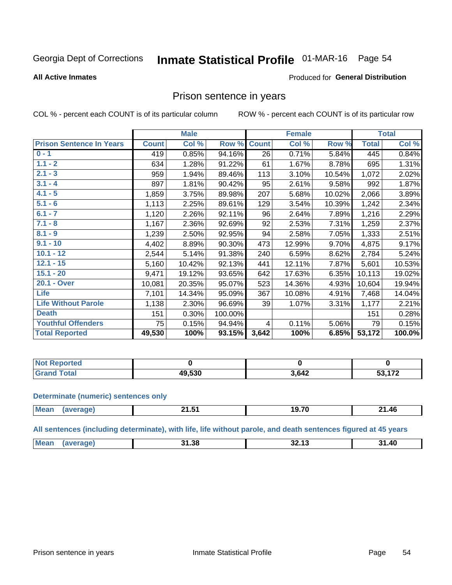## Inmate Statistical Profile 01-MAR-16 Page 54

#### **All Active Inmates**

### Produced for General Distribution

### Prison sentence in years

COL % - percent each COUNT is of its particular column

ROW % - percent each COUNT is of its particular row

|                                 |              | <b>Male</b> |         |              | <b>Female</b> |        |              | <b>Total</b> |
|---------------------------------|--------------|-------------|---------|--------------|---------------|--------|--------------|--------------|
| <b>Prison Sentence In Years</b> | <b>Count</b> | Col %       | Row %   | <b>Count</b> | Col %         | Row %  | <b>Total</b> | Col %        |
| $0 - 1$                         | 419          | 0.85%       | 94.16%  | 26           | 0.71%         | 5.84%  | 445          | 0.84%        |
| $1.1 - 2$                       | 634          | 1.28%       | 91.22%  | 61           | 1.67%         | 8.78%  | 695          | 1.31%        |
| $2.1 - 3$                       | 959          | 1.94%       | 89.46%  | 113          | 3.10%         | 10.54% | 1,072        | 2.02%        |
| $3.1 - 4$                       | 897          | 1.81%       | 90.42%  | 95           | 2.61%         | 9.58%  | 992          | 1.87%        |
| $4.1 - 5$                       | 1,859        | 3.75%       | 89.98%  | 207          | 5.68%         | 10.02% | 2,066        | 3.89%        |
| $5.1 - 6$                       | 1,113        | 2.25%       | 89.61%  | 129          | 3.54%         | 10.39% | 1,242        | 2.34%        |
| $6.1 - 7$                       | 1,120        | 2.26%       | 92.11%  | 96           | 2.64%         | 7.89%  | 1,216        | 2.29%        |
| $7.1 - 8$                       | 1,167        | 2.36%       | 92.69%  | 92           | 2.53%         | 7.31%  | 1,259        | 2.37%        |
| $8.1 - 9$                       | 1,239        | 2.50%       | 92.95%  | 94           | 2.58%         | 7.05%  | 1,333        | 2.51%        |
| $9.1 - 10$                      | 4,402        | 8.89%       | 90.30%  | 473          | 12.99%        | 9.70%  | 4,875        | 9.17%        |
| $10.1 - 12$                     | 2,544        | 5.14%       | 91.38%  | 240          | 6.59%         | 8.62%  | 2,784        | 5.24%        |
| $12.1 - 15$                     | 5,160        | 10.42%      | 92.13%  | 441          | 12.11%        | 7.87%  | 5,601        | 10.53%       |
| $15.1 - 20$                     | 9,471        | 19.12%      | 93.65%  | 642          | 17.63%        | 6.35%  | 10, 113      | 19.02%       |
| 20.1 - Over                     | 10,081       | 20.35%      | 95.07%  | 523          | 14.36%        | 4.93%  | 10,604       | 19.94%       |
| <b>Life</b>                     | 7,101        | 14.34%      | 95.09%  | 367          | 10.08%        | 4.91%  | 7,468        | 14.04%       |
| <b>Life Without Parole</b>      | 1,138        | 2.30%       | 96.69%  | 39           | 1.07%         | 3.31%  | 1,177        | 2.21%        |
| <b>Death</b>                    | 151          | 0.30%       | 100.00% |              |               |        | 151          | 0.28%        |
| <b>Youthful Offenders</b>       | 75           | 0.15%       | 94.94%  | 4            | 0.11%         | 5.06%  | 79           | 0.15%        |
| <b>Total Reported</b>           | 49,530       | 100%        | 93.15%  | 3,642        | 100%          | 6.85%  | 53,172       | 100.0%       |

| Reported<br>I NOT F |        |       |     |
|---------------------|--------|-------|-----|
|                     | 19.530 | 3,642 | 170 |

#### **Determinate (numeric) sentences only**

| <b>Mean</b> | .<br>. .<br>41.J | מד הו<br>-19.70 | 21.46<br>-94 |
|-------------|------------------|-----------------|--------------|
|             |                  |                 |              |

All sentences (including determinate), with life, life without parole, and death sentences figured at 45 years

| <b>Mea</b><br>. .<br>38. ا<br>1.40<br>-94<br>. .<br>J4.IJ |  |      |  |
|-----------------------------------------------------------|--|------|--|
|                                                           |  | $ -$ |  |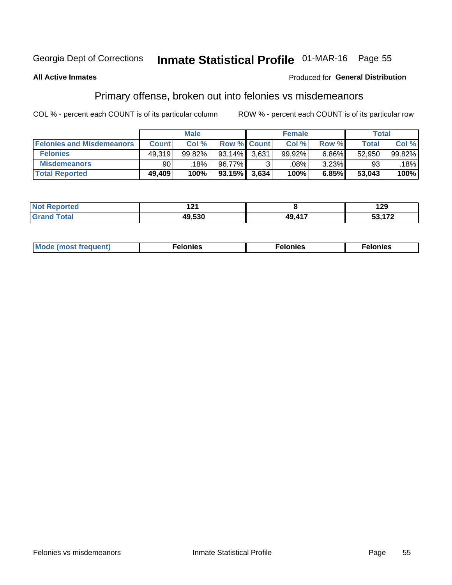## Inmate Statistical Profile 01-MAR-16 Page 55

### **All Active Inmates**

### Produced for General Distribution

### Primary offense, broken out into felonies vs misdemeanors

COL % - percent each COUNT is of its particular column

|                                  |              | <b>Male</b> |                 |                    | <b>Female</b> |          | Total        |        |
|----------------------------------|--------------|-------------|-----------------|--------------------|---------------|----------|--------------|--------|
| <b>Felonies and Misdemeanors</b> | <b>Count</b> | Col%        |                 | <b>Row % Count</b> | Col%          | Row %    | <b>Total</b> | Col %  |
| <b>Felonies</b>                  | 49,319       | 99.82%      | 93.14%          | 3,631              | 99.92%        | 6.86%    | 52,950       | 99.82% |
| <b>Misdemeanors</b>              | 90           | 18%         | 96.77%          |                    | .08%          | $3.23\%$ | 93           | 18%    |
| <b>Total Reported</b>            | 49,409       | 100%        | $93.15\%$ 3,634 |                    | 100%          | 6.85%    | 53.043       | 100%   |

| <b>Not</b>    | 4Λ.    |               | 29        |
|---------------|--------|---------------|-----------|
| rted.         | .      |               | __        |
| Grar<br>™otar | 10 520 | <b>10 117</b> | 170<br>JJ |

| Mo | ____ | 11 C.S<br>. | onies<br>. |
|----|------|-------------|------------|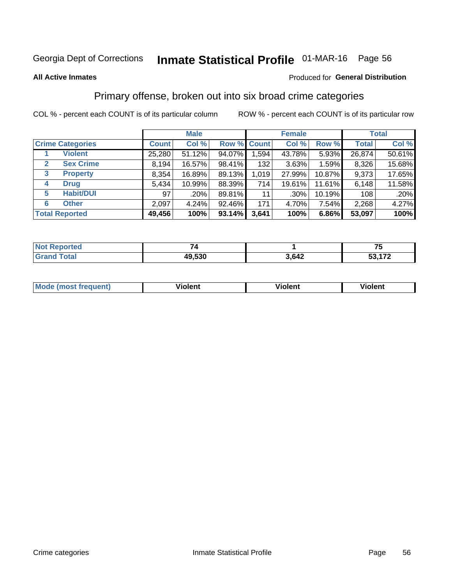## Inmate Statistical Profile 01-MAR-16 Page 56

#### **All Active Inmates**

### Produced for General Distribution

### Primary offense, broken out into six broad crime categories

COL % - percent each COUNT is of its particular column

|                                  |              | <b>Male</b> |        |             | <b>Female</b> |        |              | <b>Total</b> |
|----------------------------------|--------------|-------------|--------|-------------|---------------|--------|--------------|--------------|
| <b>Crime Categories</b>          | <b>Count</b> | Col %       |        | Row % Count | Col %         | Row %  | <b>Total</b> | Col %        |
| <b>Violent</b>                   | 25,280       | 51.12%      | 94.07% | 1,594       | 43.78%        | 5.93%  | 26,874       | 50.61%       |
| <b>Sex Crime</b><br>$\mathbf{2}$ | 8,194        | 16.57%      | 98.41% | 132         | 3.63%         | 1.59%  | 8,326        | 15.68%       |
| 3<br><b>Property</b>             | 8,354        | 16.89%      | 89.13% | 1,019       | 27.99%        | 10.87% | 9,373        | 17.65%       |
| <b>Drug</b><br>4                 | 5,434        | 10.99%      | 88.39% | 714         | 19.61%        | 11.61% | 6,148        | 11.58%       |
| <b>Habit/DUI</b><br>5            | 97           | .20%        | 89.81% | 11          | .30%          | 10.19% | 108          | .20%         |
| <b>Other</b><br>6                | 2,097        | 4.24%       | 92.46% | 171         | 4.70%         | 7.54%  | 2,268        | 4.27%        |
| <b>Total Reported</b>            | 49,456       | 100%        | 93.14% | 3,641       | 100%          | 6.86%  | 53,097       | 100%         |

| rtea<br>NO |        |       | --<br>-    |
|------------|--------|-------|------------|
|            | 49,530 | 3,642 | 170<br>- - |

| Mo<br>uent)<br>nos | .<br>/iolent | <br>Violent | - --<br><b>Tiolent</b> |
|--------------------|--------------|-------------|------------------------|
|                    |              |             |                        |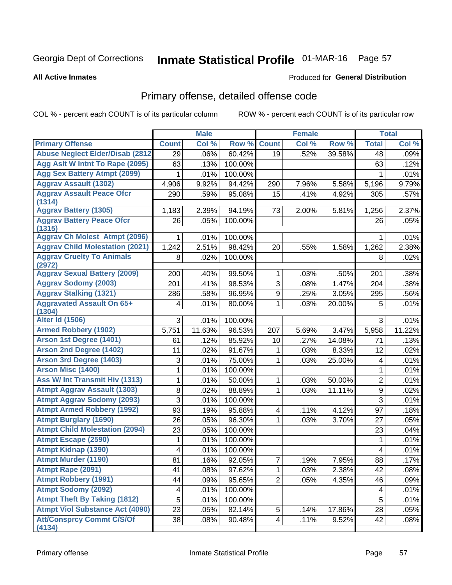## Inmate Statistical Profile 01-MAR-16 Page 57

#### **All Active Inmates**

### Produced for General Distribution

### Primary offense, detailed offense code

COL % - percent each COUNT is of its particular column

|                                            |                 | <b>Male</b> |         |                         | <b>Female</b> |        |                  | <b>Total</b> |
|--------------------------------------------|-----------------|-------------|---------|-------------------------|---------------|--------|------------------|--------------|
| <b>Primary Offense</b>                     | <b>Count</b>    | Col %       | Row %   | <b>Count</b>            | Col %         | Row %  | <b>Total</b>     | Col %        |
| <b>Abuse Neglect Elder/Disab (2812)</b>    | 29              | .06%        | 60.42%  | 19                      | .52%          | 39.58% | 48               | .09%         |
| Agg Aslt W Intnt To Rape (2095)            | 63              | .13%        | 100.00% |                         |               |        | 63               | .12%         |
| <b>Agg Sex Battery Atmpt (2099)</b>        | 1               | .01%        | 100.00% |                         |               |        | 1                | .01%         |
| <b>Aggrav Assault (1302)</b>               | 4,906           | 9.92%       | 94.42%  | 290                     | 7.96%         | 5.58%  | 5,196            | 9.79%        |
| <b>Aggrav Assault Peace Ofcr</b><br>(1314) | 290             | .59%        | 95.08%  | 15                      | .41%          | 4.92%  | 305              | .57%         |
| <b>Aggrav Battery (1305)</b>               | 1,183           | 2.39%       | 94.19%  | 73                      | 2.00%         | 5.81%  | 1,256            | 2.37%        |
| <b>Aggrav Battery Peace Ofcr</b><br>(1315) | 26              | .05%        | 100.00% |                         |               |        | 26               | .05%         |
| <b>Aggrav Ch Molest Atmpt (2096)</b>       | 1               | .01%        | 100.00% |                         |               |        | 1                | .01%         |
| <b>Aggrav Child Molestation (2021)</b>     | 1,242           | 2.51%       | 98.42%  | 20                      | .55%          | 1.58%  | 1,262            | 2.38%        |
| <b>Aggrav Cruelty To Animals</b><br>(2972) | 8               | .02%        | 100.00% |                         |               |        | 8                | .02%         |
| <b>Aggrav Sexual Battery (2009)</b>        | 200             | .40%        | 99.50%  | 1                       | .03%          | .50%   | 201              | .38%         |
| <b>Aggrav Sodomy (2003)</b>                | 201             | .41%        | 98.53%  | 3                       | .08%          | 1.47%  | 204              | .38%         |
| <b>Aggrav Stalking (1321)</b>              | 286             | .58%        | 96.95%  | 9                       | .25%          | 3.05%  | 295              | .56%         |
| <b>Aggravated Assault On 65+</b><br>(1304) | 4               | .01%        | 80.00%  | 1                       | .03%          | 20.00% | 5                | .01%         |
| <b>Alter Id (1506)</b>                     | 3               | .01%        | 100.00% |                         |               |        | 3                | .01%         |
| <b>Armed Robbery (1902)</b>                | 5,751           | 11.63%      | 96.53%  | 207                     | 5.69%         | 3.47%  | 5,958            | 11.22%       |
| Arson 1st Degree (1401)                    | 61              | .12%        | 85.92%  | 10                      | .27%          | 14.08% | 71               | .13%         |
| <b>Arson 2nd Degree (1402)</b>             | 11              | .02%        | 91.67%  | 1                       | .03%          | 8.33%  | 12               | .02%         |
| <b>Arson 3rd Degree (1403)</b>             | 3               | .01%        | 75.00%  | 1                       | .03%          | 25.00% | 4                | .01%         |
| <b>Arson Misc (1400)</b>                   | 1               | .01%        | 100.00% |                         |               |        | 1                | .01%         |
| Ass W/ Int Transmit Hiv (1313)             | 1               | .01%        | 50.00%  | 1                       | .03%          | 50.00% | $\overline{2}$   | .01%         |
| <b>Atmpt Aggrav Assault (1303)</b>         | 8               | .02%        | 88.89%  | 1                       | .03%          | 11.11% | $\boldsymbol{9}$ | .02%         |
| <b>Atmpt Aggrav Sodomy (2093)</b>          | 3               | .01%        | 100.00% |                         |               |        | 3                | .01%         |
| <b>Atmpt Armed Robbery (1992)</b>          | 93              | .19%        | 95.88%  | $\overline{\mathbf{4}}$ | .11%          | 4.12%  | 97               | .18%         |
| <b>Atmpt Burglary (1690)</b>               | 26              | .05%        | 96.30%  | 1                       | .03%          | 3.70%  | 27               | .05%         |
| <b>Atmpt Child Molestation (2094)</b>      | 23              | .05%        | 100.00% |                         |               |        | 23               | .04%         |
| <b>Atmpt Escape (2590)</b>                 | 1               | .01%        | 100.00% |                         |               |        | 1                | .01%         |
| <b>Atmpt Kidnap (1390)</b>                 | 4               | .01%        | 100.00% |                         |               |        | 4                | .01%         |
| <b>Atmpt Murder (1190)</b>                 | $\overline{81}$ | .16%        | 92.05%  | $\overline{7}$          | .19%          | 7.95%  | $\overline{88}$  | .17%         |
| Atmpt Rape (2091)                          | 41              | .08%        | 97.62%  | 1                       | .03%          | 2.38%  | 42               | .08%         |
| <b>Atmpt Robbery (1991)</b>                | 44              | .09%        | 95.65%  | $\overline{2}$          | .05%          | 4.35%  | 46               | .09%         |
| <b>Atmpt Sodomy (2092)</b>                 | 4               | .01%        | 100.00% |                         |               |        | 4                | .01%         |
| <b>Atmpt Theft By Taking (1812)</b>        | 5               | .01%        | 100.00% |                         |               |        | 5                | .01%         |
| <b>Atmpt Viol Substance Act (4090)</b>     | 23              | .05%        | 82.14%  | 5                       | .14%          | 17.86% | 28               | .05%         |
| <b>Att/Consprcy Commt C/S/Of</b><br>(4134) | 38              | .08%        | 90.48%  | $\overline{4}$          | $.11\%$       | 9.52%  | 42               | .08%         |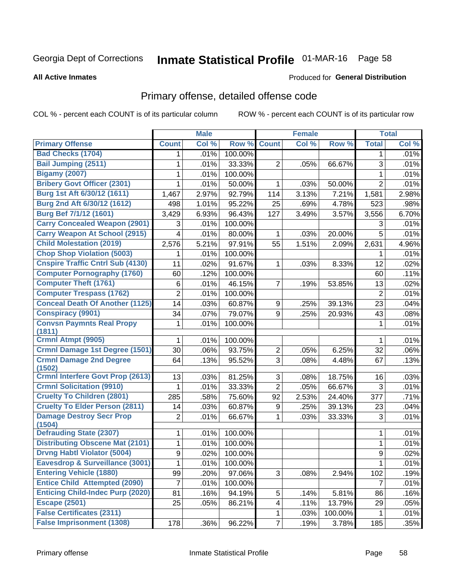## Inmate Statistical Profile 01-MAR-16 Page 58

#### **All Active Inmates**

### Produced for General Distribution

### Primary offense, detailed offense code

COL % - percent each COUNT is of its particular column

|                                            |                 | <b>Male</b> |         |                         | <b>Female</b> |         |                | <b>Total</b> |
|--------------------------------------------|-----------------|-------------|---------|-------------------------|---------------|---------|----------------|--------------|
| <b>Primary Offense</b>                     | <b>Count</b>    | Col %       | Row %   | <b>Count</b>            | Col %         | Row %   | <b>Total</b>   | Col %        |
| <b>Bad Checks (1704)</b>                   | 1.              | .01%        | 100.00% |                         |               |         | 1              | .01%         |
| <b>Bail Jumping (2511)</b>                 | 1               | .01%        | 33.33%  | $\overline{2}$          | .05%          | 66.67%  | 3              | .01%         |
| <b>Bigamy (2007)</b>                       | 1               | .01%        | 100.00% |                         |               |         | 1              | .01%         |
| <b>Bribery Govt Officer (2301)</b>         | 1               | .01%        | 50.00%  | 1                       | .03%          | 50.00%  | $\overline{2}$ | .01%         |
| Burg 1st Aft 6/30/12 (1611)                | 1,467           | 2.97%       | 92.79%  | 114                     | 3.13%         | 7.21%   | 1,581          | 2.98%        |
| Burg 2nd Aft 6/30/12 (1612)                | 498             | 1.01%       | 95.22%  | 25                      | .69%          | 4.78%   | 523            | .98%         |
| Burg Bef 7/1/12 (1601)                     | 3,429           | 6.93%       | 96.43%  | 127                     | 3.49%         | 3.57%   | 3,556          | 6.70%        |
| <b>Carry Concealed Weapon (2901)</b>       | 3               | .01%        | 100.00% |                         |               |         | 3              | .01%         |
| <b>Carry Weapon At School (2915)</b>       | 4               | .01%        | 80.00%  | 1                       | .03%          | 20.00%  | 5              | .01%         |
| <b>Child Molestation (2019)</b>            | 2,576           | 5.21%       | 97.91%  | 55                      | 1.51%         | 2.09%   | 2,631          | 4.96%        |
| <b>Chop Shop Violation (5003)</b>          | 1               | .01%        | 100.00% |                         |               |         | 1              | .01%         |
| <b>Cnspire Traffic Cntrl Sub (4130)</b>    | 11              | .02%        | 91.67%  | $\mathbf 1$             | .03%          | 8.33%   | 12             | .02%         |
| <b>Computer Pornography (1760)</b>         | 60              | .12%        | 100.00% |                         |               |         | 60             | .11%         |
| <b>Computer Theft (1761)</b>               | 6               | .01%        | 46.15%  | $\overline{7}$          | .19%          | 53.85%  | 13             | .02%         |
| <b>Computer Trespass (1762)</b>            | $\overline{2}$  | .01%        | 100.00% |                         |               |         | $\overline{2}$ | .01%         |
| <b>Conceal Death Of Another (1125)</b>     | 14              | .03%        | 60.87%  | 9                       | .25%          | 39.13%  | 23             | .04%         |
| <b>Conspiracy (9901)</b>                   | 34              | .07%        | 79.07%  | 9                       | .25%          | 20.93%  | 43             | .08%         |
| <b>Convsn Paymnts Real Propy</b><br>(1811) | 1               | .01%        | 100.00% |                         |               |         | 1              | .01%         |
| Crmnl Atmpt (9905)                         | 1               | .01%        | 100.00% |                         |               |         | 1              | .01%         |
| <b>Crmnl Damage 1st Degree (1501)</b>      | $\overline{30}$ | .06%        | 93.75%  | $\overline{2}$          | .05%          | 6.25%   | 32             | .06%         |
| <b>Crmnl Damage 2nd Degree</b><br>(1502)   | 64              | .13%        | 95.52%  | 3                       | .08%          | 4.48%   | 67             | .13%         |
| <b>Crmnl Interfere Govt Prop (2613)</b>    | 13              | .03%        | 81.25%  | 3                       | .08%          | 18.75%  | 16             | .03%         |
| <b>Crmnl Solicitation (9910)</b>           | 1               | .01%        | 33.33%  | $\overline{2}$          | .05%          | 66.67%  | 3              | .01%         |
| <b>Cruelty To Children (2801)</b>          | 285             | .58%        | 75.60%  | 92                      | 2.53%         | 24.40%  | 377            | .71%         |
| <b>Cruelty To Elder Person (2811)</b>      | 14              | .03%        | 60.87%  | 9                       | .25%          | 39.13%  | 23             | .04%         |
| <b>Damage Destroy Secr Prop</b><br>(1504)  | 2               | .01%        | 66.67%  | 1                       | .03%          | 33.33%  | 3              | .01%         |
| <b>Defrauding State (2307)</b>             | 1               | .01%        | 100.00% |                         |               |         | 1              | .01%         |
| <b>Distributing Obscene Mat (2101)</b>     | 1               | .01%        | 100.00% |                         |               |         | $\mathbf{1}$   | .01%         |
| <b>Drvng Habtl Violator (5004)</b>         | 9               | .02%        | 100.00% |                         |               |         | 9              | .02%         |
| <b>Eavesdrop &amp; Surveillance (3001)</b> | 1               | .01%        | 100.00% |                         |               |         | 1              | .01%         |
| <b>Entering Vehicle (1880)</b>             | 99              | .20%        | 97.06%  | 3 <sup>1</sup>          | .08%          | 2.94%   | 102            | .19%         |
| <b>Entice Child Attempted (2090)</b>       | $\overline{7}$  | .01%        | 100.00% |                         |               |         | 7              | .01%         |
| <b>Enticing Child-Indec Purp (2020)</b>    | 81              | .16%        | 94.19%  | 5                       | .14%          | 5.81%   | 86             | .16%         |
| <b>Escape (2501)</b>                       | 25              | .05%        | 86.21%  | $\overline{\mathbf{4}}$ | .11%          | 13.79%  | 29             | .05%         |
| <b>False Certificates (2311)</b>           |                 |             |         | 1                       | .03%          | 100.00% | 1              | .01%         |
| <b>False Imprisonment (1308)</b>           | 178             | .36%        | 96.22%  | $\overline{7}$          | .19%          | 3.78%   | 185            | .35%         |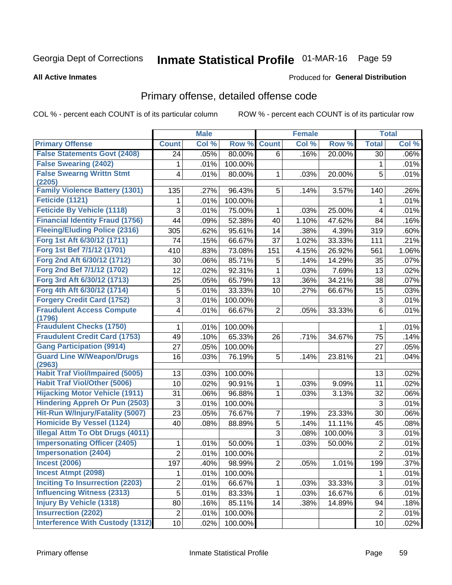## Inmate Statistical Profile 01-MAR-16 Page 59

#### **All Active Inmates**

### Produced for General Distribution

### Primary offense, detailed offense code

COL % - percent each COUNT is of its particular column

|                                            |                 | <b>Male</b> |         |                | <b>Female</b> |         |                | <b>Total</b> |
|--------------------------------------------|-----------------|-------------|---------|----------------|---------------|---------|----------------|--------------|
| <b>Primary Offense</b>                     | <b>Count</b>    | Col %       | Row %   | <b>Count</b>   | Col %         | Row %   | <b>Total</b>   | Col %        |
| <b>False Statements Govt (2408)</b>        | $\overline{24}$ | .05%        | 80.00%  | 6              | .16%          | 20.00%  | 30             | .06%         |
| <b>False Swearing (2402)</b>               | 1               | .01%        | 100.00% |                |               |         | 1              | .01%         |
| <b>False Swearng Writtn Stmt</b>           | 4               | .01%        | 80.00%  | 1              | .03%          | 20.00%  | 5              | .01%         |
| (2205)                                     |                 |             |         |                |               |         |                |              |
| <b>Family Violence Battery (1301)</b>      | 135             | .27%        | 96.43%  | 5              | .14%          | 3.57%   | 140            | .26%         |
| Feticide (1121)                            | 1               | .01%        | 100.00% |                |               |         | 1              | .01%         |
| <b>Feticide By Vehicle (1118)</b>          | 3               | .01%        | 75.00%  | 1              | .03%          | 25.00%  | 4              | .01%         |
| <b>Financial Identity Fraud (1756)</b>     | 44              | .09%        | 52.38%  | 40             | 1.10%         | 47.62%  | 84             | .16%         |
| <b>Fleeing/Eluding Police (2316)</b>       | 305             | .62%        | 95.61%  | 14             | .38%          | 4.39%   | 319            | .60%         |
| Forg 1st Aft 6/30/12 (1711)                | 74              | .15%        | 66.67%  | 37             | 1.02%         | 33.33%  | 111            | .21%         |
| Forg 1st Bef 7/1/12 (1701)                 | 410             | .83%        | 73.08%  | 151            | 4.15%         | 26.92%  | 561            | 1.06%        |
| Forg 2nd Aft 6/30/12 (1712)                | 30              | .06%        | 85.71%  | 5              | .14%          | 14.29%  | 35             | .07%         |
| Forg 2nd Bef 7/1/12 (1702)                 | 12              | .02%        | 92.31%  | 1              | .03%          | 7.69%   | 13             | .02%         |
| Forg 3rd Aft 6/30/12 (1713)                | 25              | .05%        | 65.79%  | 13             | .36%          | 34.21%  | 38             | .07%         |
| Forg 4th Aft 6/30/12 (1714)                | 5               | .01%        | 33.33%  | 10             | .27%          | 66.67%  | 15             | .03%         |
| <b>Forgery Credit Card (1752)</b>          | 3               | .01%        | 100.00% |                |               |         | 3              | .01%         |
| <b>Fraudulent Access Compute</b>           | 4               | .01%        | 66.67%  | $\overline{2}$ | .05%          | 33.33%  | 6              | .01%         |
| (1796)                                     |                 |             |         |                |               |         |                |              |
| <b>Fraudulent Checks (1750)</b>            | 1               | .01%        | 100.00% |                |               |         | $\mathbf 1$    | .01%         |
| <b>Fraudulent Credit Card (1753)</b>       | 49              | .10%        | 65.33%  | 26             | .71%          | 34.67%  | 75             | .14%         |
| <b>Gang Participation (9914)</b>           | 27              | .05%        | 100.00% |                |               |         | 27             | .05%         |
| <b>Guard Line W/Weapon/Drugs</b><br>(2963) | 16              | .03%        | 76.19%  | 5              | .14%          | 23.81%  | 21             | .04%         |
| <b>Habit Traf Viol/Impaired (5005)</b>     | 13              | .03%        | 100.00% |                |               |         | 13             | .02%         |
| <b>Habit Traf Viol/Other (5006)</b>        | 10              | .02%        | 90.91%  | $\mathbf{1}$   | .03%          | 9.09%   | 11             | .02%         |
| <b>Hijacking Motor Vehicle (1911)</b>      | 31              | .06%        | 96.88%  | 1              | .03%          | 3.13%   | 32             | .06%         |
| <b>Hindering Appreh Or Pun (2503)</b>      | 3               | .01%        | 100.00% |                |               |         | $\mathfrak{S}$ | .01%         |
| Hit-Run W/Injury/Fatality (5007)           | 23              | .05%        | 76.67%  | 7              | .19%          | 23.33%  | 30             | .06%         |
| <b>Homicide By Vessel (1124)</b>           | 40              | .08%        | 88.89%  | 5              | .14%          | 11.11%  | 45             | .08%         |
| <b>Illegal Attm To Obt Drugs (4011)</b>    |                 |             |         | 3              | .08%          | 100.00% | 3              | .01%         |
| <b>Impersonating Officer (2405)</b>        | 1               | .01%        | 50.00%  | 1              | .03%          | 50.00%  | $\overline{2}$ | .01%         |
| <b>Impersonation (2404)</b>                | $\overline{2}$  | .01%        | 100.00% |                |               |         | $\overline{2}$ | .01%         |
| <b>Incest (2006)</b>                       | 197             | .40%        | 98.99%  | $\overline{2}$ | .05%          | 1.01%   | 199            | .37%         |
| <b>Incest Atmpt (2098)</b>                 | 1               | .01%        | 100.00% |                |               |         | 1              | .01%         |
| <b>Inciting To Insurrection (2203)</b>     | $\overline{c}$  | .01%        | 66.67%  | 1              | .03%          | 33.33%  | 3              | .01%         |
| <b>Influencing Witness (2313)</b>          | 5               | .01%        | 83.33%  | 1              | .03%          | 16.67%  | 6              | .01%         |
| <b>Injury By Vehicle (1318)</b>            | 80              | .16%        | 85.11%  | 14             | .38%          | 14.89%  | 94             | .18%         |
| <b>Insurrection (2202)</b>                 | $\overline{2}$  | .01%        | 100.00% |                |               |         | $\overline{2}$ | .01%         |
| <b>Interference With Custody (1312)</b>    | 10              | .02%        | 100.00% |                |               |         | 10             | .02%         |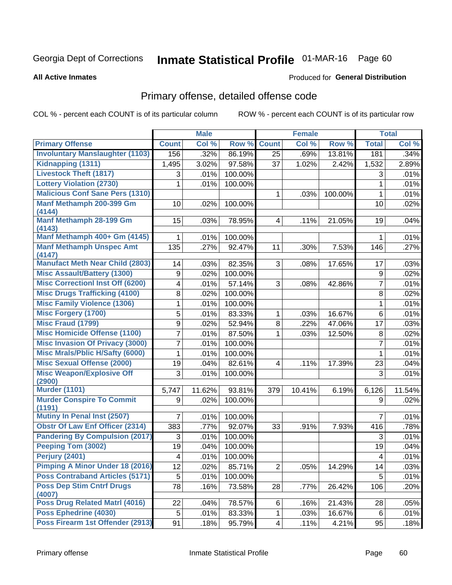## Inmate Statistical Profile 01-MAR-16 Page 60

#### **All Active Inmates**

### Produced for General Distribution

### Primary offense, detailed offense code

COL % - percent each COUNT is of its particular column

|                                            |              | <b>Male</b> |         |                         | <b>Female</b> |         |                | <b>Total</b> |
|--------------------------------------------|--------------|-------------|---------|-------------------------|---------------|---------|----------------|--------------|
| <b>Primary Offense</b>                     | <b>Count</b> | Col %       | Row %   | <b>Count</b>            | Col %         | Row %   | <b>Total</b>   | Col %        |
| <b>Involuntary Manslaughter (1103)</b>     | 156          | .32%        | 86.19%  | $\overline{25}$         | .69%          | 13.81%  | 181            | .34%         |
| Kidnapping (1311)                          | 1,495        | 3.02%       | 97.58%  | 37                      | 1.02%         | 2.42%   | 1,532          | 2.89%        |
| <b>Livestock Theft (1817)</b>              | 3            | .01%        | 100.00% |                         |               |         | 3              | .01%         |
| <b>Lottery Violation (2730)</b>            | 1            | .01%        | 100.00% |                         |               |         | 1              | .01%         |
| <b>Malicious Conf Sane Pers (1310)</b>     |              |             |         | $\mathbf 1$             | .03%          | 100.00% | $\mathbf{1}$   | .01%         |
| Manf Methamph 200-399 Gm                   | 10           | .02%        | 100.00% |                         |               |         | 10             | .02%         |
| (4144)                                     |              |             |         |                         |               |         |                |              |
| <b>Manf Methamph 28-199 Gm</b><br>(4143)   | 15           | .03%        | 78.95%  | $\overline{4}$          | .11%          | 21.05%  | 19             | .04%         |
| Manf Methamph 400+ Gm (4145)               | 1            | .01%        | 100.00% |                         |               |         | 1              | .01%         |
| <b>Manf Methamph Unspec Amt</b>            | 135          | .27%        | 92.47%  | 11                      | .30%          | 7.53%   | 146            | .27%         |
| (4147)                                     |              |             |         |                         |               |         |                |              |
| <b>Manufact Meth Near Child (2803)</b>     | 14           | .03%        | 82.35%  | 3                       | .08%          | 17.65%  | 17             | .03%         |
| <b>Misc Assault/Battery (1300)</b>         | 9            | .02%        | 100.00% |                         |               |         | $9\,$          | .02%         |
| <b>Misc Correctionl Inst Off (6200)</b>    | 4            | .01%        | 57.14%  | 3                       | .08%          | 42.86%  | $\overline{7}$ | .01%         |
| <b>Misc Drugs Trafficking (4100)</b>       | 8            | .02%        | 100.00% |                         |               |         | 8              | .02%         |
| <b>Misc Family Violence (1306)</b>         | 1            | .01%        | 100.00% |                         |               |         | 1              | .01%         |
| <b>Misc Forgery (1700)</b>                 | 5            | .01%        | 83.33%  | 1                       | .03%          | 16.67%  | 6              | .01%         |
| <b>Misc Fraud (1799)</b>                   | 9            | .02%        | 52.94%  | 8                       | .22%          | 47.06%  | 17             | .03%         |
| <b>Misc Homicide Offense (1100)</b>        | 7            | .01%        | 87.50%  | 1                       | .03%          | 12.50%  | 8              | .02%         |
| <b>Misc Invasion Of Privacy (3000)</b>     | 7            | .01%        | 100.00% |                         |               |         | 7              | .01%         |
| <b>Misc Mrals/Pblic H/Safty (6000)</b>     | 1            | .01%        | 100.00% |                         |               |         | 1              | .01%         |
| <b>Misc Sexual Offense (2000)</b>          | 19           | .04%        | 82.61%  | $\overline{\mathbf{4}}$ | .11%          | 17.39%  | 23             | .04%         |
| <b>Misc Weapon/Explosive Off</b>           | 3            | .01%        | 100.00% |                         |               |         | 3              | .01%         |
| (2900)                                     |              |             |         |                         |               |         |                |              |
| <b>Murder (1101)</b>                       | 5,747        | 11.62%      | 93.81%  | 379                     | 10.41%        | 6.19%   | 6,126          | 11.54%       |
| <b>Murder Conspire To Commit</b><br>(1191) | 9            | .02%        | 100.00% |                         |               |         | 9              | .02%         |
| <b>Mutiny In Penal Inst (2507)</b>         | 7            | .01%        | 100.00% |                         |               |         | $\overline{7}$ | .01%         |
| <b>Obstr Of Law Enf Officer (2314)</b>     | 383          | .77%        | 92.07%  | 33                      | .91%          | 7.93%   | 416            | .78%         |
| <b>Pandering By Compulsion (2017)</b>      | 3            | .01%        | 100.00% |                         |               |         | 3              | .01%         |
| Peeping Tom (3002)                         | 19           | .04%        | 100.00% |                         |               |         | 19             | .04%         |
| Perjury (2401)                             | 4            | .01%        | 100.00% |                         |               |         | $\overline{4}$ | .01%         |
| <b>Pimping A Minor Under 18 (2016)</b>     | 12           | .02%        | 85.71%  | $\overline{2}$          | .05%          | 14.29%  | 14             | .03%         |
| <b>Poss Contraband Articles (5171)</b>     | 5            | .01%        | 100.00% |                         |               |         | 5              | .01%         |
| <b>Poss Dep Stim Cntrf Drugs</b>           | 78           | .16%        | 73.58%  | 28                      | .77%          | 26.42%  | 106            | .20%         |
| (4007)                                     |              |             |         |                         |               |         |                |              |
| Poss Drug Related Matrl (4016)             | 22           | .04%        | 78.57%  | 6                       | .16%          | 21.43%  | 28             | .05%         |
| Poss Ephedrine (4030)                      | 5            | .01%        | 83.33%  | $\mathbf{1}$            | .03%          | 16.67%  | 6              | .01%         |
| Poss Firearm 1st Offender (2913)           | 91           | .18%        | 95.79%  | $\vert 4 \vert$         | .11%          | 4.21%   | 95             | .18%         |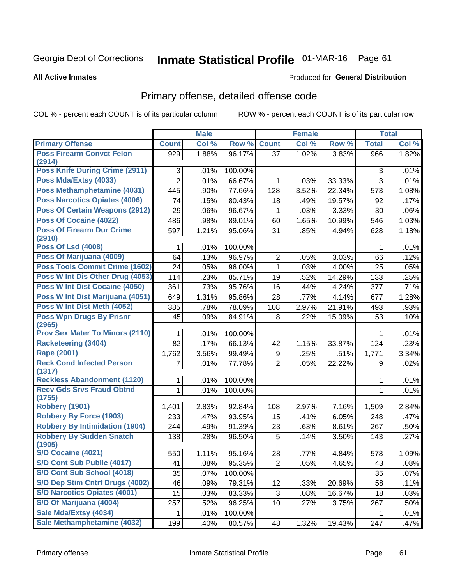## Inmate Statistical Profile 01-MAR-16 Page 61

#### **All Active Inmates**

### Produced for General Distribution

### Primary offense, detailed offense code

COL % - percent each COUNT is of its particular column

|                                            |                | <b>Male</b> |         |                | <b>Female</b> |        |              | <b>Total</b> |
|--------------------------------------------|----------------|-------------|---------|----------------|---------------|--------|--------------|--------------|
| <b>Primary Offense</b>                     | <b>Count</b>   | Col %       | Row %   | <b>Count</b>   | Col %         | Row %  | <b>Total</b> | Col %        |
| <b>Poss Firearm Convct Felon</b>           | 929            | 1.88%       | 96.17%  | 37             | 1.02%         | 3.83%  | 966          | 1.82%        |
| (2914)                                     |                |             |         |                |               |        |              |              |
| <b>Poss Knife During Crime (2911)</b>      | 3              | .01%        | 100.00% |                |               |        | 3            | .01%         |
| Poss Mda/Extsy (4033)                      | $\overline{2}$ | .01%        | 66.67%  | 1              | .03%          | 33.33% | 3            | .01%         |
| Poss Methamphetamine (4031)                | 445            | .90%        | 77.66%  | 128            | 3.52%         | 22.34% | 573          | 1.08%        |
| <b>Poss Narcotics Opiates (4006)</b>       | 74             | .15%        | 80.43%  | 18             | .49%          | 19.57% | 92           | .17%         |
| <b>Poss Of Certain Weapons (2912)</b>      | 29             | .06%        | 96.67%  | 1              | .03%          | 3.33%  | 30           | .06%         |
| Poss Of Cocaine (4022)                     | 486            | .98%        | 89.01%  | 60             | 1.65%         | 10.99% | 546          | 1.03%        |
| <b>Poss Of Firearm Dur Crime</b><br>(2910) | 597            | 1.21%       | 95.06%  | 31             | .85%          | 4.94%  | 628          | 1.18%        |
| <b>Poss Of Lsd (4008)</b>                  | 1              | .01%        | 100.00% |                |               |        | 1            | .01%         |
| Poss Of Marijuana (4009)                   | 64             | .13%        | 96.97%  | $\overline{2}$ | .05%          | 3.03%  | 66           | .12%         |
| <b>Poss Tools Commit Crime (1602)</b>      | 24             | .05%        | 96.00%  | $\mathbf{1}$   | .03%          | 4.00%  | 25           | .05%         |
| Poss W Int Dis Other Drug (4053)           | 114            | .23%        | 85.71%  | 19             | .52%          | 14.29% | 133          | .25%         |
| <b>Poss W Int Dist Cocaine (4050)</b>      | 361            | .73%        | 95.76%  | 16             | .44%          | 4.24%  | 377          | .71%         |
| Poss W Int Dist Marijuana (4051)           | 649            | 1.31%       | 95.86%  | 28             | .77%          | 4.14%  | 677          | 1.28%        |
| Poss W Int Dist Meth (4052)                | 385            | .78%        | 78.09%  | 108            | 2.97%         | 21.91% | 493          | .93%         |
| <b>Poss Wpn Drugs By Prisnr</b><br>(2965)  | 45             | .09%        | 84.91%  | 8              | .22%          | 15.09% | 53           | .10%         |
| <b>Prov Sex Mater To Minors (2110)</b>     | 1              | .01%        | 100.00% |                |               |        | 1            | .01%         |
| <b>Racketeering (3404)</b>                 | 82             | .17%        | 66.13%  | 42             | 1.15%         | 33.87% | 124          | .23%         |
| Rape (2001)                                | 1,762          | 3.56%       | 99.49%  | 9              | .25%          | .51%   | 1,771        | 3.34%        |
| <b>Reck Cond Infected Person</b>           | 7              | .01%        | 77.78%  | $\overline{2}$ | .05%          | 22.22% | 9            | .02%         |
| (1317)                                     |                |             |         |                |               |        |              |              |
| <b>Reckless Abandonment (1120)</b>         | 1              | .01%        | 100.00% |                |               |        | 1            | .01%         |
| <b>Recv Gds Srvs Fraud Obtnd</b>           | 1              | .01%        | 100.00% |                |               |        | $\mathbf{1}$ | .01%         |
| (1755)                                     |                |             |         |                |               |        |              |              |
| Robbery (1901)                             | 1,401          | 2.83%       | 92.84%  | 108            | 2.97%         | 7.16%  | 1,509        | 2.84%        |
| <b>Robbery By Force (1903)</b>             | 233            | .47%        | 93.95%  | 15             | .41%          | 6.05%  | 248          | .47%         |
| <b>Robbery By Intimidation (1904)</b>      | 244            | .49%        | 91.39%  | 23             | .63%          | 8.61%  | 267          | .50%         |
| <b>Robbery By Sudden Snatch</b><br>(1905)  | 138            | .28%        | 96.50%  | 5              | .14%          | 3.50%  | 143          | .27%         |
| <b>S/D Cocaine (4021)</b>                  | 550            | 1.11%       | 95.16%  | 28             | .77%          | 4.84%  | 578          | 1.09%        |
| <b>S/D Cont Sub Public (4017)</b>          | 41             | .08%        | 95.35%  | $\overline{2}$ | .05%          | 4.65%  | 43           | .08%         |
| S/D Cont Sub School (4018)                 | 35             | .07%        | 100.00% |                |               |        | 35           | .07%         |
| S/D Dep Stim Cntrf Drugs (4002)            | 46             | .09%        | 79.31%  | 12             | .33%          | 20.69% | 58           | .11%         |
| <b>S/D Narcotics Opiates (4001)</b>        | 15             | .03%        | 83.33%  | 3              | .08%          | 16.67% | 18           | .03%         |
| S/D Of Marijuana (4004)                    | 257            | .52%        | 96.25%  | 10             | .27%          | 3.75%  | 267          | .50%         |
| Sale Mda/Extsy (4034)                      | 1              | .01%        | 100.00% |                |               |        | 1            | .01%         |
| Sale Methamphetamine (4032)                | 199            | .40%        | 80.57%  | 48             | 1.32%         | 19.43% | 247          | .47%         |
|                                            |                |             |         |                |               |        |              |              |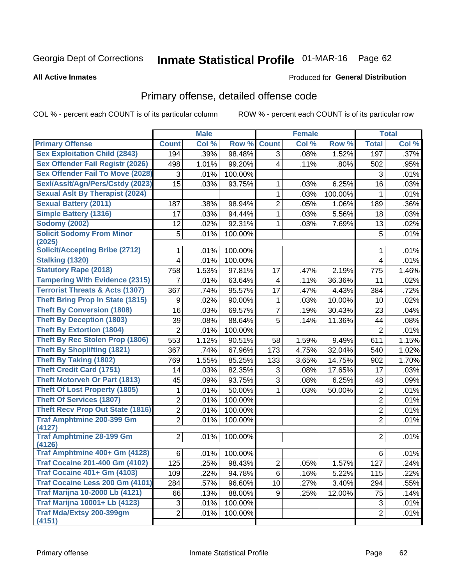## Inmate Statistical Profile 01-MAR-16 Page 62

**All Active Inmates** 

### **Produced for General Distribution**

### Primary offense, detailed offense code

COL % - percent each COUNT is of its particular column

|                                            |                | <b>Male</b> |         |                         | <b>Female</b> |         |                | <b>Total</b> |
|--------------------------------------------|----------------|-------------|---------|-------------------------|---------------|---------|----------------|--------------|
| <b>Primary Offense</b>                     | <b>Count</b>   | Col %       | Row %   | <b>Count</b>            | Col %         | Row %   | <b>Total</b>   | Col %        |
| <b>Sex Exploitation Child (2843)</b>       | 194            | .39%        | 98.48%  | 3                       | .08%          | 1.52%   | 197            | .37%         |
| <b>Sex Offender Fail Registr (2026)</b>    | 498            | 1.01%       | 99.20%  | $\overline{\mathbf{4}}$ | .11%          | .80%    | 502            | .95%         |
| <b>Sex Offender Fail To Move (2028)</b>    | 3              | .01%        | 100.00% |                         |               |         | 3              | .01%         |
| Sexl/Asslt/Agn/Pers/Cstdy (2023)           | 15             | .03%        | 93.75%  | 1                       | .03%          | 6.25%   | 16             | .03%         |
| <b>Sexual Aslt By Therapist (2024)</b>     |                |             |         | $\mathbf{1}$            | .03%          | 100.00% | 1              | .01%         |
| <b>Sexual Battery (2011)</b>               | 187            | .38%        | 98.94%  | 2                       | .05%          | 1.06%   | 189            | .36%         |
| <b>Simple Battery (1316)</b>               | 17             | .03%        | 94.44%  | 1                       | .03%          | 5.56%   | 18             | .03%         |
| <b>Sodomy (2002)</b>                       | 12             | .02%        | 92.31%  | 1                       | .03%          | 7.69%   | 13             | .02%         |
| <b>Solicit Sodomy From Minor</b>           | 5              | .01%        | 100.00% |                         |               |         | 5              | .01%         |
| (2025)                                     |                |             |         |                         |               |         |                |              |
| <b>Solicit/Accepting Bribe (2712)</b>      | 1              | .01%        | 100.00% |                         |               |         | 1              | .01%         |
| <b>Stalking (1320)</b>                     | 4              | .01%        | 100.00% |                         |               |         | 4              | .01%         |
| <b>Statutory Rape (2018)</b>               | 758            | 1.53%       | 97.81%  | 17                      | .47%          | 2.19%   | 775            | 1.46%        |
| <b>Tampering With Evidence (2315)</b>      | 7              | .01%        | 63.64%  | $\overline{\mathbf{4}}$ | .11%          | 36.36%  | 11             | .02%         |
| <b>Terrorist Threats &amp; Acts (1307)</b> | 367            | .74%        | 95.57%  | 17                      | .47%          | 4.43%   | 384            | .72%         |
| <b>Theft Bring Prop In State (1815)</b>    | 9              | .02%        | 90.00%  | 1                       | .03%          | 10.00%  | 10             | .02%         |
| <b>Theft By Conversion (1808)</b>          | 16             | .03%        | 69.57%  | $\overline{7}$          | .19%          | 30.43%  | 23             | .04%         |
| <b>Theft By Deception (1803)</b>           | 39             | .08%        | 88.64%  | $\overline{5}$          | .14%          | 11.36%  | 44             | .08%         |
| <b>Theft By Extortion (1804)</b>           | $\overline{2}$ | .01%        | 100.00% |                         |               |         | $\overline{2}$ | .01%         |
| <b>Theft By Rec Stolen Prop (1806)</b>     | 553            | 1.12%       | 90.51%  | 58                      | 1.59%         | 9.49%   | 611            | 1.15%        |
| <b>Theft By Shoplifting (1821)</b>         | 367            | .74%        | 67.96%  | 173                     | 4.75%         | 32.04%  | 540            | 1.02%        |
| <b>Theft By Taking (1802)</b>              | 769            | 1.55%       | 85.25%  | 133                     | 3.65%         | 14.75%  | 902            | 1.70%        |
| <b>Theft Credit Card (1751)</b>            | 14             | .03%        | 82.35%  | 3                       | .08%          | 17.65%  | 17             | .03%         |
| <b>Theft Motorveh Or Part (1813)</b>       | 45             | .09%        | 93.75%  | $\overline{3}$          | .08%          | 6.25%   | 48             | .09%         |
| <b>Theft Of Lost Property (1805)</b>       | 1              | .01%        | 50.00%  | 1                       | .03%          | 50.00%  | $\sqrt{2}$     | .01%         |
| <b>Theft Of Services (1807)</b>            | $\overline{2}$ | .01%        | 100.00% |                         |               |         | $\overline{2}$ | .01%         |
| <b>Theft Recv Prop Out State (1816)</b>    | $\overline{2}$ | $.01\%$     | 100.00% |                         |               |         | $\overline{c}$ | .01%         |
| <b>Traf Amphtmine 200-399 Gm</b><br>(4127) | $\overline{2}$ | .01%        | 100.00% |                         |               |         | $\overline{2}$ | .01%         |
| <b>Traf Amphtmine 28-199 Gm</b><br>(4126)  | $\overline{2}$ | .01%        | 100.00% |                         |               |         | $\overline{2}$ | .01%         |
| Traf Amphtmine 400+ Gm (4128)              | 6              | .01%        | 100.00% |                         |               |         | 6              | .01%         |
| <b>Traf Cocaine 201-400 Gm (4102)</b>      | 125            | .25%        | 98.43%  | $\overline{c}$          | .05%          | 1.57%   | 127            | .24%         |
| <b>Traf Cocaine 401+ Gm (4103)</b>         | 109            | .22%        | 94.78%  | 6                       | .16%          | 5.22%   | 115            | .22%         |
| Traf Cocaine Less 200 Gm (4101)            | 284            | .57%        | 96.60%  | 10                      | .27%          | 3.40%   | 294            | .55%         |
| <b>Traf Marijna 10-2000 Lb (4121)</b>      | 66             | .13%        | 88.00%  | 9                       | .25%          | 12.00%  | 75             | .14%         |
| <b>Traf Marijna 10001+ Lb (4123)</b>       | 3              | .01%        | 100.00% |                         |               |         | 3              | .01%         |
| Traf Mda/Extsy 200-399gm                   | $\overline{2}$ | .01%        | 100.00% |                         |               |         | $\overline{2}$ | .01%         |
| (4151)                                     |                |             |         |                         |               |         |                |              |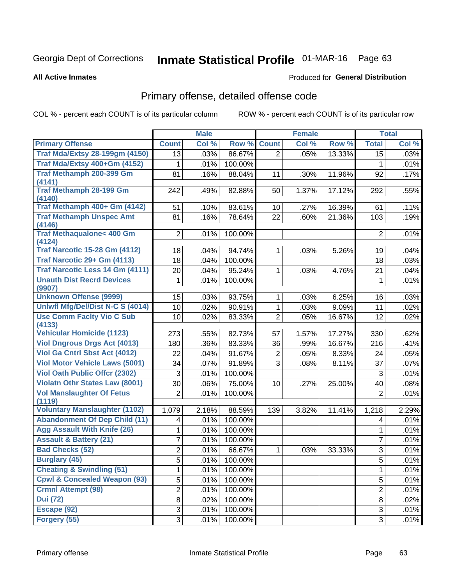## Inmate Statistical Profile 01-MAR-16 Page 63

#### **All Active Inmates**

### **Produced for General Distribution**

### Primary offense, detailed offense code

COL % - percent each COUNT is of its particular column

|                                         |                     | <b>Male</b> |         |                | <b>Female</b> |        |                           | <b>Total</b> |
|-----------------------------------------|---------------------|-------------|---------|----------------|---------------|--------|---------------------------|--------------|
| <b>Primary Offense</b>                  | <b>Count</b>        | Col %       | Row %   | <b>Count</b>   | Col %         | Row %  | <b>Total</b>              | Col %        |
| <b>Traf Mda/Extsy 28-199gm (4150)</b>   | 13                  | .03%        | 86.67%  | $\overline{2}$ | .05%          | 13.33% | $\overline{15}$           | .03%         |
| Traf Mda/Extsy 400+Gm (4152)            | 1                   | .01%        | 100.00% |                |               |        | 1                         | .01%         |
| Traf Methamph 200-399 Gm                | 81                  | .16%        | 88.04%  | 11             | .30%          | 11.96% | 92                        | .17%         |
| (4141)                                  |                     |             |         |                |               |        |                           |              |
| <b>Traf Methamph 28-199 Gm</b>          | 242                 | .49%        | 82.88%  | 50             | 1.37%         | 17.12% | 292                       | .55%         |
| (4140)<br>Traf Methamph 400+ Gm (4142)  | 51                  | .10%        | 83.61%  | 10             | .27%          | 16.39% | 61                        | .11%         |
| <b>Traf Methamph Unspec Amt</b>         | 81                  | .16%        | 78.64%  | 22             | .60%          | 21.36% | 103                       | .19%         |
| (4146)                                  |                     |             |         |                |               |        |                           |              |
| <b>Traf Methaqualone&lt; 400 Gm</b>     | $\overline{2}$      | .01%        | 100.00% |                |               |        | 2                         | .01%         |
| (4124)                                  |                     |             |         |                |               |        |                           |              |
| <b>Traf Narcotic 15-28 Gm (4112)</b>    | 18                  | .04%        | 94.74%  | 1              | .03%          | 5.26%  | 19                        | .04%         |
| Traf Narcotic 29+ Gm (4113)             | 18                  | .04%        | 100.00% |                |               |        | 18                        | .03%         |
| Traf Narcotic Less 14 Gm (4111)         | 20                  | .04%        | 95.24%  | 1              | .03%          | 4.76%  | 21                        | .04%         |
| <b>Unauth Dist Recrd Devices</b>        | 1                   | .01%        | 100.00% |                |               |        | 1                         | .01%         |
| (9907)<br><b>Unknown Offense (9999)</b> |                     |             |         |                |               |        |                           |              |
| Uniwfl Mfg/Del/Dist N-C S (4014)        | 15                  | .03%        | 93.75%  | 1              | .03%          | 6.25%  | 16                        | .03%         |
| <b>Use Comm Facity Vio C Sub</b>        | 10                  | .02%        | 90.91%  | 1              | .03%          | 9.09%  | 11                        | .02%         |
| (4133)                                  | 10                  | .02%        | 83.33%  | $\overline{2}$ | .05%          | 16.67% | 12                        | .02%         |
| <b>Vehicular Homicide (1123)</b>        | 273                 | .55%        | 82.73%  | 57             | 1.57%         | 17.27% | 330                       | .62%         |
| <b>Viol Dngrous Drgs Act (4013)</b>     | 180                 | .36%        | 83.33%  | 36             | .99%          | 16.67% | 216                       | .41%         |
| Viol Ga Cntrl Sbst Act (4012)           | 22                  | .04%        | 91.67%  | $\overline{2}$ | .05%          | 8.33%  | 24                        | .05%         |
| <b>Viol Motor Vehicle Laws (5001)</b>   | 34                  | .07%        | 91.89%  | 3              | .08%          | 8.11%  | 37                        | .07%         |
| <b>Viol Oath Public Offcr (2302)</b>    | 3                   | .01%        | 100.00% |                |               |        | 3                         | .01%         |
| <b>Violatn Othr States Law (8001)</b>   | 30                  | .06%        | 75.00%  | 10             | .27%          | 25.00% | 40                        | .08%         |
| <b>Vol Manslaughter Of Fetus</b>        | $\overline{2}$      | .01%        | 100.00% |                |               |        | $\overline{2}$            | .01%         |
| (1119)                                  |                     |             |         |                |               |        |                           |              |
| <b>Voluntary Manslaughter (1102)</b>    | 1,079               | 2.18%       | 88.59%  | 139            | 3.82%         | 11.41% | 1,218                     | 2.29%        |
| <b>Abandonment Of Dep Child (11)</b>    | 4                   | .01%        | 100.00% |                |               |        | 4                         | .01%         |
| <b>Agg Assault With Knife (26)</b>      | 1                   | .01%        | 100.00% |                |               |        | 1                         | .01%         |
| <b>Assault &amp; Battery (21)</b>       | 7                   | .01%        | 100.00% |                |               |        | 7                         | .01%         |
| <b>Bad Checks (52)</b>                  | $\overline{2}$      | .01%        | 66.67%  | 1              | .03%          | 33.33% | 3                         | .01%         |
| <b>Burglary (45)</b>                    | $\overline{5}$      | .01%        | 100.00% |                |               |        | $\overline{5}$            | .01%         |
| <b>Cheating &amp; Swindling (51)</b>    | 1                   | .01%        | 100.00% |                |               |        | 1                         | .01%         |
| <b>Cpwl &amp; Concealed Weapon (93)</b> | 5                   | .01%        | 100.00% |                |               |        | 5                         | .01%         |
| <b>Crmnl Attempt (98)</b>               | $\overline{2}$      | .01%        | 100.00% |                |               |        | $\overline{2}$            | .01%         |
| <b>Dui</b> (72)                         | 8                   | .02%        | 100.00% |                |               |        | 8                         | .02%         |
| Escape (92)                             | $\overline{3}$      | .01%        | 100.00% |                |               |        | $\ensuremath{\mathsf{3}}$ | .01%         |
| Forgery (55)                            | $\overline{\omega}$ | .01%        | 100.00% |                |               |        | 3                         | .01%         |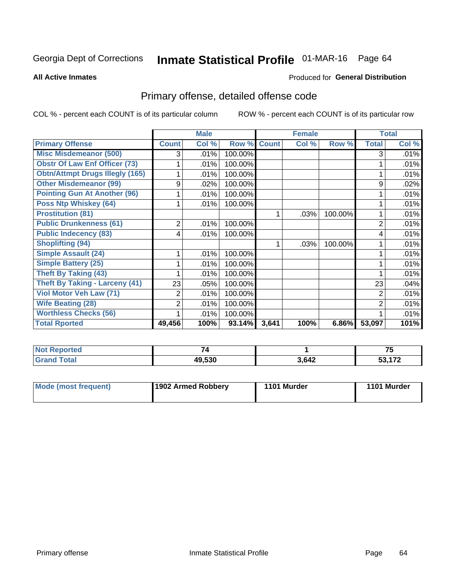## Inmate Statistical Profile 01-MAR-16 Page 64

**All Active Inmates** 

### Produced for General Distribution

### Primary offense, detailed offense code

COL % - percent each COUNT is of its particular column

|                                        |              | <b>Male</b> |         |              | <b>Female</b> |         | <b>Total</b> |       |
|----------------------------------------|--------------|-------------|---------|--------------|---------------|---------|--------------|-------|
| <b>Primary Offense</b>                 | <b>Count</b> | Col %       | Row %   | <b>Count</b> | Col %         | Row %   | <b>Total</b> | Col % |
| <b>Misc Misdemeanor (500)</b>          | 3            | .01%        | 100.00% |              |               |         | 3            | .01%  |
| <b>Obstr Of Law Enf Officer (73)</b>   |              | .01%        | 100.00% |              |               |         |              | .01%  |
| <b>Obtn/Attmpt Drugs Illegly (165)</b> |              | .01%        | 100.00% |              |               |         |              | .01%  |
| <b>Other Misdemeanor (99)</b>          | 9            | .02%        | 100.00% |              |               |         | 9            | .02%  |
| <b>Pointing Gun At Another (96)</b>    |              | .01%        | 100.00% |              |               |         |              | .01%  |
| <b>Poss Ntp Whiskey (64)</b>           |              | .01%        | 100.00% |              |               |         |              | .01%  |
| <b>Prostitution (81)</b>               |              |             |         |              | .03%          | 100.00% |              | .01%  |
| <b>Public Drunkenness (61)</b>         | 2            | .01%        | 100.00% |              |               |         | 2            | .01%  |
| <b>Public Indecency (83)</b>           | 4            | .01%        | 100.00% |              |               |         | 4            | .01%  |
| <b>Shoplifting (94)</b>                |              |             |         |              | .03%          | 100.00% |              | .01%  |
| <b>Simple Assault (24)</b>             |              | .01%        | 100.00% |              |               |         |              | .01%  |
| <b>Simple Battery (25)</b>             |              | .01%        | 100.00% |              |               |         |              | .01%  |
| <b>Theft By Taking (43)</b>            |              | .01%        | 100.00% |              |               |         |              | .01%  |
| <b>Theft By Taking - Larceny (41)</b>  | 23           | .05%        | 100.00% |              |               |         | 23           | .04%  |
| <b>Viol Motor Veh Law (71)</b>         | 2            | .01%        | 100.00% |              |               |         |              | .01%  |
| <b>Wife Beating (28)</b>               | 2            | .01%        | 100.00% |              |               |         | 2            | .01%  |
| <b>Worthless Checks (56)</b>           |              | .01%        | 100.00% |              |               |         |              | .01%  |
| <b>Total Rported</b>                   | 49,456       | 100%        | 93.14%  | 3,641        | 100%          | 6.86%   | 53,097       | 101%  |

| <b>Not</b><br>Reported | -      |       | --<br>$\sim$              |
|------------------------|--------|-------|---------------------------|
| <b>Total</b>           | 49.530 | 3.642 | $F^{\wedge}$ $F^{\wedge}$ |

| Mode (most frequent) | 1902 Armed Robbery | 1101 Murder | 1101 Murder |
|----------------------|--------------------|-------------|-------------|
|----------------------|--------------------|-------------|-------------|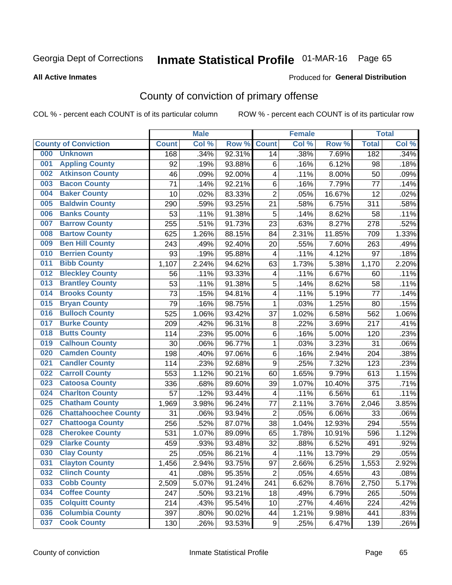## Inmate Statistical Profile 01-MAR-16 Page 65

#### **All Active Inmates**

### Produced for General Distribution

### County of conviction of primary offense

COL % - percent each COUNT is of its particular column

|     |                             |              | <b>Male</b> |        |                          | <b>Female</b> |        |              | <b>Total</b> |
|-----|-----------------------------|--------------|-------------|--------|--------------------------|---------------|--------|--------------|--------------|
|     | <b>County of Conviction</b> | <b>Count</b> | Col %       | Row %  | <b>Count</b>             | Col %         | Row %  | <b>Total</b> | Col %        |
| 000 | <b>Unknown</b>              | 168          | .34%        | 92.31% | 14                       | .38%          | 7.69%  | 182          | .34%         |
| 001 | <b>Appling County</b>       | 92           | .19%        | 93.88% | 6                        | .16%          | 6.12%  | 98           | .18%         |
| 002 | <b>Atkinson County</b>      | 46           | .09%        | 92.00% | 4                        | .11%          | 8.00%  | 50           | .09%         |
| 003 | <b>Bacon County</b>         | 71           | .14%        | 92.21% | 6                        | .16%          | 7.79%  | 77           | .14%         |
| 004 | <b>Baker County</b>         | 10           | .02%        | 83.33% | $\overline{2}$           | .05%          | 16.67% | 12           | .02%         |
| 005 | <b>Baldwin County</b>       | 290          | .59%        | 93.25% | 21                       | .58%          | 6.75%  | 311          | .58%         |
| 006 | <b>Banks County</b>         | 53           | .11%        | 91.38% | 5                        | .14%          | 8.62%  | 58           | .11%         |
| 007 | <b>Barrow County</b>        | 255          | .51%        | 91.73% | 23                       | .63%          | 8.27%  | 278          | .52%         |
| 008 | <b>Bartow County</b>        | 625          | 1.26%       | 88.15% | 84                       | 2.31%         | 11.85% | 709          | 1.33%        |
| 009 | <b>Ben Hill County</b>      | 243          | .49%        | 92.40% | 20                       | .55%          | 7.60%  | 263          | .49%         |
| 010 | <b>Berrien County</b>       | 93           | .19%        | 95.88% | $\overline{\mathbf{4}}$  | .11%          | 4.12%  | 97           | .18%         |
| 011 | <b>Bibb County</b>          | 1,107        | 2.24%       | 94.62% | 63                       | 1.73%         | 5.38%  | 1,170        | 2.20%        |
| 012 | <b>Bleckley County</b>      | 56           | .11%        | 93.33% | 4                        | .11%          | 6.67%  | 60           | .11%         |
| 013 | <b>Brantley County</b>      | 53           | .11%        | 91.38% | 5                        | .14%          | 8.62%  | 58           | .11%         |
| 014 | <b>Brooks County</b>        | 73           | .15%        | 94.81% | 4                        | .11%          | 5.19%  | 77           | .14%         |
| 015 | <b>Bryan County</b>         | 79           | .16%        | 98.75% | $\mathbf 1$              | .03%          | 1.25%  | 80           | .15%         |
| 016 | <b>Bulloch County</b>       | 525          | 1.06%       | 93.42% | 37                       | 1.02%         | 6.58%  | 562          | 1.06%        |
| 017 | <b>Burke County</b>         | 209          | .42%        | 96.31% | 8                        | .22%          | 3.69%  | 217          | .41%         |
| 018 | <b>Butts County</b>         | 114          | .23%        | 95.00% | 6                        | .16%          | 5.00%  | 120          | .23%         |
| 019 | <b>Calhoun County</b>       | 30           | .06%        | 96.77% | $\mathbf{1}$             | .03%          | 3.23%  | 31           | .06%         |
| 020 | <b>Camden County</b>        | 198          | .40%        | 97.06% | 6                        | .16%          | 2.94%  | 204          | .38%         |
| 021 | <b>Candler County</b>       | 114          | .23%        | 92.68% | 9                        | .25%          | 7.32%  | 123          | .23%         |
| 022 | <b>Carroll County</b>       | 553          | 1.12%       | 90.21% | 60                       | 1.65%         | 9.79%  | 613          | 1.15%        |
| 023 | <b>Catoosa County</b>       | 336          | .68%        | 89.60% | 39                       | 1.07%         | 10.40% | 375          | .71%         |
| 024 | <b>Charlton County</b>      | 57           | .12%        | 93.44% | 4                        | .11%          | 6.56%  | 61           | .11%         |
| 025 | <b>Chatham County</b>       | 1,969        | 3.98%       | 96.24% | 77                       | 2.11%         | 3.76%  | 2,046        | 3.85%        |
| 026 | <b>Chattahoochee County</b> | 31           | .06%        | 93.94% | $\overline{2}$           | .05%          | 6.06%  | 33           | .06%         |
| 027 | <b>Chattooga County</b>     | 256          | .52%        | 87.07% | 38                       | 1.04%         | 12.93% | 294          | .55%         |
| 028 | <b>Cherokee County</b>      | 531          | 1.07%       | 89.09% | 65                       | 1.78%         | 10.91% | 596          | 1.12%        |
| 029 | <b>Clarke County</b>        | 459          | .93%        | 93.48% | 32                       | .88%          | 6.52%  | 491          | .92%         |
| 030 | <b>Clay County</b>          | 25           | .05%        | 86.21% | $\overline{\mathcal{A}}$ | .11%          | 13.79% | 29           | .05%         |
| 031 | <b>Clayton County</b>       | 1,456        | 2.94%       | 93.75% | 97                       | 2.66%         | 6.25%  | 1,553        | 2.92%        |
| 032 | <b>Clinch County</b>        | 41           | .08%        | 95.35% | $\overline{2}$           | .05%          | 4.65%  | 43           | .08%         |
| 033 | <b>Cobb County</b>          | 2,509        | 5.07%       | 91.24% | 241                      | 6.62%         | 8.76%  | 2,750        | 5.17%        |
| 034 | <b>Coffee County</b>        | 247          | .50%        | 93.21% | 18                       | .49%          | 6.79%  | 265          | .50%         |
| 035 | <b>Colquitt County</b>      | 214          | .43%        | 95.54% | 10                       | .27%          | 4.46%  | 224          | .42%         |
| 036 | <b>Columbia County</b>      | 397          | .80%        | 90.02% | 44                       | 1.21%         | 9.98%  | 441          | .83%         |
| 037 | <b>Cook County</b>          | 130          | .26%        | 93.53% | 9                        | .25%          | 6.47%  | 139          | .26%         |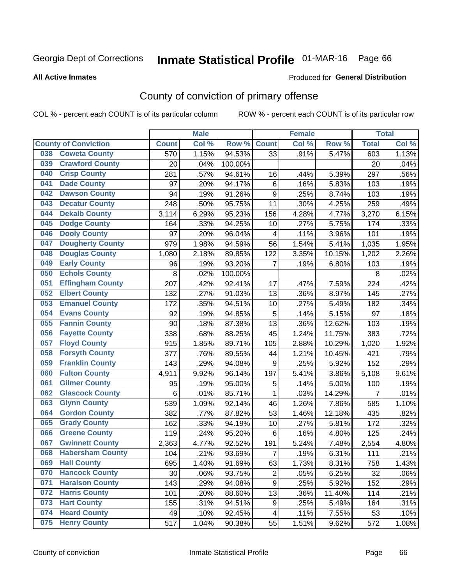## Inmate Statistical Profile 01-MAR-16 Page 66

**All Active Inmates** 

### Produced for General Distribution

### County of conviction of primary offense

COL % - percent each COUNT is of its particular column

|     |                             |                 | <b>Male</b> |         |                         | <b>Female</b> |        |                | <b>Total</b> |
|-----|-----------------------------|-----------------|-------------|---------|-------------------------|---------------|--------|----------------|--------------|
|     | <b>County of Conviction</b> | <b>Count</b>    | Col %       | Row %   | <b>Count</b>            | Col %         | Row %  | <b>Total</b>   | Col %        |
| 038 | <b>Coweta County</b>        | 570             | 1.15%       | 94.53%  | 33                      | .91%          | 5.47%  | 603            | 1.13%        |
| 039 | <b>Crawford County</b>      | 20              | .04%        | 100.00% |                         |               |        | 20             | .04%         |
| 040 | <b>Crisp County</b>         | 281             | .57%        | 94.61%  | 16                      | .44%          | 5.39%  | 297            | .56%         |
| 041 | <b>Dade County</b>          | 97              | .20%        | 94.17%  | $\,6\,$                 | .16%          | 5.83%  | 103            | .19%         |
| 042 | <b>Dawson County</b>        | 94              | .19%        | 91.26%  | 9                       | .25%          | 8.74%  | 103            | .19%         |
| 043 | <b>Decatur County</b>       | 248             | .50%        | 95.75%  | 11                      | .30%          | 4.25%  | 259            | .49%         |
| 044 | <b>Dekalb County</b>        | 3,114           | 6.29%       | 95.23%  | 156                     | 4.28%         | 4.77%  | 3,270          | 6.15%        |
| 045 | <b>Dodge County</b>         | 164             | .33%        | 94.25%  | 10                      | .27%          | 5.75%  | 174            | .33%         |
| 046 | <b>Dooly County</b>         | 97              | .20%        | 96.04%  | $\overline{\mathbf{4}}$ | .11%          | 3.96%  | 101            | .19%         |
| 047 | <b>Dougherty County</b>     | 979             | 1.98%       | 94.59%  | 56                      | 1.54%         | 5.41%  | 1,035          | 1.95%        |
| 048 | <b>Douglas County</b>       | 1,080           | 2.18%       | 89.85%  | 122                     | 3.35%         | 10.15% | 1,202          | 2.26%        |
| 049 | <b>Early County</b>         | 96              | .19%        | 93.20%  | $\overline{7}$          | .19%          | 6.80%  | 103            | .19%         |
| 050 | <b>Echols County</b>        | 8               | .02%        | 100.00% |                         |               |        | 8              | .02%         |
| 051 | <b>Effingham County</b>     | 207             | .42%        | 92.41%  | 17                      | .47%          | 7.59%  | 224            | .42%         |
| 052 | <b>Elbert County</b>        | 132             | .27%        | 91.03%  | 13                      | .36%          | 8.97%  | 145            | .27%         |
| 053 | <b>Emanuel County</b>       | 172             | .35%        | 94.51%  | 10                      | .27%          | 5.49%  | 182            | .34%         |
| 054 | <b>Evans County</b>         | 92              | .19%        | 94.85%  | 5                       | .14%          | 5.15%  | 97             | .18%         |
| 055 | <b>Fannin County</b>        | 90              | .18%        | 87.38%  | 13                      | .36%          | 12.62% | 103            | .19%         |
| 056 | <b>Fayette County</b>       | 338             | .68%        | 88.25%  | 45                      | 1.24%         | 11.75% | 383            | .72%         |
| 057 | <b>Floyd County</b>         | 915             | 1.85%       | 89.71%  | 105                     | 2.88%         | 10.29% | 1,020          | 1.92%        |
| 058 | <b>Forsyth County</b>       | 377             | .76%        | 89.55%  | 44                      | 1.21%         | 10.45% | 421            | .79%         |
| 059 | <b>Franklin County</b>      | 143             | .29%        | 94.08%  | 9                       | .25%          | 5.92%  | 152            | .29%         |
| 060 | <b>Fulton County</b>        | 4,911           | 9.92%       | 96.14%  | 197                     | 5.41%         | 3.86%  | 5,108          | 9.61%        |
| 061 | <b>Gilmer County</b>        | 95              | .19%        | 95.00%  | 5                       | .14%          | 5.00%  | 100            | .19%         |
| 062 | <b>Glascock County</b>      | $6\phantom{1}6$ | .01%        | 85.71%  | $\mathbf{1}$            | .03%          | 14.29% | $\overline{7}$ | .01%         |
| 063 | <b>Glynn County</b>         | 539             | 1.09%       | 92.14%  | 46                      | 1.26%         | 7.86%  | 585            | 1.10%        |
| 064 | <b>Gordon County</b>        | 382             | .77%        | 87.82%  | 53                      | 1.46%         | 12.18% | 435            | .82%         |
| 065 | <b>Grady County</b>         | 162             | .33%        | 94.19%  | 10                      | .27%          | 5.81%  | 172            | .32%         |
| 066 | <b>Greene County</b>        | 119             | .24%        | 95.20%  | $6\phantom{1}$          | .16%          | 4.80%  | 125            | .24%         |
| 067 | <b>Gwinnett County</b>      | 2,363           | 4.77%       | 92.52%  | 191                     | 5.24%         | 7.48%  | 2,554          | 4.80%        |
| 068 | <b>Habersham County</b>     | 104             | .21%        | 93.69%  | $\overline{7}$          | .19%          | 6.31%  | 111            | .21%         |
| 069 | <b>Hall County</b>          | 695             | 1.40%       | 91.69%  | 63                      | 1.73%         | 8.31%  | 758            | 1.43%        |
| 070 | <b>Hancock County</b>       | 30              | .06%        | 93.75%  | $\overline{2}$          | .05%          | 6.25%  | 32             | .06%         |
| 071 | <b>Haralson County</b>      | 143             | .29%        | 94.08%  | 9                       | .25%          | 5.92%  | 152            | .29%         |
| 072 | <b>Harris County</b>        | 101             | .20%        | 88.60%  | 13                      | .36%          | 11.40% | 114            | .21%         |
| 073 | <b>Hart County</b>          | 155             | .31%        | 94.51%  | 9                       | .25%          | 5.49%  | 164            | .31%         |
| 074 | <b>Heard County</b>         | 49              | .10%        | 92.45%  | $\overline{4}$          | .11%          | 7.55%  | 53             | .10%         |
| 075 | <b>Henry County</b>         | 517             | 1.04%       | 90.38%  | 55                      | 1.51%         | 9.62%  | 572            | 1.08%        |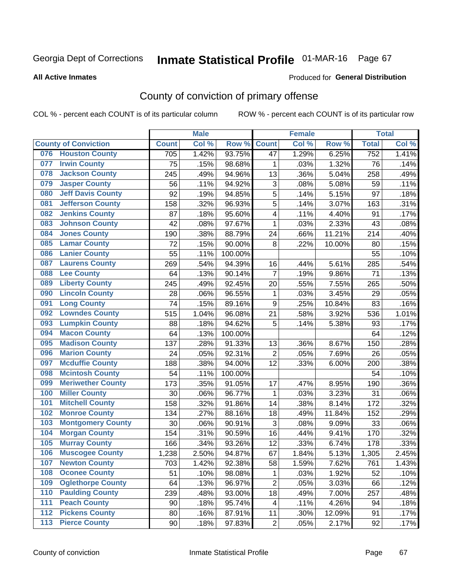## Inmate Statistical Profile 01-MAR-16 Page 67

#### **All Active Inmates**

### Produced for General Distribution

### County of conviction of primary offense

COL % - percent each COUNT is of its particular column

|       |                             |              | <b>Male</b> |         |                           | <b>Female</b> |        |              | <b>Total</b> |
|-------|-----------------------------|--------------|-------------|---------|---------------------------|---------------|--------|--------------|--------------|
|       | <b>County of Conviction</b> | <b>Count</b> | Col %       | Row %   | <b>Count</b>              | Col%          | Row %  | <b>Total</b> | Col %        |
| 076   | <b>Houston County</b>       | 705          | 1.42%       | 93.75%  | 47                        | 1.29%         | 6.25%  | 752          | 1.41%        |
| 077   | <b>Irwin County</b>         | 75           | .15%        | 98.68%  | 1                         | .03%          | 1.32%  | 76           | .14%         |
| 078   | <b>Jackson County</b>       | 245          | .49%        | 94.96%  | 13                        | .36%          | 5.04%  | 258          | .49%         |
| 079   | <b>Jasper County</b>        | 56           | .11%        | 94.92%  | $\ensuremath{\mathsf{3}}$ | .08%          | 5.08%  | 59           | .11%         |
| 080   | <b>Jeff Davis County</b>    | 92           | .19%        | 94.85%  | 5                         | .14%          | 5.15%  | 97           | .18%         |
| 081   | <b>Jefferson County</b>     | 158          | .32%        | 96.93%  | 5                         | .14%          | 3.07%  | 163          | .31%         |
| 082   | <b>Jenkins County</b>       | 87           | .18%        | 95.60%  | 4                         | .11%          | 4.40%  | 91           | .17%         |
| 083   | <b>Johnson County</b>       | 42           | .08%        | 97.67%  | 1                         | .03%          | 2.33%  | 43           | .08%         |
| 084   | <b>Jones County</b>         | 190          | .38%        | 88.79%  | 24                        | .66%          | 11.21% | 214          | .40%         |
| 085   | <b>Lamar County</b>         | 72           | .15%        | 90.00%  | 8                         | .22%          | 10.00% | 80           | .15%         |
| 086   | <b>Lanier County</b>        | 55           | .11%        | 100.00% |                           |               |        | 55           | .10%         |
| 087   | <b>Laurens County</b>       | 269          | .54%        | 94.39%  | 16                        | .44%          | 5.61%  | 285          | .54%         |
| 088   | <b>Lee County</b>           | 64           | .13%        | 90.14%  | $\overline{7}$            | .19%          | 9.86%  | 71           | .13%         |
| 089   | <b>Liberty County</b>       | 245          | .49%        | 92.45%  | 20                        | .55%          | 7.55%  | 265          | .50%         |
| 090   | <b>Lincoln County</b>       | 28           | .06%        | 96.55%  | 1                         | .03%          | 3.45%  | 29           | .05%         |
| 091   | <b>Long County</b>          | 74           | .15%        | 89.16%  | 9                         | .25%          | 10.84% | 83           | .16%         |
| 092   | <b>Lowndes County</b>       | 515          | 1.04%       | 96.08%  | 21                        | .58%          | 3.92%  | 536          | 1.01%        |
| 093   | <b>Lumpkin County</b>       | 88           | .18%        | 94.62%  | 5                         | .14%          | 5.38%  | 93           | .17%         |
| 094   | <b>Macon County</b>         | 64           | .13%        | 100.00% |                           |               |        | 64           | .12%         |
| 095   | <b>Madison County</b>       | 137          | .28%        | 91.33%  | 13                        | .36%          | 8.67%  | 150          | .28%         |
| 096   | <b>Marion County</b>        | 24           | .05%        | 92.31%  | $\overline{2}$            | .05%          | 7.69%  | 26           | .05%         |
| 097   | <b>Mcduffie County</b>      | 188          | .38%        | 94.00%  | 12                        | .33%          | 6.00%  | 200          | .38%         |
| 098   | <b>Mcintosh County</b>      | 54           | .11%        | 100.00% |                           |               |        | 54           | .10%         |
| 099   | <b>Meriwether County</b>    | 173          | .35%        | 91.05%  | 17                        | .47%          | 8.95%  | 190          | .36%         |
| 100   | <b>Miller County</b>        | 30           | .06%        | 96.77%  | 1                         | .03%          | 3.23%  | 31           | .06%         |
| 101   | <b>Mitchell County</b>      | 158          | .32%        | 91.86%  | 14                        | .38%          | 8.14%  | 172          | .32%         |
| 102   | <b>Monroe County</b>        | 134          | .27%        | 88.16%  | 18                        | .49%          | 11.84% | 152          | .29%         |
| 103   | <b>Montgomery County</b>    | 30           | .06%        | 90.91%  | $\ensuremath{\mathsf{3}}$ | .08%          | 9.09%  | 33           | .06%         |
| 104   | <b>Morgan County</b>        | 154          | .31%        | 90.59%  | 16                        | .44%          | 9.41%  | 170          | .32%         |
| 105   | <b>Murray County</b>        | 166          | .34%        | 93.26%  | 12                        | .33%          | 6.74%  | 178          | .33%         |
| 106   | <b>Muscogee County</b>      | 1,238        | 2.50%       | 94.87%  | 67                        | 1.84%         | 5.13%  | 1,305        | 2.45%        |
| 107   | <b>Newton County</b>        | 703          | 1.42%       | 92.38%  | 58                        | 1.59%         | 7.62%  | 761          | 1.43%        |
| 108   | <b>Oconee County</b>        | 51           | .10%        | 98.08%  | 1                         | .03%          | 1.92%  | 52           | .10%         |
| 109   | <b>Oglethorpe County</b>    | 64           | .13%        | 96.97%  | $\overline{c}$            | .05%          | 3.03%  | 66           | .12%         |
| 110   | <b>Paulding County</b>      | 239          | .48%        | 93.00%  | 18                        | .49%          | 7.00%  | 257          | .48%         |
| 111   | <b>Peach County</b>         | 90           | .18%        | 95.74%  | 4                         | .11%          | 4.26%  | 94           | .18%         |
| 112   | <b>Pickens County</b>       | 80           | .16%        | 87.91%  | 11                        | .30%          | 12.09% | 91           | .17%         |
| $113$ | <b>Pierce County</b>        | 90           | .18%        | 97.83%  | $\overline{c}$            | .05%          | 2.17%  | 92           | .17%         |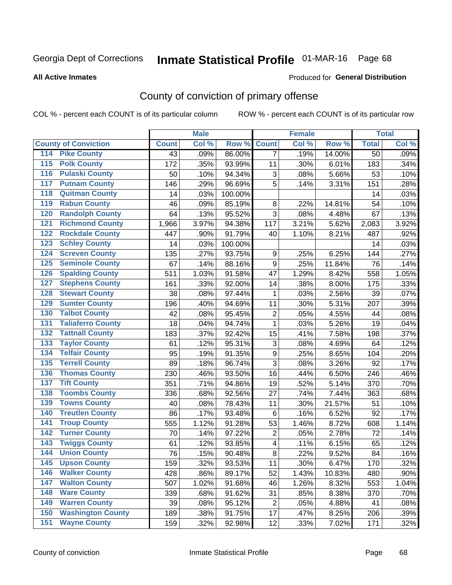## Inmate Statistical Profile 01-MAR-16 Page 68

**All Active Inmates** 

### Produced for General Distribution

### County of conviction of primary offense

COL % - percent each COUNT is of its particular column

|                                        |              | <b>Male</b> |         |                           | <b>Female</b> |        |                 | <b>Total</b> |
|----------------------------------------|--------------|-------------|---------|---------------------------|---------------|--------|-----------------|--------------|
| <b>County of Conviction</b>            | <b>Count</b> | Col %       | Row %   | <b>Count</b>              | Col %         | Row %  | <b>Total</b>    | Col %        |
| <b>Pike County</b><br>114              | 43           | .09%        | 86.00%  | $\overline{7}$            | .19%          | 14.00% | $\overline{50}$ | .09%         |
| <b>Polk County</b><br>$\overline{115}$ | 172          | .35%        | 93.99%  | 11                        | .30%          | 6.01%  | 183             | .34%         |
| <b>Pulaski County</b><br>116           | 50           | .10%        | 94.34%  | $\ensuremath{\mathsf{3}}$ | .08%          | 5.66%  | 53              | .10%         |
| <b>Putnam County</b><br>117            | 146          | .29%        | 96.69%  | 5                         | .14%          | 3.31%  | 151             | .28%         |
| 118<br><b>Quitman County</b>           | 14           | .03%        | 100.00% |                           |               |        | 14              | .03%         |
| <b>Rabun County</b><br>119             | 46           | .09%        | 85.19%  | 8                         | .22%          | 14.81% | 54              | .10%         |
| <b>Randolph County</b><br>120          | 64           | .13%        | 95.52%  | 3                         | .08%          | 4.48%  | 67              | .13%         |
| <b>Richmond County</b><br>121          | 1,966        | 3.97%       | 94.38%  | 117                       | 3.21%         | 5.62%  | 2,083           | 3.92%        |
| <b>Rockdale County</b><br>122          | 447          | .90%        | 91.79%  | 40                        | 1.10%         | 8.21%  | 487             | .92%         |
| <b>Schley County</b><br>123            | 14           | .03%        | 100.00% |                           |               |        | 14              | .03%         |
| <b>Screven County</b><br>124           | 135          | .27%        | 93.75%  | 9                         | .25%          | 6.25%  | 144             | .27%         |
| <b>Seminole County</b><br>125          | 67           | .14%        | 88.16%  | 9                         | .25%          | 11.84% | 76              | .14%         |
| <b>Spalding County</b><br>126          | 511          | 1.03%       | 91.58%  | 47                        | 1.29%         | 8.42%  | 558             | 1.05%        |
| <b>Stephens County</b><br>127          | 161          | .33%        | 92.00%  | 14                        | .38%          | 8.00%  | 175             | .33%         |
| <b>Stewart County</b><br>128           | 38           | .08%        | 97.44%  | 1                         | .03%          | 2.56%  | 39              | .07%         |
| <b>Sumter County</b><br>129            | 196          | .40%        | 94.69%  | 11                        | .30%          | 5.31%  | 207             | .39%         |
| <b>Talbot County</b><br>130            | 42           | .08%        | 95.45%  | $\mathbf 2$               | .05%          | 4.55%  | 44              | .08%         |
| <b>Taliaferro County</b><br>131        | 18           | .04%        | 94.74%  | $\mathbf{1}$              | .03%          | 5.26%  | 19              | .04%         |
| <b>Tattnall County</b><br>132          | 183          | .37%        | 92.42%  | 15                        | .41%          | 7.58%  | 198             | .37%         |
| <b>Taylor County</b><br>133            | 61           | .12%        | 95.31%  | 3                         | .08%          | 4.69%  | 64              | .12%         |
| <b>Telfair County</b><br>134           | 95           | .19%        | 91.35%  | $\boldsymbol{9}$          | .25%          | 8.65%  | 104             | .20%         |
| <b>Terrell County</b><br>135           | 89           | .18%        | 96.74%  | 3                         | .08%          | 3.26%  | 92              | .17%         |
| <b>Thomas County</b><br>136            | 230          | .46%        | 93.50%  | 16                        | .44%          | 6.50%  | 246             | .46%         |
| <b>Tift County</b><br>137              | 351          | .71%        | 94.86%  | 19                        | .52%          | 5.14%  | 370             | .70%         |
| <b>Toombs County</b><br>138            | 336          | .68%        | 92.56%  | 27                        | .74%          | 7.44%  | 363             | .68%         |
| <b>Towns County</b><br>139             | 40           | .08%        | 78.43%  | 11                        | .30%          | 21.57% | 51              | .10%         |
| <b>Treutlen County</b><br>140          | 86           | .17%        | 93.48%  | 6                         | .16%          | 6.52%  | 92              | .17%         |
| <b>Troup County</b><br>141             | 555          | 1.12%       | 91.28%  | 53                        | 1.46%         | 8.72%  | 608             | 1.14%        |
| <b>Turner County</b><br>142            | 70           | .14%        | 97.22%  | $\overline{2}$            | .05%          | 2.78%  | 72              | .14%         |
| <b>Twiggs County</b><br>143            | 61           | .12%        | 93.85%  | $\overline{\mathbf{4}}$   | .11%          | 6.15%  | 65              | .12%         |
| <b>Union County</b><br>144             | 76           | .15%        | 90.48%  | 8                         | .22%          | 9.52%  | 84              | .16%         |
| 145<br><b>Upson County</b>             | 159          | .32%        | 93.53%  | 11                        | .30%          | 6.47%  | 170             | .32%         |
| <b>Walker County</b><br>146            | 428          | .86%        | 89.17%  | 52                        | 1.43%         | 10.83% | 480             | .90%         |
| <b>Walton County</b><br>147            | 507          | 1.02%       | 91.68%  | 46                        | 1.26%         | 8.32%  | 553             | 1.04%        |
| <b>Ware County</b><br>148              | 339          | .68%        | 91.62%  | 31                        | .85%          | 8.38%  | 370             | .70%         |
| <b>Warren County</b><br>149            | 39           | .08%        | 95.12%  | $\overline{2}$            | .05%          | 4.88%  | 41              | .08%         |
| <b>Washington County</b><br>150        | 189          | .38%        | 91.75%  | 17                        | .47%          | 8.25%  | 206             | .39%         |
| <b>Wayne County</b><br>151             | 159          | .32%        | 92.98%  | 12                        | .33%          | 7.02%  | 171             | .32%         |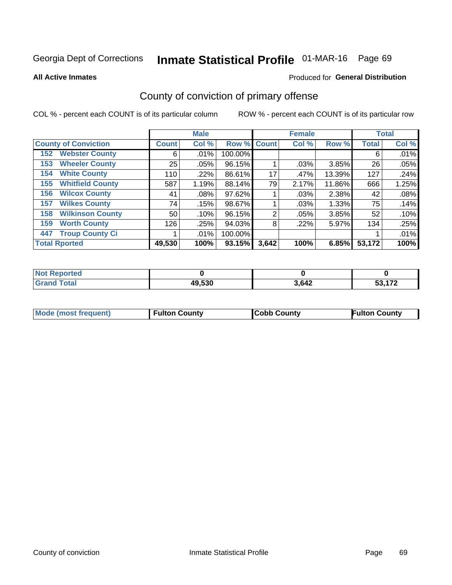## Inmate Statistical Profile 01-MAR-16 Page 69

**All Active Inmates** 

### Produced for General Distribution

### County of conviction of primary offense

COL % - percent each COUNT is of its particular column

|                                |              | <b>Male</b> |         |                | <b>Female</b> |        |              | <b>Total</b> |
|--------------------------------|--------------|-------------|---------|----------------|---------------|--------|--------------|--------------|
| <b>County of Conviction</b>    | <b>Count</b> | Col %       |         | Row % Count    | Col %         | Row %  | <b>Total</b> | Col %        |
| <b>Webster County</b><br>152   | 6            | .01%        | 100.00% |                |               |        | 6            | .01%         |
| <b>Wheeler County</b><br>153   | 25           | $.05\%$     | 96.15%  |                | .03%          | 3.85%  | 26           | .05%         |
| <b>White County</b><br>154     | 110          | .22%        | 86.61%  | 17             | .47%          | 13.39% | 127          | .24%         |
| <b>Whitfield County</b><br>155 | 587          | 1.19%       | 88.14%  | 79             | 2.17%         | 11.86% | 666          | 1.25%        |
| <b>Wilcox County</b><br>156    | 41           | $.08\%$     | 97.62%  |                | .03%          | 2.38%  | 42           | .08%         |
| <b>Wilkes County</b><br>157    | 74           | .15%        | 98.67%  |                | .03%          | 1.33%  | 75           | .14%         |
| <b>Wilkinson County</b><br>158 | 50           | .10%        | 96.15%  | $\overline{2}$ | .05%          | 3.85%  | 52           | .10%         |
| <b>Worth County</b><br>159     | 126          | .25%        | 94.03%  | 8              | $.22\%$       | 5.97%  | 134          | .25%         |
| <b>Troup County Ci</b><br>447  |              | $.01\%$     | 100.00% |                |               |        |              | .01%         |
| <b>Total Rported</b>           | 49,530       | 100%        | 93.15%  | 3,642          | 100%          | 6.85%  | 53,172       | 100%         |

| <b>Not Reported</b> |        |       |                    |
|---------------------|--------|-------|--------------------|
| <b>Grand Total</b>  | 49,530 | 3,642 | $E_2$ $472$<br>--- |

|  | <b>Mode (most frequent)</b> | <b>Fulton County</b> | <b>Cobb County</b> | <b>Fulton County</b> |
|--|-----------------------------|----------------------|--------------------|----------------------|
|--|-----------------------------|----------------------|--------------------|----------------------|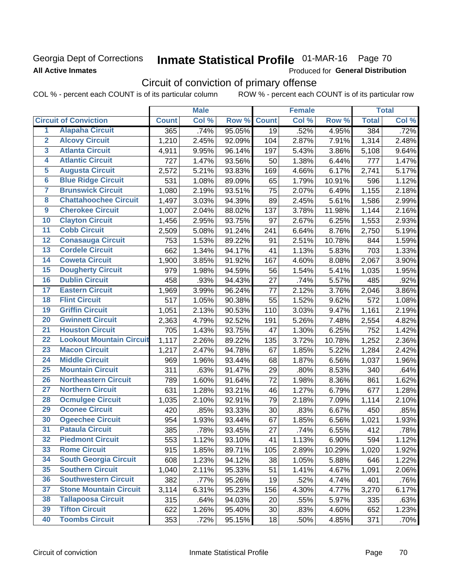### Georgia Dept of Corrections **All Active Inmates**

# Inmate Statistical Profile 01-MAR-16 Page 70

Produced for General Distribution

## Circuit of conviction of primary offense

COL % - percent each COUNT is of its particular column ROW % - percent each COUNT is of its particular row

|                         |                                 |              | <b>Male</b> |        |                 | <b>Female</b> |        |                    | <b>Total</b> |
|-------------------------|---------------------------------|--------------|-------------|--------|-----------------|---------------|--------|--------------------|--------------|
|                         | <b>Circuit of Conviction</b>    | <b>Count</b> | Col %       | Row %  | <b>Count</b>    | Col %         | Row %  | <b>Total</b>       | Col %        |
| 1                       | <b>Alapaha Circuit</b>          | 365          | .74%        | 95.05% | $\overline{19}$ | .52%          | 4.95%  | 384                | .72%         |
| $\overline{2}$          | <b>Alcovy Circuit</b>           | 1,210        | 2.45%       | 92.09% | 104             | 2.87%         | 7.91%  | 1,314              | 2.48%        |
| $\overline{\mathbf{3}}$ | <b>Atlanta Circuit</b>          | 4,911        | 9.95%       | 96.14% | 197             | 5.43%         | 3.86%  | 5,108              | 9.64%        |
| 4                       | <b>Atlantic Circuit</b>         | 727          | 1.47%       | 93.56% | 50              | 1.38%         | 6.44%  | 777                | 1.47%        |
| 5                       | <b>Augusta Circuit</b>          | 2,572        | 5.21%       | 93.83% | 169             | 4.66%         | 6.17%  | 2,741              | 5.17%        |
| $\overline{\mathbf{6}}$ | <b>Blue Ridge Circuit</b>       | 531          | 1.08%       | 89.09% | 65              | 1.79%         | 10.91% | 596                | 1.12%        |
| $\overline{\mathbf{7}}$ | <b>Brunswick Circuit</b>        | 1,080        | 2.19%       | 93.51% | 75              | 2.07%         | 6.49%  | 1,155              | 2.18%        |
| 8                       | <b>Chattahoochee Circuit</b>    | 1,497        | 3.03%       | 94.39% | 89              | 2.45%         | 5.61%  | 1,586              | 2.99%        |
| $\overline{9}$          | <b>Cherokee Circuit</b>         | 1,007        | 2.04%       | 88.02% | 137             | 3.78%         | 11.98% | 1,144              | 2.16%        |
| 10                      | <b>Clayton Circuit</b>          | 1,456        | 2.95%       | 93.75% | 97              | 2.67%         | 6.25%  | 1,553              | 2.93%        |
| $\overline{11}$         | <b>Cobb Circuit</b>             | 2,509        | 5.08%       | 91.24% | 241             | 6.64%         | 8.76%  | 2,750              | 5.19%        |
| 12                      | <b>Conasauga Circuit</b>        | 753          | 1.53%       | 89.22% | 91              | 2.51%         | 10.78% | 844                | 1.59%        |
| $\overline{13}$         | <b>Cordele Circuit</b>          | 662          | 1.34%       | 94.17% | 41              | 1.13%         | 5.83%  | 703                | 1.33%        |
| $\overline{14}$         | <b>Coweta Circuit</b>           | 1,900        | 3.85%       | 91.92% | 167             | 4.60%         | 8.08%  | 2,067              | 3.90%        |
| 15                      | <b>Dougherty Circuit</b>        | 979          | 1.98%       | 94.59% | 56              | 1.54%         | 5.41%  | 1,035              | 1.95%        |
| 16                      | <b>Dublin Circuit</b>           | 458          | .93%        | 94.43% | 27              | .74%          | 5.57%  | 485                | .92%         |
| $\overline{17}$         | <b>Eastern Circuit</b>          | 1,969        | 3.99%       | 96.24% | 77              | 2.12%         | 3.76%  | $\overline{2,}046$ | 3.86%        |
| 18                      | <b>Flint Circuit</b>            | 517          | 1.05%       | 90.38% | 55              | 1.52%         | 9.62%  | 572                | 1.08%        |
| 19                      | <b>Griffin Circuit</b>          | 1,051        | 2.13%       | 90.53% | 110             | 3.03%         | 9.47%  | 1,161              | 2.19%        |
| 20                      | <b>Gwinnett Circuit</b>         | 2,363        | 4.79%       | 92.52% | 191             | 5.26%         | 7.48%  | 2,554              | 4.82%        |
| $\overline{21}$         | <b>Houston Circuit</b>          | 705          | 1.43%       | 93.75% | 47              | 1.30%         | 6.25%  | 752                | 1.42%        |
| $\overline{22}$         | <b>Lookout Mountain Circuit</b> | 1,117        | 2.26%       | 89.22% | 135             | 3.72%         | 10.78% | 1,252              | 2.36%        |
| 23                      | <b>Macon Circuit</b>            | 1,217        | 2.47%       | 94.78% | 67              | 1.85%         | 5.22%  | 1,284              | 2.42%        |
| 24                      | <b>Middle Circuit</b>           | 969          | 1.96%       | 93.44% | 68              | 1.87%         | 6.56%  | 1,037              | 1.96%        |
| $\overline{25}$         | <b>Mountain Circuit</b>         | 311          | .63%        | 91.47% | 29              | .80%          | 8.53%  | 340                | .64%         |
| 26                      | <b>Northeastern Circuit</b>     | 789          | 1.60%       | 91.64% | 72              | 1.98%         | 8.36%  | 861                | 1.62%        |
| 27                      | <b>Northern Circuit</b>         | 631          | 1.28%       | 93.21% | 46              | 1.27%         | 6.79%  | 677                | 1.28%        |
| 28                      | <b>Ocmulgee Circuit</b>         | 1,035        | 2.10%       | 92.91% | 79              | 2.18%         | 7.09%  | 1,114              | 2.10%        |
| 29                      | <b>Oconee Circuit</b>           | 420          | .85%        | 93.33% | 30              | .83%          | 6.67%  | 450                | .85%         |
| 30                      | <b>Ogeechee Circuit</b>         | 954          | 1.93%       | 93.44% | 67              | 1.85%         | 6.56%  | 1,021              | 1.93%        |
| $\overline{31}$         | <b>Pataula Circuit</b>          | 385          | .78%        | 93.45% | 27              | .74%          | 6.55%  | 412                | .78%         |
| 32                      | <b>Piedmont Circuit</b>         | 553          | 1.12%       | 93.10% | 41              | 1.13%         | 6.90%  | 594                | 1.12%        |
| 33                      | <b>Rome Circuit</b>             | 915          | 1.85%       | 89.71% | 105             | 2.89%         | 10.29% | 1,020              | 1.92%        |
| 34                      | <b>South Georgia Circuit</b>    | 608          | 1.23%       | 94.12% | 38              | 1.05%         | 5.88%  | 646                | 1.22%        |
| 35                      | <b>Southern Circuit</b>         | 1,040        | 2.11%       | 95.33% | 51              | 1.41%         | 4.67%  | 1,091              | 2.06%        |
| 36                      | <b>Southwestern Circuit</b>     | 382          | .77%        | 95.26% | 19              | .52%          | 4.74%  | 401                | .76%         |
| 37                      | <b>Stone Mountain Circuit</b>   | 3,114        | 6.31%       | 95.23% | 156             | 4.30%         | 4.77%  | 3,270              | 6.17%        |
| 38                      | <b>Tallapoosa Circuit</b>       | 315          | .64%        | 94.03% | 20              | .55%          | 5.97%  | 335                | .63%         |
| 39                      | <b>Tifton Circuit</b>           | 622          | 1.26%       | 95.40% | 30              | .83%          | 4.60%  | 652                | 1.23%        |
| 40                      | <b>Toombs Circuit</b>           | 353          | .72%        | 95.15% | 18              | .50%          | 4.85%  | 371                | .70%         |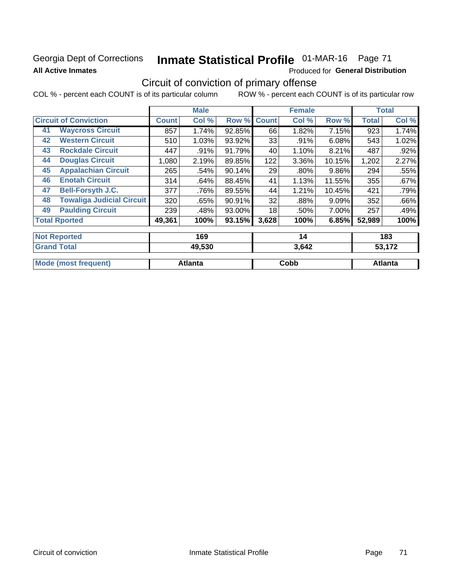### Georgia Dept of Corrections **All Active Inmates**

# Inmate Statistical Profile 01-MAR-16 Page 71

Produced for General Distribution

### Circuit of conviction of primary offense

COL % - percent each COUNT is of its particular column ROW % - percent each COUNT is of its particular row

|    |                                  |              | <b>Male</b> |        |              | <b>Female</b> |        |        | <b>Total</b> |
|----|----------------------------------|--------------|-------------|--------|--------------|---------------|--------|--------|--------------|
|    | <b>Circuit of Conviction</b>     | <b>Count</b> | Col %       | Row %  | <b>Count</b> | Col %         | Row %  | Total  | Col %        |
| 41 | <b>Waycross Circuit</b>          | 857          | 1.74%       | 92.85% | 66           | 1.82%         | 7.15%  | 923    | 1.74%        |
| 42 | <b>Western Circuit</b>           | 510          | 1.03%       | 93.92% | 33           | .91%          | 6.08%  | 543    | 1.02%        |
| 43 | <b>Rockdale Circuit</b>          | 447          | .91%        | 91.79% | 40           | 1.10%         | 8.21%  | 487    | .92%         |
| 44 | <b>Douglas Circuit</b>           | 1,080        | 2.19%       | 89.85% | 122          | 3.36%         | 10.15% | 1,202  | 2.27%        |
| 45 | <b>Appalachian Circuit</b>       | 265          | .54%        | 90.14% | 29           | $.80\%$       | 9.86%  | 294    | .55%         |
| 46 | <b>Enotah Circuit</b>            | 314          | .64%        | 88.45% | 41           | 1.13%         | 11.55% | 355    | .67%         |
| 47 | <b>Bell-Forsyth J.C.</b>         | 377          | .76%        | 89.55% | 44           | 1.21%         | 10.45% | 421    | .79%         |
| 48 | <b>Towaliga Judicial Circuit</b> | 320          | .65%        | 90.91% | 32           | .88%          | 9.09%  | 352    | .66%         |
| 49 | <b>Paulding Circuit</b>          | 239          | .48%        | 93.00% | 18           | .50%          | 7.00%  | 257    | .49%         |
|    | <b>Total Rported</b>             | 49,361       | 100%        | 93.15% | 3,628        | 100%          | 6.85%  | 52,989 | 100%         |
|    | <b>Not Reported</b>              |              | 169         |        |              | 14            |        |        | 183          |
|    | Concert Tradell                  |              | 10 F00      |        |              | <b>0000</b>   |        | FA 470 |              |

| $\mathbf{r}$ = $\mathbf{r}$<br>240 | 49.530  | 3.642 | $- \cdot$ |
|------------------------------------|---------|-------|-----------|
| Mode<br>'equent)<br>.              | ⊿tlanta | Cobb  | Atlanta   |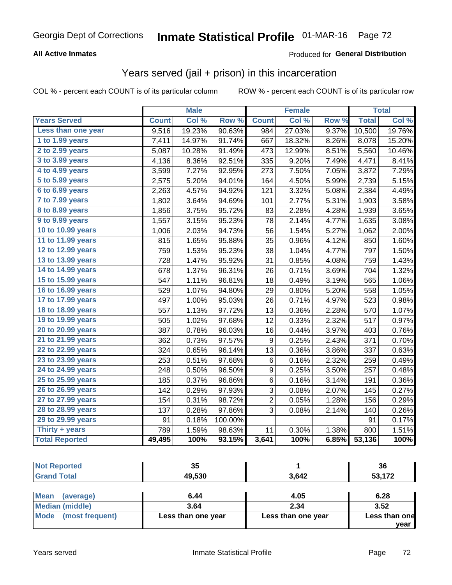## Georgia Dept of Corrections **Inmate Statistical Profile** 01-MAR-16 Page 72

### **All Active Inmates**

### Produced for **General Distribution**

### Years served (jail + prison) in this incarceration

COL % - percent each COUNT is of its particular column ROW % - percent each COUNT is of its particular row

|                       |              | <b>Male</b> |                  |                  | <b>Female</b> |       |              | <b>Total</b> |
|-----------------------|--------------|-------------|------------------|------------------|---------------|-------|--------------|--------------|
| <b>Years Served</b>   | <b>Count</b> | Col %       | Row <sup>%</sup> | <b>Count</b>     | Col %         | Row % | <b>Total</b> | Col %        |
| Less than one year    | 9,516        | 19.23%      | 90.63%           | 984              | 27.03%        | 9.37% | 10,500       | 19.76%       |
| 1 to 1.99 years       | 7,411        | 14.97%      | 91.74%           | 667              | 18.32%        | 8.26% | 8,078        | 15.20%       |
| 2 to 2.99 years       | 5,087        | 10.28%      | 91.49%           | 473              | 12.99%        | 8.51% | 5,560        | 10.46%       |
| $3$ to $3.99$ years   | 4,136        | 8.36%       | 92.51%           | 335              | 9.20%         | 7.49% | 4,471        | 8.41%        |
| 4 to 4.99 years       | 3,599        | 7.27%       | 92.95%           | 273              | 7.50%         | 7.05% | 3,872        | 7.29%        |
| 5 to 5.99 years       | 2,575        | 5.20%       | 94.01%           | 164              | 4.50%         | 5.99% | 2,739        | 5.15%        |
| 6 to 6.99 years       | 2,263        | 4.57%       | 94.92%           | 121              | 3.32%         | 5.08% | 2,384        | 4.49%        |
| 7 to 7.99 years       | 1,802        | 3.64%       | 94.69%           | 101              | 2.77%         | 5.31% | 1,903        | 3.58%        |
| 8 to 8.99 years       | 1,856        | 3.75%       | 95.72%           | 83               | 2.28%         | 4.28% | 1,939        | 3.65%        |
| 9 to 9.99 years       | 1,557        | 3.15%       | 95.23%           | 78               | 2.14%         | 4.77% | 1,635        | 3.08%        |
| 10 to 10.99 years     | 1,006        | 2.03%       | 94.73%           | 56               | 1.54%         | 5.27% | 1,062        | 2.00%        |
| 11 to 11.99 years     | 815          | 1.65%       | 95.88%           | 35               | 0.96%         | 4.12% | 850          | 1.60%        |
| 12 to 12.99 years     | 759          | 1.53%       | 95.23%           | 38               | 1.04%         | 4.77% | 797          | 1.50%        |
| 13 to 13.99 years     | 728          | 1.47%       | 95.92%           | 31               | 0.85%         | 4.08% | 759          | 1.43%        |
| 14 to 14.99 years     | 678          | 1.37%       | 96.31%           | 26               | 0.71%         | 3.69% | 704          | 1.32%        |
| 15 to 15.99 years     | 547          | 1.11%       | 96.81%           | 18               | 0.49%         | 3.19% | 565          | 1.06%        |
| 16 to 16.99 years     | 529          | 1.07%       | 94.80%           | 29               | 0.80%         | 5.20% | 558          | 1.05%        |
| 17 to 17.99 years     | 497          | 1.00%       | 95.03%           | 26               | 0.71%         | 4.97% | 523          | 0.98%        |
| 18 to 18.99 years     | 557          | 1.13%       | 97.72%           | 13               | 0.36%         | 2.28% | 570          | 1.07%        |
| 19 to 19.99 years     | 505          | 1.02%       | 97.68%           | 12               | 0.33%         | 2.32% | 517          | 0.97%        |
| 20 to 20.99 years     | 387          | 0.78%       | 96.03%           | 16               | 0.44%         | 3.97% | 403          | 0.76%        |
| 21 to 21.99 years     | 362          | 0.73%       | 97.57%           | 9                | 0.25%         | 2.43% | 371          | 0.70%        |
| 22 to 22.99 years     | 324          | 0.65%       | 96.14%           | 13               | 0.36%         | 3.86% | 337          | 0.63%        |
| 23 to 23.99 years     | 253          | 0.51%       | 97.68%           | $\,6$            | 0.16%         | 2.32% | 259          | 0.49%        |
| 24 to 24.99 years     | 248          | 0.50%       | 96.50%           | $\boldsymbol{9}$ | 0.25%         | 3.50% | 257          | 0.48%        |
| 25 to 25.99 years     | 185          | 0.37%       | 96.86%           | 6                | 0.16%         | 3.14% | 191          | 0.36%        |
| 26 to 26.99 years     | 142          | 0.29%       | 97.93%           | 3                | 0.08%         | 2.07% | 145          | 0.27%        |
| 27 to 27.99 years     | 154          | 0.31%       | 98.72%           | 2                | 0.05%         | 1.28% | 156          | 0.29%        |
| 28 to 28.99 years     | 137          | 0.28%       | 97.86%           | 3                | 0.08%         | 2.14% | 140          | 0.26%        |
| 29 to 29.99 years     | 91           | 0.18%       | 100.00%          |                  |               |       | 91           | 0.17%        |
| Thirty + years        | 789          | 1.59%       | 98.63%           | 11               | 0.30%         | 1.38% | 800          | 1.51%        |
| <b>Total Reported</b> | 49,495       | 100%        | 93.15%           | 3,641            | 100%          | 6.85% | 53,136       | 100%         |

| <b>Not Reported</b> | 35     |       | 36                     |
|---------------------|--------|-------|------------------------|
| <b>Grand Total</b>  | 49,530 | 3,642 | <b>A70</b><br>гη<br>vu |
|                     |        |       |                        |

| <b>Mean</b><br>(average) | 6.44               | 4.05               | 6.28          |
|--------------------------|--------------------|--------------------|---------------|
| <b>Median (middle)</b>   | 3.64               | 2.34               | 3.52          |
| Mode (most frequent)     | Less than one year | Less than one year | Less than one |
|                          |                    |                    | vear          |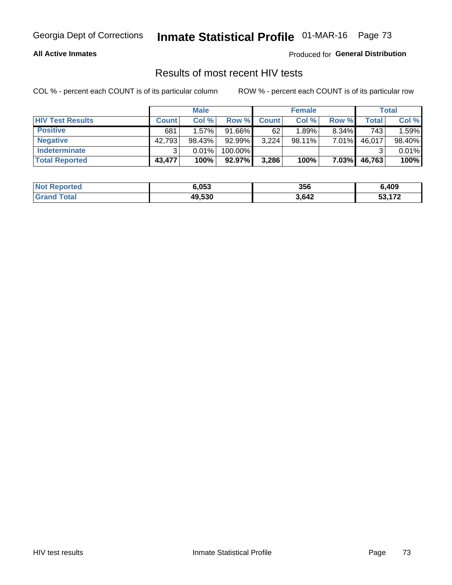#### **All Active Inmates**

Produced for **General Distribution**

## Results of most recent HIV tests

|                         | <b>Male</b>  |        |           | <b>Female</b> |        |          | Total  |        |
|-------------------------|--------------|--------|-----------|---------------|--------|----------|--------|--------|
| <b>HIV Test Results</b> | <b>Count</b> | Col%   | Row %I    | <b>Count</b>  | Col %  | Row %    | Total  | Col %  |
| <b>Positive</b>         | 681          | 1.57%  | 91.66%    | 62            | 1.89%  | $8.34\%$ | 743    | 1.59%  |
| <b>Negative</b>         | 42,793       | 98.43% | 92.99%    | 3,224         | 98.11% | 7.01%    | 46,017 | 98.40% |
| <b>Indeterminate</b>    | ົ            | 0.01%  | 100.00%   |               |        |          |        | 0.01%  |
| <b>Total Reported</b>   | 43,477       | 100%   | $92.97\%$ | 3,286         | 100%   | 7.03%    | 46,763 | 100%   |

| <b>Not Reported</b> | 6,053  | 356   | 6,409                            |
|---------------------|--------|-------|----------------------------------|
| Гоtal               | 49,530 | 3,642 | $F^{\alpha}$ $F^{\alpha}$<br>-32 |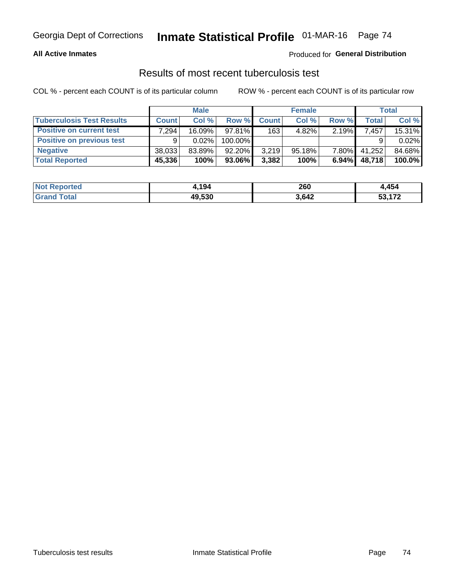### **All Active Inmates**

### Produced for **General Distribution**

## Results of most recent tuberculosis test

|                                  | <b>Male</b>  |        |           | <b>Female</b> |           |          | Total  |        |
|----------------------------------|--------------|--------|-----------|---------------|-----------|----------|--------|--------|
| <b>Tuberculosis Test Results</b> | <b>Count</b> | Col%   | Row %     | <b>Count</b>  | Col %     | Row %    | Total  | Col %  |
| <b>Positive on current test</b>  | 7,294        | 16.09% | $97.81\%$ | 163           | 4.82%     | $2.19\%$ | 7,457  | 15.31% |
| <b>Positive on previous test</b> | 9            | 0.02%  | 100.00%   |               |           |          |        | 0.02%  |
| <b>Negative</b>                  | 38,033       | 83.89% | $92.20\%$ | 3,219         | $95.18\%$ | $7.80\%$ | 41,252 | 84.68% |
| <b>Total Reported</b>            | 45,336       | 100%   | 93.06%    | 3,382         | 100%      | $6.94\%$ | 48,718 | 100.0% |

| <b>Not Reported</b>    | 4,194  | 260   | 454.                       |
|------------------------|--------|-------|----------------------------|
| <b>Total</b><br>'Grand | 49,530 | 3,642 | よつ イフク<br>ວວ. ၊ <i>၊ ೭</i> |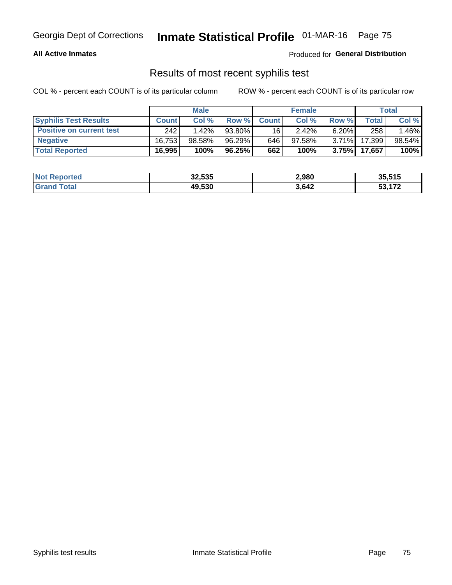### **All Active Inmates**

Produced for **General Distribution**

## Results of most recent syphilis test

|                                 | <b>Male</b>  |           |        | <b>Female</b> |           |          | Total   |        |
|---------------------------------|--------------|-----------|--------|---------------|-----------|----------|---------|--------|
| <b>Syphilis Test Results</b>    | <b>Count</b> | Col%      | Row %  | <b>Count</b>  | Col %     | Row %    | Total I | Col %  |
| <b>Positive on current test</b> | 242          | $1.42\%$  | 93.80% | 16            | $2.42\%$  | $6.20\%$ | 258     | 1.46%  |
| <b>Negative</b>                 | 16.753       | $98.58\%$ | 96.29% | 646           | $97.58\%$ | $3.71\%$ | 17,399  | 98.54% |
| <b>Total Reported</b>           | 16,995       | 100%      | 96.25% | 662           | 100%      | $3.75\%$ | 17,657  | 100%   |

| <b>Not Reported</b> | 32,535 | 2,980 | 35,515       |
|---------------------|--------|-------|--------------|
| <b>Grand Total</b>  | 49,530 | 3,642 | .172<br>33.S |